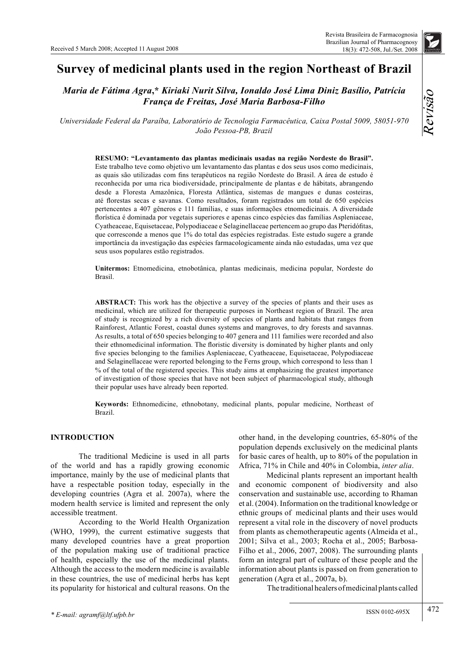## *Maria de Fátima Agra***,\*** *Kiriaki Nurit Silva, Ionaldo José Lima Diniz Basílio, Patrícia França de Freitas, José Maria Barbosa-Filho*

*Universidade Federal da Paraíba, Laboratório de Tecnologia Farmacêutica, Caixa Postal 5009, 58051-970 João Pessoa-PB, Brazil*

**RESUMO: "Levantamento das plantas medicinais usadas na região Nordeste do Brasil".**  Este trabalho teve como objetivo um levantamento das plantas e dos seus usos como medicinais, as quais são utilizadas com fins terapêuticos na região Nordeste do Brasil. A área de estudo é reconhecida por uma rica biodiversidade, principalmente de plantas e de hábitats, abrangendo desde a Floresta Amazônica, Floresta Atlântica, sistemas de mangues e dunas costeiras, até florestas secas e savanas. Como resultados, foram registrados um total de 650 espécies pertencentes a 407 gêneros e 111 famílias, e suas informações etnomedicinais. A diversidade florística é dominada por vegetais superiores e apenas cinco espécies das famílias Aspleniaceae, Cyatheaceae, Equisetaceae, Polypodiaceae e Selaginellaceae pertencem ao grupo das Pteridófitas, que corresconde a menos que 1% do total das espécies registradas. Este estudo sugere a grande importância da investigação das espécies farmacologicamente ainda não estudadas, uma vez que seus usos populares estão registrados.

**Unitermos:** Etnomedicina, etnobotânica, plantas medicinais, medicina popular, Nordeste do Brasil.

**ABSTRACT:** This work has the objective a survey of the species of plants and their uses as medicinal, which are utilized for therapeutic purposes in Northeast region of Brazil. The area of study is recognized by a rich diversity of species of plants and habitats that ranges from Rainforest, Atlantic Forest, coastal dunes systems and mangroves, to dry forests and savannas. As results, a total of 650 species belonging to 407 genera and 111 families were recorded and also their ethnomedicinal information. The floristic diversity is dominated by higher plants and only five species belonging to the families Aspleniaceae, Cyatheaceae, Equisetaceae, Polypodiaceae and Selaginellaceae were reported belonging to the Ferns group, which correspond to less than 1 % of the total of the registered species. This study aims at emphasizing the greatest importance of investigation of those species that have not been subject of pharmacological study, although their popular uses have already been reported.

**Keywords:** Ethnomedicine, ethnobotany, medicinal plants, popular medicine, Northeast of Brazil.

#### **INTRODUCTION**

The traditional Medicine is used in all parts of the world and has a rapidly growing economic importance, mainly by the use of medicinal plants that have a respectable position today, especially in the developing countries (Agra et al. 2007a), where the modern health service is limited and represent the only accessible treatment.

According to the World Health Organization (WHO, 1999), the current estimative suggests that many developed countries have a great proportion of the population making use of traditional practice of health, especially the use of the medicinal plants. Although the access to the modern medicine is available in these countries, the use of medicinal herbs has kept its popularity for historical and cultural reasons. On the other hand, in the developing countries, 65-80% of the population depends exclusively on the medicinal plants for basic cares of health, up to 80% of the population in Africa, 71% in Chile and 40% in Colombia, *inter alia*.

Medicinal plants represent an important health and economic component of biodiversity and also conservation and sustainable use, according to Rhaman et al. (2004). Information on the traditional knowledge or ethnic groups of medicinal plants and their uses would represent a vital role in the discovery of novel products from plants as chemotherapeutic agents (Almeida et al., 2001; Silva et al., 2003; Rocha et al., 2005; Barbosa-Filho et al., 2006, 2007, 2008). The surrounding plants form an integral part of culture of these people and the information about plants is passed on from generation to generation (Agra et al., 2007a, b).

The traditional healers of medicinal plants called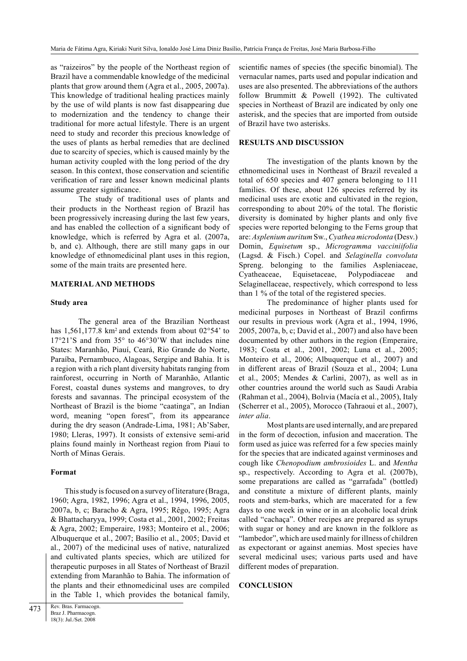as "raizeiros" by the people of the Northeast region of Brazil have a commendable knowledge of the medicinal plants that grow around them (Agra et al., 2005, 2007a). This knowledge of traditional healing practices mainly by the use of wild plants is now fast disappearing due to modernization and the tendency to change their traditional for more actual lifestyle. There is an urgent need to study and recorder this precious knowledge of the uses of plants as herbal remedies that are declined due to scarcity of species, which is caused mainly by the human activity coupled with the long period of the dry season. In this context, those conservation and scientific verification of rare and lesser known medicinal plants assume greater significance.

The study of traditional uses of plants and their products in the Northeast region of Brazil has been progressively increasing during the last few years, and has enabled the collection of a significant body of knowledge, which is referred by Agra et al. (2007a, b, and c). Although, there are still many gaps in our knowledge of ethnomedicinal plant uses in this region, some of the main traits are presented here.

#### **MATERIAL AND METHODS**

#### **Study area**

The general area of the Brazilian Northeast has 1,561,177.8 km<sup>2</sup> and extends from about  $02°54'$  to  $17°21'$ S and from  $35°$  to  $46°30'$ W that includes nine States: Maranhão, Piauí, Ceará, Rio Grande do Norte, Paraíba, Pernambuco, Alagoas, Sergipe and Bahia. It is a region with a rich plant diversity habitats ranging from rainforest, occurring in North of Maranhão, Atlantic Forest, coastal dunes systems and mangroves, to dry forests and savannas. The principal ecosystem of the Northeast of Brazil is the biome "caatinga", an Indian word, meaning "open forest", from its appearance during the dry season (Andrade-Lima, 1981; Ab'Saber, 1980; Lleras, 1997). It consists of extensive semi-arid plains found mainly in Northeast region from Piauí to North of Minas Gerais.

#### **Format**

This study is focused on a survey of literature (Braga, 1960; Agra, 1982, 1996; Agra et al., 1994, 1996, 2005, 2007a, b, c; Baracho & Agra, 1995; Rêgo, 1995; Agra & Bhattacharyya, 1999; Costa et al., 2001, 2002; Freitas & Agra, 2002; Emperaire, 1983; Monteiro et al., 2006; Albuquerque et al., 2007; Basílio et al., 2005; David et al., 2007) of the medicinal uses of native, naturalized and cultivated plants species, which are utilized for therapeutic purposes in all States of Northeast of Brazil extending from Maranhão to Bahia. The information of the plants and their ethnomedicinal uses are compiled in the Table 1, which provides the botanical family, scientific names of species (the specific binomial). The vernacular names, parts used and popular indication and uses are also presented. The abbreviations of the authors follow Brummitt & Powell (1992). The cultivated species in Northeast of Brazil are indicated by only one asterisk, and the species that are imported from outside of Brazil have two asterisks.

#### **RESULTS AND DISCUSSION**

The investigation of the plants known by the ethnomedicinal uses in Northeast of Brazil revealed a total of 650 species and 407 genera belonging to 111 families. Of these, about 126 species referred by its medicinal uses are exotic and cultivated in the region, corresponding to about  $20\%$  of the total. The floristic diversity is dominated by higher plants and only five species were reported belonging to the Ferns group that are: *Asplenium auritum* Sw., *Cyathea microdonta* (Desv.) Domin, *Equisetum* sp., *Microgramma vacciniifolia*  (Lagsd. & Fisch.) Copel. and *Selaginella convoluta*  Spreng. belonging to the families Aspleniaceae, Cyatheaceae, Equisetaceae, Polypodiaceae and Selaginellaceae, respectively, which correspond to less than 1 % of the total of the registered species.

The predominance of higher plants used for medicinal purposes in Northeast of Brazil confirms our results in previous work (Agra et al., 1994, 1996, 2005, 2007a, b, c; David et al., 2007) and also have been documented by other authors in the region (Emperaire, 1983; Costa et al., 2001, 2002; Luna et al., 2005; Monteiro et al., 2006; Albuquerque et al., 2007) and in different areas of Brazil (Souza et al., 2004; Luna et al., 2005; Mendes & Carlini, 2007), as well as in other countries around the world such as Saudi Arabia (Rahman et al., 2004), Bolıvia (Macía et al., 2005), Italy (Scherrer et al., 2005), Morocco (Tahraoui et al., 2007), *inter alia*.

Most plants are used internally, and are prepared in the form of decoction, infusion and maceration. The form used as juice was referred for a few species mainly for the species that are indicated against verminoses and cough like *Chenopodium ambrosioides* L. and *Mentha*  sp., respectively. According to Agra et al. (2007b), some preparations are called as "garrafada" (bottled) and constitute a mixture of different plants, mainly roots and stem-barks, which are macerated for a few days to one week in wine or in an alcoholic local drink called "cachaça". Other recipes are prepared as syrups with sugar or honey and are known in the folklore as "lambedor", which are used mainly for illness of children as expectorant or against anemias. Most species have several medicinal uses; various parts used and have different modes of preparation.

#### **CONCLUSION**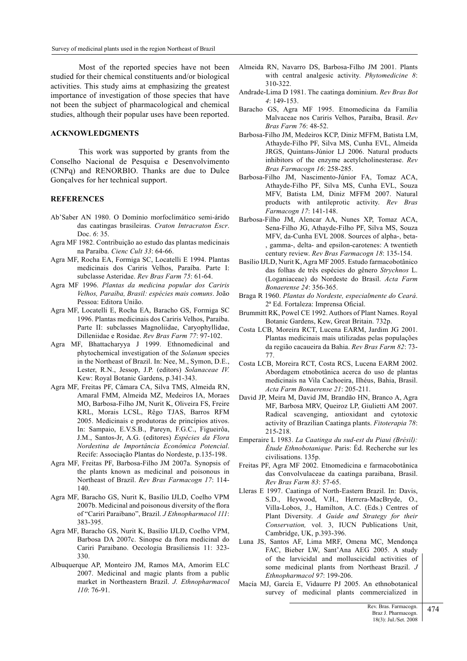Most of the reported species have not been studied for their chemical constituents and/or biological activities. This study aims at emphasizing the greatest importance of investigation of those species that have not been the subject of pharmacological and chemical studies, although their popular uses have been reported.

### **ACKNOWLEDGMENTS**

This work was supported by grants from the Conselho Nacional de Pesquisa e Desenvolvimento (CNPq) and RENORBIO. Thanks are due to Dulce Gonçalves for her technical support.

#### **REFERENCES**

- Ab'Saber AN 1980. O Domínio morfoclimático semi-árido das caatingas brasileiras. *Craton Intracraton Escr*. Doc. *6*: 35.
- Agra MF 1982. Contribuição ao estudo das plantas medicinais na Paraíba. *Cienc Cult 33*: 64-66.
- Agra MF, Rocha EA, Formiga SC, Locatelli E 1994. Plantas medicinais dos Cariris Velhos, Paraíba. Parte I: subclasse Asteridae. *Rev Bras Farm 75*: 61-64.
- Agra MF 1996. *Plantas da medicina popular dos Cariris Velhos, Paraíba, Brasil: espécies mais comuns*. João Pessoa: Editora União.
- Agra MF, Locatelli E, Rocha EA, Baracho GS, Formiga SC 1996. Plantas medicinais dos Cariris Velhos, Paraíba. Parte II: subclasses Magnoliidae, Caryophyllidae, Dilleniidae e Rosidae. *Rev Bras Farm 77*: 97-102.
- Agra MF, Bhattacharyya J 1999. Ethnomedicinal and phytochemical investigation of the *Solanum* species in the Northeast of Brazil. In: Nee, M., Symon, D.E., Lester, R.N., Jessop, J.P. (editors) *Solanaceae IV.* Kew: Royal Botanic Gardens, p.341-343.
- Agra MF, Freitas PF, Câmara CA, Silva TMS, Almeida RN, Amaral FMM, Almeida MZ, Medeiros IA, Moraes MO, Barbosa-Filho JM, Nurit K, Oliveira FS, Freire KRL, Morais LCSL, Rêgo TJAS, Barros RFM 2005. Medicinais e produtoras de princípios ativos. In: Sampaio, E.V.S.B., Pareyn, F.G.C., Figueirôa, J.M., Santos-Jr, A.G. (editores) *Espécies da Flora Nordestina de Importância Econômica Potencial*. Recife: Associação Plantas do Nordeste, p.135-198.
- Agra MF, Freitas PF, Barbosa-Filho JM 2007a. Synopsis of the plants known as medicinal and poisonous in Northeast of Brazil. *Rev Bras Farmacogn 17*: 114- 140.
- Agra MF, Baracho GS, Nurit K, Basílio IJLD, Coelho VPM 2007b. Medicinal and poisonous diversity of the flora of "Cariri Paraibano", Brazil. *J Ethnopharmacol 111*: 383-395.
- Agra MF, Baracho GS, Nurit K, Basílio IJLD, Coelho VPM, Barbosa DA 2007c. Sinopse da flora medicinal do Cariri Paraibano. Oecologia Brasiliensis 11: 323- 330.
- Albuquerque AP, Monteiro JM, Ramos MA, Amorim ELC 2007. Medicinal and magic plants from a public market in Northeastern Brazil. *J. Ethnopharmacol 110*: 76-91.
- Almeida RN, Navarro DS, Barbosa-Filho JM 2001. Plants with central analgesic activity. *Phytomedicine 8*: 310-322.
- Andrade-Lima D 1981. The caatinga dominium. *Rev Bras Bot 4*: 149-153.
- Baracho GS, Agra MF 1995. Etnomedicina da Família Malvaceae nos Cariris Velhos, Paraíba, Brasil. *Rev Bras Farm 76*: 48-52.
- Barbosa-Filho JM, Medeiros KCP, Diniz MFFM, Batista LM, Athayde-Filho PF, Silva MS, Cunha EVL, Almeida JRGS, Quintans-Júnior LJ 2006. Natural products inhibitors of the enzyme acetylcholinesterase. *Rev Bras Farmacogn 16*: 258-285.
- Barbosa-Filho JM, Nascimento-Júnior FA, Tomaz ACA, Athayde-Filho PF, Silva MS, Cunha EVL, Souza MFV, Batista LM, Diniz MFFM 2007. Natural products with antileprotic activity. *Rev Bras Farmacogn 17*: 141-148.
- Barbosa-Filho JM, Alencar AA, Nunes XP, Tomaz ACA, Sena-Filho JG, Athayde-Filho PF, Silva MS, Souza MFV, da-Cunha EVL 2008. Sources of alpha-, beta- , gamma-, delta- and epsilon-carotenes: A twentieth century review. *Rev Bras Farmacogn 18*: 135-154.
- Basílio IJLD, Nurit K, Agra MF 2005. Estudo farmacobotânico das folhas de três espécies do gênero *Strychnos* L. (Loganiaceae) do Nordeste do Brasil. *Acta Farm Bonaerense 24*: 356-365.
- Braga R 1960. *Plantas do Nordeste, especialmente do Ceará*. 2ª Ed. Fortaleza: Imprensa Oficial.
- Brummitt RK, Powel CE 1992. Authors of Plant Names. Royal Botanic Gardens, Kew, Great Britain. 732p.
- Costa LCB, Moreira RCT, Lucena EARM, Jardim JG 2001. Plantas medicinais mais utilizadas pelas populações da região cacaueira da Bahia. *Rev Bras Farm 82*: 73- 77.
- Costa LCB, Moreira RCT, Costa RCS, Lucena EARM 2002. Abordagem etnobotânica acerca do uso de plantas medicinais na Vila Cachoeira, Ilhéus, Bahia, Brasil. *Acta Farm Bonaerense 21*: 205-211.
- David JP, Meira M, David JM, Brandão HN, Branco A, Agra MF, Barbosa MRV, Queiroz LP, Giulietti AM 2007. Radical scavenging, antioxidant and cytotoxic activity of Brazilian Caatinga plants. *Fitoterapia 78*: 215-218.
- Emperaire L 1983. *La Caatinga du sud-est du Piaui (Brésil): Étude Ethnobotanique*. Paris: Éd. Recherche sur les civilisations. 135p.
- Freitas PF, Agra MF 2002. Etnomedicina e farmacobotânica das Convolvulaceae da caatinga paraibana, Brasil. *Rev Bras Farm 83*: 57-65.
- Lleras E 1997. Caatinga of North-Eastern Brazil. In: Davis, S.D., Heywood, V.H., Herrera-MacBryde, O., Villa-Lobos, J., Hamilton, A.C. (Eds.) Centres of Plant Diversity. *A Guide and Strategy for their Conservation,* vol. 3, IUCN Publications Unit, Cambridge, UK, p.393-396.
- Luna JS, Santos AF, Lima MRF, Omena MC, Mendonça FAC, Bieber LW, Sant'Ana AEG 2005. A study of the larvicidal and molluscicidal activities of some medicinal plants from Northeast Brazil. *J Ethnopharmacol 97*: 199-206.
- Macía MJ, García E, Vidaurre PJ 2005. An ethnobotanical survey of medicinal plants commercialized in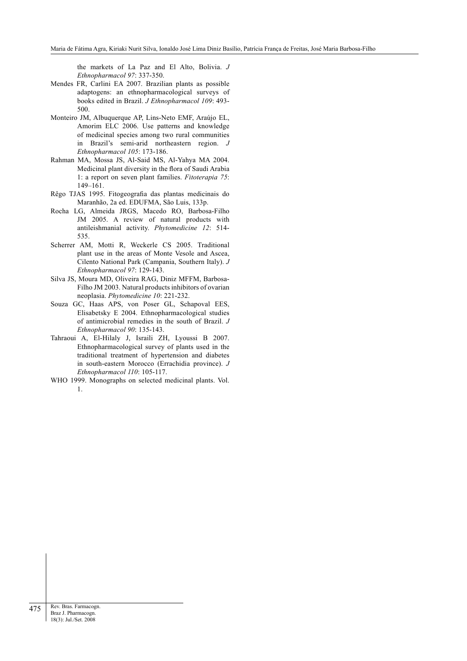the markets of La Paz and El Alto, Bolivia. *J Ethnopharmacol 97*: 337-350.

- Mendes FR, Carlini EA 2007. Brazilian plants as possible adaptogens: an ethnopharmacological surveys of books edited in Brazil. *J Ethnopharmacol 109*: 493- 500.
- Monteiro JM, Albuquerque AP, Lins-Neto EMF, Araújo EL, Amorim ELC 2006. Use patterns and knowledge of medicinal species among two rural communities in Brazil's semi-arid northeastern region. *J Ethnopharmacol 105*: 173-186.
- Rahman MA, Mossa JS, Al-Said MS, Al-Yahya MA 2004. Medicinal plant diversity in the flora of Saudi Arabia 1: a report on seven plant families. *Fitoterapia 75*: 149–161.
- Rêgo TJAS 1995. Fitogeografia das plantas medicinais do Maranhão, 2a ed. EDUFMA, São Luis, 133p.
- Rocha LG, Almeida JRGS, Macedo RO, Barbosa-Filho JM 2005. A review of natural products with antileishmanial activity. *Phytomedicine 12*: 514- 535.
- Scherrer AM, Motti R, Weckerle CS 2005. Traditional plant use in the areas of Monte Vesole and Ascea, Cilento National Park (Campania, Southern Italy). *J Ethnopharmacol 97*: 129-143.
- Silva JS, Moura MD, Oliveira RAG, Diniz MFFM, Barbosa-Filho JM 2003. Natural products inhibitors of ovarian neoplasia. *Phytomedicine 10*: 221-232.
- Souza GC, Haas APS, von Poser GL, Schapoval EES, Elisabetsky E 2004. Ethnopharmacological studies of antimicrobial remedies in the south of Brazil. *J Ethnopharmacol 90*: 135-143.
- Tahraoui A, El-Hilaly J, Israili ZH, Lyoussi B 2007. Ethnopharmacological survey of plants used in the traditional treatment of hypertension and diabetes in south-eastern Morocco (Errachidia province). *J Ethnopharmacol 110*: 105-117.
- WHO 1999. Monographs on selected medicinal plants. Vol. 1.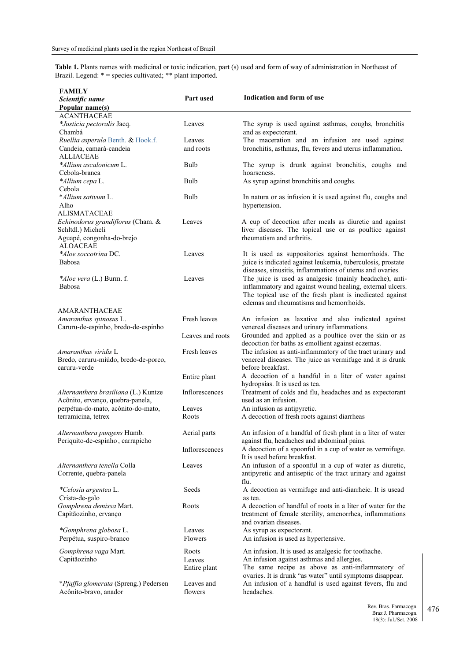**Table 1.** Plants names with medicinal or toxic indication, part (s) used and form of way of administration in Northeast of Brazil. Legend: \* = species cultivated; \*\* plant imported.

| <b>FAMILY</b>                                        |                       |                                                                                                                          |
|------------------------------------------------------|-----------------------|--------------------------------------------------------------------------------------------------------------------------|
| Scientific name                                      | Part used             | Indication and form of use                                                                                               |
| Popular name(s)                                      |                       |                                                                                                                          |
| <b>ACANTHACEAE</b>                                   |                       |                                                                                                                          |
| *Justicia pectoralis Jacq.                           | Leaves                | The syrup is used against asthmas, coughs, bronchitis                                                                    |
| Chambá                                               |                       | and as expectorant.                                                                                                      |
| Ruellia asperula Benth. & Hook.f.                    | Leaves                | The maceration and an infusion are used against                                                                          |
| Candeia, camará-candeia<br><b>ALLIACEAE</b>          | and roots             | bronchitis, asthmas, flu, fevers and uterus inflammation.                                                                |
| *Allium ascalonicum L.                               | Bulb                  | The syrup is drunk against bronchitis, coughs and                                                                        |
| Cebola-branca                                        |                       | hoarseness.                                                                                                              |
| *Allium cepa L.                                      | Bulb                  | As syrup against bronchitis and coughs.                                                                                  |
| Cebola                                               |                       |                                                                                                                          |
| *Allium sativum L.                                   | Bulb                  | In natura or as infusion it is used against flu, coughs and                                                              |
| Alho                                                 |                       | hypertension.                                                                                                            |
| <b>ALISMATACEAE</b>                                  |                       |                                                                                                                          |
| Echinodorus grandiflorus (Cham. &                    | Leaves                | A cup of decoction after meals as diuretic and against                                                                   |
| Schltdl.) Micheli                                    |                       | liver diseases. The topical use or as poultice against                                                                   |
| Aguapé, congonha-do-brejo                            |                       | rheumatism and arthritis.                                                                                                |
| <b>ALOACEAE</b>                                      |                       |                                                                                                                          |
| *Aloe soccotrina DC.<br>Babosa                       | Leaves                | It is used as suppositories against hemorrhoids. The                                                                     |
|                                                      |                       | juice is indicated against leukemia, tuberculosis, prostate<br>diseases, sinusitis, inflammations of uterus and ovaries. |
| <i>*Aloe vera</i> (L.) Burm. f.                      | Leaves                | The juice is used as analgesic (mainly headache), anti-                                                                  |
| Babosa                                               |                       | inflammatory and against wound healing, external ulcers.                                                                 |
|                                                      |                       | The topical use of the fresh plant is incdicated against                                                                 |
|                                                      |                       | edemas and rheumatisms and hemorrhoids.                                                                                  |
| <b>AMARANTHACEAE</b>                                 |                       |                                                                                                                          |
| Amaranthus spinosus L.                               | Fresh leaves          | An infusion as laxative and also indicated against                                                                       |
| Caruru-de-espinho, bredo-de-espinho                  |                       | venereal diseases and urinary inflammations.                                                                             |
|                                                      | Leaves and roots      | Grounded and applied as a poultice over the skin or as                                                                   |
|                                                      |                       | decoction for baths as emollient against eczemas.                                                                        |
| Amaranthus viridis L                                 | Fresh leaves          | The infusion as anti-inflammatory of the tract urinary and                                                               |
| Bredo, caruru-miúdo, bredo-de-porco,<br>caruru-verde |                       | venereal diseases. The juice as vermifuge and it is drunk<br>before breakfast.                                           |
|                                                      | Entire plant          | A decoction of a handful in a liter of water against                                                                     |
|                                                      |                       | hydropsias. It is used as tea.                                                                                           |
| Alternanthera brasiliana (L.) Kuntze                 | <b>Inflorescences</b> | Treatment of colds and flu, headaches and as expectorant                                                                 |
| Acônito, ervanço, quebra-panela,                     |                       | used as an infusion.                                                                                                     |
| perpétua-do-mato, acônito-do-mato,                   | Leaves                | An infusion as antipyretic.                                                                                              |
| terramicina, tetrex                                  | Roots                 | A decoction of fresh roots against diarrheas                                                                             |
|                                                      |                       |                                                                                                                          |
| Alternanthera pungens Humb.                          | Aerial parts          | An infusion of a handful of fresh plant in a liter of water                                                              |
| Periquito-de-espinho, carrapicho                     |                       | against flu, headaches and abdominal pains.                                                                              |
|                                                      | Inflorescences        | A decoction of a spoonful in a cup of water as vermifuge.<br>It is used before breakfast.                                |
| Alternanthera tenella Colla                          | Leaves                | An infusion of a spoonful in a cup of water as diuretic,                                                                 |
| Corrente, quebra-panela                              |                       | antipyretic and antiseptic of the tract urinary and against                                                              |
|                                                      |                       | flu.                                                                                                                     |
| *Celosia argentea L.                                 | Seeds                 | A decoction as vermifuge and anti-diarrheic. It is usead                                                                 |
| Crista-de-galo                                       |                       | as tea.                                                                                                                  |
| Gomphrena demissa Mart.                              | Roots                 | A decoction of handful of roots in a liter of water for the                                                              |
| Capitãozinho, ervanço                                |                       | treatment of female sterility, amenorrhea, inflammations                                                                 |
|                                                      |                       | and ovarian diseases.                                                                                                    |
| *Gomphrena globosa L.                                | Leaves                | As syrup as expectorant.                                                                                                 |
| Perpétua, suspiro-branco                             | Flowers               | An infusion is used as hypertensive.                                                                                     |
| Gomphrena vaga Mart.                                 | Roots                 | An infusion. It is used as analgesic for toothache.                                                                      |
| Capitãozinho                                         | Leaves                | An infusion against asthmas and allergies.                                                                               |
|                                                      | Entire plant          | The same recipe as above as anti-inflammatory of                                                                         |
|                                                      |                       | ovaries. It is drunk "as water" until symptoms disappear.                                                                |
| *Pfaffia glomerata (Spreng.) Pedersen                | Leaves and            | An infusion of a handful is used against fevers, flu and                                                                 |
| Acônito-bravo, anador                                | flowers               | headaches.                                                                                                               |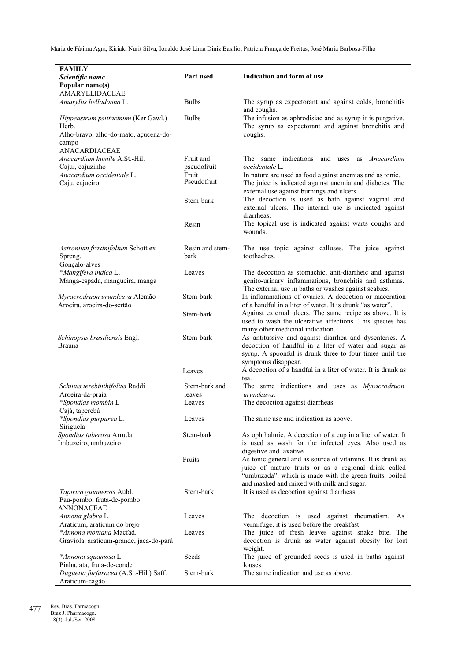| Indication and form of use<br>Part used<br>Scientific name<br>Popular name(s)<br>AMARYLLIDACEAE<br><b>Bulbs</b><br>Amaryllis belladonna L.<br>The syrup as expectorant and against colds, bronchitis<br>and coughs.<br><b>Bulbs</b><br>The infusion as aphrodisiac and as syrup it is purgative.<br><i>Hippeastrum psittacinum</i> (Ker Gawl.)<br>The syrup as expectorant and against bronchitis and<br>Herb.<br>Alho-bravo, alho-do-mato, açucena-do-<br>coughs.<br>campo<br>ANACARDIACEAE<br>Anacardium humile A.St.-Hil.<br>Fruit and<br>The same indications<br>and uses as <i>Anacardium</i><br>occidentale L.<br>Cajuí, cajuzinho<br>pseudofruit<br>Anacardium occidentale L.<br>Fruit<br>In nature are used as food against anemias and as tonic.<br>Pseudofruit<br>Caju, cajueiro<br>The juice is indicated against anemia and diabetes. The<br>external use against burnings and ulcers.<br>The decoction is used as bath against vaginal and<br>Stem-bark<br>external ulcers. The internal use is indicated against<br>diarrheas.<br>The topical use is indicated against warts coughs and<br>Resin<br>wounds.<br>Resin and stem-<br>The use topic against calluses. The juice against<br>Astronium fraxinifolium Schott ex<br>Spreng.<br>bark<br>toothaches.<br>Gonçalo-alves<br>*Mangifera indica L.<br>Leaves<br>The decoction as stomachic, anti-diarrheic and against<br>genito-urinary inflammations, bronchitis and asthmas.<br>Manga-espada, mangueira, manga<br>The external use in baths or washes against scabies.<br>Stem-bark<br>In inflammations of ovaries. A decoction or maceration<br>Myracrodruon urundeuva Alemão<br>of a handful in a liter of water. It is drunk "as water".<br>Aroeira, aroeira-do-sertão<br>Against external ulcers. The same recipe as above. It is<br>Stem-bark<br>used to wash the ulcerative affections. This species has<br>many other medicinal indication.<br>Stem-bark<br>As antitussive and against diarrhea and dysenteries. A<br>Schinopsis brasiliensis Engl.<br>Braúna<br>decoction of handful in a liter of water and sugar as<br>syrup. A spoonful is drunk three to four times until the<br>symptoms disappear.<br>A decoction of a handful in a liter of water. It is drunk as<br>Leaves<br>tea.<br>Schinus terebinthifolius Raddi<br>Stem-bark and<br>The same indications and uses as <i>Myracrodruon</i><br>Aroeira-da-praia<br>urundeuva.<br>leaves<br>*Spondias mombin L<br>The decoction against diarrheas.<br>Leaves<br>Cajá, taperebá<br>The same use and indication as above.<br>*Spondias purpurea L.<br>Leaves<br>Siriguela<br>Spondias tuberosa Arruda<br>Stem-bark<br>As ophthalmic. A decoction of a cup in a liter of water. It<br>Imbuzeiro, umbuzeiro<br>is used as wash for the infected eyes. Also used as<br>digestive and laxative.<br>As tonic general and as source of vitamins. It is drunk as<br>Fruits<br>juice of mature fruits or as a regional drink called<br>"umbuzada", which is made with the green fruits, boiled<br>and mashed and mixed with milk and sugar.<br>Stem-bark<br>Tapirira guianensis Aubl.<br>It is used as decoction against diarrheas.<br>Pau-pombo, fruta-de-pombo<br><b>ANNONACEAE</b><br>Annona glabra L.<br>The decoction is used against rheumatism. As<br>Leaves<br>Araticum, araticum do brejo<br>vermifuge, it is used before the breakfast.<br>*Annona montana Macfad.<br>The juice of fresh leaves against snake bite. The<br>Leaves<br>Graviola, araticum-grande, jaca-do-pará<br>decoction is drunk as water against obesity for lost<br>weight.<br>Seeds<br>*Annona squamosa L.<br>The juice of grounded seeds is used in baths against<br>Pinha, ata, fruta-de-conde<br>louses.<br>Stem-bark<br>The same indication and use as above.<br>Duguetia furfuracea (A.St.-Hil.) Saff. | <b>FAMILY</b>  |  |
|---------------------------------------------------------------------------------------------------------------------------------------------------------------------------------------------------------------------------------------------------------------------------------------------------------------------------------------------------------------------------------------------------------------------------------------------------------------------------------------------------------------------------------------------------------------------------------------------------------------------------------------------------------------------------------------------------------------------------------------------------------------------------------------------------------------------------------------------------------------------------------------------------------------------------------------------------------------------------------------------------------------------------------------------------------------------------------------------------------------------------------------------------------------------------------------------------------------------------------------------------------------------------------------------------------------------------------------------------------------------------------------------------------------------------------------------------------------------------------------------------------------------------------------------------------------------------------------------------------------------------------------------------------------------------------------------------------------------------------------------------------------------------------------------------------------------------------------------------------------------------------------------------------------------------------------------------------------------------------------------------------------------------------------------------------------------------------------------------------------------------------------------------------------------------------------------------------------------------------------------------------------------------------------------------------------------------------------------------------------------------------------------------------------------------------------------------------------------------------------------------------------------------------------------------------------------------------------------------------------------------------------------------------------------------------------------------------------------------------------------------------------------------------------------------------------------------------------------------------------------------------------------------------------------------------------------------------------------------------------------------------------------------------------------------------------------------------------------------------------------------------------------------------------------------------------------------------------------------------------------------------------------------------------------------------------------------------------------------------------------------------------------------------------------------------------------------------------------------------------------------------------------------------------------------------------------------------------------------------------------------------------------------------------------------------------------------------------------------------------------------------------------------------------------------------------------|----------------|--|
|                                                                                                                                                                                                                                                                                                                                                                                                                                                                                                                                                                                                                                                                                                                                                                                                                                                                                                                                                                                                                                                                                                                                                                                                                                                                                                                                                                                                                                                                                                                                                                                                                                                                                                                                                                                                                                                                                                                                                                                                                                                                                                                                                                                                                                                                                                                                                                                                                                                                                                                                                                                                                                                                                                                                                                                                                                                                                                                                                                                                                                                                                                                                                                                                                                                                                                                                                                                                                                                                                                                                                                                                                                                                                                                                                                                                                     |                |  |
|                                                                                                                                                                                                                                                                                                                                                                                                                                                                                                                                                                                                                                                                                                                                                                                                                                                                                                                                                                                                                                                                                                                                                                                                                                                                                                                                                                                                                                                                                                                                                                                                                                                                                                                                                                                                                                                                                                                                                                                                                                                                                                                                                                                                                                                                                                                                                                                                                                                                                                                                                                                                                                                                                                                                                                                                                                                                                                                                                                                                                                                                                                                                                                                                                                                                                                                                                                                                                                                                                                                                                                                                                                                                                                                                                                                                                     |                |  |
|                                                                                                                                                                                                                                                                                                                                                                                                                                                                                                                                                                                                                                                                                                                                                                                                                                                                                                                                                                                                                                                                                                                                                                                                                                                                                                                                                                                                                                                                                                                                                                                                                                                                                                                                                                                                                                                                                                                                                                                                                                                                                                                                                                                                                                                                                                                                                                                                                                                                                                                                                                                                                                                                                                                                                                                                                                                                                                                                                                                                                                                                                                                                                                                                                                                                                                                                                                                                                                                                                                                                                                                                                                                                                                                                                                                                                     |                |  |
|                                                                                                                                                                                                                                                                                                                                                                                                                                                                                                                                                                                                                                                                                                                                                                                                                                                                                                                                                                                                                                                                                                                                                                                                                                                                                                                                                                                                                                                                                                                                                                                                                                                                                                                                                                                                                                                                                                                                                                                                                                                                                                                                                                                                                                                                                                                                                                                                                                                                                                                                                                                                                                                                                                                                                                                                                                                                                                                                                                                                                                                                                                                                                                                                                                                                                                                                                                                                                                                                                                                                                                                                                                                                                                                                                                                                                     |                |  |
|                                                                                                                                                                                                                                                                                                                                                                                                                                                                                                                                                                                                                                                                                                                                                                                                                                                                                                                                                                                                                                                                                                                                                                                                                                                                                                                                                                                                                                                                                                                                                                                                                                                                                                                                                                                                                                                                                                                                                                                                                                                                                                                                                                                                                                                                                                                                                                                                                                                                                                                                                                                                                                                                                                                                                                                                                                                                                                                                                                                                                                                                                                                                                                                                                                                                                                                                                                                                                                                                                                                                                                                                                                                                                                                                                                                                                     |                |  |
|                                                                                                                                                                                                                                                                                                                                                                                                                                                                                                                                                                                                                                                                                                                                                                                                                                                                                                                                                                                                                                                                                                                                                                                                                                                                                                                                                                                                                                                                                                                                                                                                                                                                                                                                                                                                                                                                                                                                                                                                                                                                                                                                                                                                                                                                                                                                                                                                                                                                                                                                                                                                                                                                                                                                                                                                                                                                                                                                                                                                                                                                                                                                                                                                                                                                                                                                                                                                                                                                                                                                                                                                                                                                                                                                                                                                                     |                |  |
|                                                                                                                                                                                                                                                                                                                                                                                                                                                                                                                                                                                                                                                                                                                                                                                                                                                                                                                                                                                                                                                                                                                                                                                                                                                                                                                                                                                                                                                                                                                                                                                                                                                                                                                                                                                                                                                                                                                                                                                                                                                                                                                                                                                                                                                                                                                                                                                                                                                                                                                                                                                                                                                                                                                                                                                                                                                                                                                                                                                                                                                                                                                                                                                                                                                                                                                                                                                                                                                                                                                                                                                                                                                                                                                                                                                                                     |                |  |
|                                                                                                                                                                                                                                                                                                                                                                                                                                                                                                                                                                                                                                                                                                                                                                                                                                                                                                                                                                                                                                                                                                                                                                                                                                                                                                                                                                                                                                                                                                                                                                                                                                                                                                                                                                                                                                                                                                                                                                                                                                                                                                                                                                                                                                                                                                                                                                                                                                                                                                                                                                                                                                                                                                                                                                                                                                                                                                                                                                                                                                                                                                                                                                                                                                                                                                                                                                                                                                                                                                                                                                                                                                                                                                                                                                                                                     |                |  |
|                                                                                                                                                                                                                                                                                                                                                                                                                                                                                                                                                                                                                                                                                                                                                                                                                                                                                                                                                                                                                                                                                                                                                                                                                                                                                                                                                                                                                                                                                                                                                                                                                                                                                                                                                                                                                                                                                                                                                                                                                                                                                                                                                                                                                                                                                                                                                                                                                                                                                                                                                                                                                                                                                                                                                                                                                                                                                                                                                                                                                                                                                                                                                                                                                                                                                                                                                                                                                                                                                                                                                                                                                                                                                                                                                                                                                     |                |  |
|                                                                                                                                                                                                                                                                                                                                                                                                                                                                                                                                                                                                                                                                                                                                                                                                                                                                                                                                                                                                                                                                                                                                                                                                                                                                                                                                                                                                                                                                                                                                                                                                                                                                                                                                                                                                                                                                                                                                                                                                                                                                                                                                                                                                                                                                                                                                                                                                                                                                                                                                                                                                                                                                                                                                                                                                                                                                                                                                                                                                                                                                                                                                                                                                                                                                                                                                                                                                                                                                                                                                                                                                                                                                                                                                                                                                                     |                |  |
|                                                                                                                                                                                                                                                                                                                                                                                                                                                                                                                                                                                                                                                                                                                                                                                                                                                                                                                                                                                                                                                                                                                                                                                                                                                                                                                                                                                                                                                                                                                                                                                                                                                                                                                                                                                                                                                                                                                                                                                                                                                                                                                                                                                                                                                                                                                                                                                                                                                                                                                                                                                                                                                                                                                                                                                                                                                                                                                                                                                                                                                                                                                                                                                                                                                                                                                                                                                                                                                                                                                                                                                                                                                                                                                                                                                                                     |                |  |
|                                                                                                                                                                                                                                                                                                                                                                                                                                                                                                                                                                                                                                                                                                                                                                                                                                                                                                                                                                                                                                                                                                                                                                                                                                                                                                                                                                                                                                                                                                                                                                                                                                                                                                                                                                                                                                                                                                                                                                                                                                                                                                                                                                                                                                                                                                                                                                                                                                                                                                                                                                                                                                                                                                                                                                                                                                                                                                                                                                                                                                                                                                                                                                                                                                                                                                                                                                                                                                                                                                                                                                                                                                                                                                                                                                                                                     |                |  |
|                                                                                                                                                                                                                                                                                                                                                                                                                                                                                                                                                                                                                                                                                                                                                                                                                                                                                                                                                                                                                                                                                                                                                                                                                                                                                                                                                                                                                                                                                                                                                                                                                                                                                                                                                                                                                                                                                                                                                                                                                                                                                                                                                                                                                                                                                                                                                                                                                                                                                                                                                                                                                                                                                                                                                                                                                                                                                                                                                                                                                                                                                                                                                                                                                                                                                                                                                                                                                                                                                                                                                                                                                                                                                                                                                                                                                     |                |  |
|                                                                                                                                                                                                                                                                                                                                                                                                                                                                                                                                                                                                                                                                                                                                                                                                                                                                                                                                                                                                                                                                                                                                                                                                                                                                                                                                                                                                                                                                                                                                                                                                                                                                                                                                                                                                                                                                                                                                                                                                                                                                                                                                                                                                                                                                                                                                                                                                                                                                                                                                                                                                                                                                                                                                                                                                                                                                                                                                                                                                                                                                                                                                                                                                                                                                                                                                                                                                                                                                                                                                                                                                                                                                                                                                                                                                                     |                |  |
|                                                                                                                                                                                                                                                                                                                                                                                                                                                                                                                                                                                                                                                                                                                                                                                                                                                                                                                                                                                                                                                                                                                                                                                                                                                                                                                                                                                                                                                                                                                                                                                                                                                                                                                                                                                                                                                                                                                                                                                                                                                                                                                                                                                                                                                                                                                                                                                                                                                                                                                                                                                                                                                                                                                                                                                                                                                                                                                                                                                                                                                                                                                                                                                                                                                                                                                                                                                                                                                                                                                                                                                                                                                                                                                                                                                                                     |                |  |
|                                                                                                                                                                                                                                                                                                                                                                                                                                                                                                                                                                                                                                                                                                                                                                                                                                                                                                                                                                                                                                                                                                                                                                                                                                                                                                                                                                                                                                                                                                                                                                                                                                                                                                                                                                                                                                                                                                                                                                                                                                                                                                                                                                                                                                                                                                                                                                                                                                                                                                                                                                                                                                                                                                                                                                                                                                                                                                                                                                                                                                                                                                                                                                                                                                                                                                                                                                                                                                                                                                                                                                                                                                                                                                                                                                                                                     |                |  |
|                                                                                                                                                                                                                                                                                                                                                                                                                                                                                                                                                                                                                                                                                                                                                                                                                                                                                                                                                                                                                                                                                                                                                                                                                                                                                                                                                                                                                                                                                                                                                                                                                                                                                                                                                                                                                                                                                                                                                                                                                                                                                                                                                                                                                                                                                                                                                                                                                                                                                                                                                                                                                                                                                                                                                                                                                                                                                                                                                                                                                                                                                                                                                                                                                                                                                                                                                                                                                                                                                                                                                                                                                                                                                                                                                                                                                     |                |  |
|                                                                                                                                                                                                                                                                                                                                                                                                                                                                                                                                                                                                                                                                                                                                                                                                                                                                                                                                                                                                                                                                                                                                                                                                                                                                                                                                                                                                                                                                                                                                                                                                                                                                                                                                                                                                                                                                                                                                                                                                                                                                                                                                                                                                                                                                                                                                                                                                                                                                                                                                                                                                                                                                                                                                                                                                                                                                                                                                                                                                                                                                                                                                                                                                                                                                                                                                                                                                                                                                                                                                                                                                                                                                                                                                                                                                                     |                |  |
|                                                                                                                                                                                                                                                                                                                                                                                                                                                                                                                                                                                                                                                                                                                                                                                                                                                                                                                                                                                                                                                                                                                                                                                                                                                                                                                                                                                                                                                                                                                                                                                                                                                                                                                                                                                                                                                                                                                                                                                                                                                                                                                                                                                                                                                                                                                                                                                                                                                                                                                                                                                                                                                                                                                                                                                                                                                                                                                                                                                                                                                                                                                                                                                                                                                                                                                                                                                                                                                                                                                                                                                                                                                                                                                                                                                                                     |                |  |
|                                                                                                                                                                                                                                                                                                                                                                                                                                                                                                                                                                                                                                                                                                                                                                                                                                                                                                                                                                                                                                                                                                                                                                                                                                                                                                                                                                                                                                                                                                                                                                                                                                                                                                                                                                                                                                                                                                                                                                                                                                                                                                                                                                                                                                                                                                                                                                                                                                                                                                                                                                                                                                                                                                                                                                                                                                                                                                                                                                                                                                                                                                                                                                                                                                                                                                                                                                                                                                                                                                                                                                                                                                                                                                                                                                                                                     |                |  |
|                                                                                                                                                                                                                                                                                                                                                                                                                                                                                                                                                                                                                                                                                                                                                                                                                                                                                                                                                                                                                                                                                                                                                                                                                                                                                                                                                                                                                                                                                                                                                                                                                                                                                                                                                                                                                                                                                                                                                                                                                                                                                                                                                                                                                                                                                                                                                                                                                                                                                                                                                                                                                                                                                                                                                                                                                                                                                                                                                                                                                                                                                                                                                                                                                                                                                                                                                                                                                                                                                                                                                                                                                                                                                                                                                                                                                     |                |  |
|                                                                                                                                                                                                                                                                                                                                                                                                                                                                                                                                                                                                                                                                                                                                                                                                                                                                                                                                                                                                                                                                                                                                                                                                                                                                                                                                                                                                                                                                                                                                                                                                                                                                                                                                                                                                                                                                                                                                                                                                                                                                                                                                                                                                                                                                                                                                                                                                                                                                                                                                                                                                                                                                                                                                                                                                                                                                                                                                                                                                                                                                                                                                                                                                                                                                                                                                                                                                                                                                                                                                                                                                                                                                                                                                                                                                                     |                |  |
|                                                                                                                                                                                                                                                                                                                                                                                                                                                                                                                                                                                                                                                                                                                                                                                                                                                                                                                                                                                                                                                                                                                                                                                                                                                                                                                                                                                                                                                                                                                                                                                                                                                                                                                                                                                                                                                                                                                                                                                                                                                                                                                                                                                                                                                                                                                                                                                                                                                                                                                                                                                                                                                                                                                                                                                                                                                                                                                                                                                                                                                                                                                                                                                                                                                                                                                                                                                                                                                                                                                                                                                                                                                                                                                                                                                                                     |                |  |
|                                                                                                                                                                                                                                                                                                                                                                                                                                                                                                                                                                                                                                                                                                                                                                                                                                                                                                                                                                                                                                                                                                                                                                                                                                                                                                                                                                                                                                                                                                                                                                                                                                                                                                                                                                                                                                                                                                                                                                                                                                                                                                                                                                                                                                                                                                                                                                                                                                                                                                                                                                                                                                                                                                                                                                                                                                                                                                                                                                                                                                                                                                                                                                                                                                                                                                                                                                                                                                                                                                                                                                                                                                                                                                                                                                                                                     |                |  |
|                                                                                                                                                                                                                                                                                                                                                                                                                                                                                                                                                                                                                                                                                                                                                                                                                                                                                                                                                                                                                                                                                                                                                                                                                                                                                                                                                                                                                                                                                                                                                                                                                                                                                                                                                                                                                                                                                                                                                                                                                                                                                                                                                                                                                                                                                                                                                                                                                                                                                                                                                                                                                                                                                                                                                                                                                                                                                                                                                                                                                                                                                                                                                                                                                                                                                                                                                                                                                                                                                                                                                                                                                                                                                                                                                                                                                     |                |  |
|                                                                                                                                                                                                                                                                                                                                                                                                                                                                                                                                                                                                                                                                                                                                                                                                                                                                                                                                                                                                                                                                                                                                                                                                                                                                                                                                                                                                                                                                                                                                                                                                                                                                                                                                                                                                                                                                                                                                                                                                                                                                                                                                                                                                                                                                                                                                                                                                                                                                                                                                                                                                                                                                                                                                                                                                                                                                                                                                                                                                                                                                                                                                                                                                                                                                                                                                                                                                                                                                                                                                                                                                                                                                                                                                                                                                                     |                |  |
|                                                                                                                                                                                                                                                                                                                                                                                                                                                                                                                                                                                                                                                                                                                                                                                                                                                                                                                                                                                                                                                                                                                                                                                                                                                                                                                                                                                                                                                                                                                                                                                                                                                                                                                                                                                                                                                                                                                                                                                                                                                                                                                                                                                                                                                                                                                                                                                                                                                                                                                                                                                                                                                                                                                                                                                                                                                                                                                                                                                                                                                                                                                                                                                                                                                                                                                                                                                                                                                                                                                                                                                                                                                                                                                                                                                                                     |                |  |
|                                                                                                                                                                                                                                                                                                                                                                                                                                                                                                                                                                                                                                                                                                                                                                                                                                                                                                                                                                                                                                                                                                                                                                                                                                                                                                                                                                                                                                                                                                                                                                                                                                                                                                                                                                                                                                                                                                                                                                                                                                                                                                                                                                                                                                                                                                                                                                                                                                                                                                                                                                                                                                                                                                                                                                                                                                                                                                                                                                                                                                                                                                                                                                                                                                                                                                                                                                                                                                                                                                                                                                                                                                                                                                                                                                                                                     |                |  |
|                                                                                                                                                                                                                                                                                                                                                                                                                                                                                                                                                                                                                                                                                                                                                                                                                                                                                                                                                                                                                                                                                                                                                                                                                                                                                                                                                                                                                                                                                                                                                                                                                                                                                                                                                                                                                                                                                                                                                                                                                                                                                                                                                                                                                                                                                                                                                                                                                                                                                                                                                                                                                                                                                                                                                                                                                                                                                                                                                                                                                                                                                                                                                                                                                                                                                                                                                                                                                                                                                                                                                                                                                                                                                                                                                                                                                     |                |  |
|                                                                                                                                                                                                                                                                                                                                                                                                                                                                                                                                                                                                                                                                                                                                                                                                                                                                                                                                                                                                                                                                                                                                                                                                                                                                                                                                                                                                                                                                                                                                                                                                                                                                                                                                                                                                                                                                                                                                                                                                                                                                                                                                                                                                                                                                                                                                                                                                                                                                                                                                                                                                                                                                                                                                                                                                                                                                                                                                                                                                                                                                                                                                                                                                                                                                                                                                                                                                                                                                                                                                                                                                                                                                                                                                                                                                                     |                |  |
|                                                                                                                                                                                                                                                                                                                                                                                                                                                                                                                                                                                                                                                                                                                                                                                                                                                                                                                                                                                                                                                                                                                                                                                                                                                                                                                                                                                                                                                                                                                                                                                                                                                                                                                                                                                                                                                                                                                                                                                                                                                                                                                                                                                                                                                                                                                                                                                                                                                                                                                                                                                                                                                                                                                                                                                                                                                                                                                                                                                                                                                                                                                                                                                                                                                                                                                                                                                                                                                                                                                                                                                                                                                                                                                                                                                                                     |                |  |
|                                                                                                                                                                                                                                                                                                                                                                                                                                                                                                                                                                                                                                                                                                                                                                                                                                                                                                                                                                                                                                                                                                                                                                                                                                                                                                                                                                                                                                                                                                                                                                                                                                                                                                                                                                                                                                                                                                                                                                                                                                                                                                                                                                                                                                                                                                                                                                                                                                                                                                                                                                                                                                                                                                                                                                                                                                                                                                                                                                                                                                                                                                                                                                                                                                                                                                                                                                                                                                                                                                                                                                                                                                                                                                                                                                                                                     |                |  |
|                                                                                                                                                                                                                                                                                                                                                                                                                                                                                                                                                                                                                                                                                                                                                                                                                                                                                                                                                                                                                                                                                                                                                                                                                                                                                                                                                                                                                                                                                                                                                                                                                                                                                                                                                                                                                                                                                                                                                                                                                                                                                                                                                                                                                                                                                                                                                                                                                                                                                                                                                                                                                                                                                                                                                                                                                                                                                                                                                                                                                                                                                                                                                                                                                                                                                                                                                                                                                                                                                                                                                                                                                                                                                                                                                                                                                     |                |  |
|                                                                                                                                                                                                                                                                                                                                                                                                                                                                                                                                                                                                                                                                                                                                                                                                                                                                                                                                                                                                                                                                                                                                                                                                                                                                                                                                                                                                                                                                                                                                                                                                                                                                                                                                                                                                                                                                                                                                                                                                                                                                                                                                                                                                                                                                                                                                                                                                                                                                                                                                                                                                                                                                                                                                                                                                                                                                                                                                                                                                                                                                                                                                                                                                                                                                                                                                                                                                                                                                                                                                                                                                                                                                                                                                                                                                                     |                |  |
|                                                                                                                                                                                                                                                                                                                                                                                                                                                                                                                                                                                                                                                                                                                                                                                                                                                                                                                                                                                                                                                                                                                                                                                                                                                                                                                                                                                                                                                                                                                                                                                                                                                                                                                                                                                                                                                                                                                                                                                                                                                                                                                                                                                                                                                                                                                                                                                                                                                                                                                                                                                                                                                                                                                                                                                                                                                                                                                                                                                                                                                                                                                                                                                                                                                                                                                                                                                                                                                                                                                                                                                                                                                                                                                                                                                                                     |                |  |
|                                                                                                                                                                                                                                                                                                                                                                                                                                                                                                                                                                                                                                                                                                                                                                                                                                                                                                                                                                                                                                                                                                                                                                                                                                                                                                                                                                                                                                                                                                                                                                                                                                                                                                                                                                                                                                                                                                                                                                                                                                                                                                                                                                                                                                                                                                                                                                                                                                                                                                                                                                                                                                                                                                                                                                                                                                                                                                                                                                                                                                                                                                                                                                                                                                                                                                                                                                                                                                                                                                                                                                                                                                                                                                                                                                                                                     |                |  |
|                                                                                                                                                                                                                                                                                                                                                                                                                                                                                                                                                                                                                                                                                                                                                                                                                                                                                                                                                                                                                                                                                                                                                                                                                                                                                                                                                                                                                                                                                                                                                                                                                                                                                                                                                                                                                                                                                                                                                                                                                                                                                                                                                                                                                                                                                                                                                                                                                                                                                                                                                                                                                                                                                                                                                                                                                                                                                                                                                                                                                                                                                                                                                                                                                                                                                                                                                                                                                                                                                                                                                                                                                                                                                                                                                                                                                     | Araticum-cagão |  |

Rev. Bras. Farmacogn. Braz J. Pharmacogn.

18(3): Jul./Set. 2008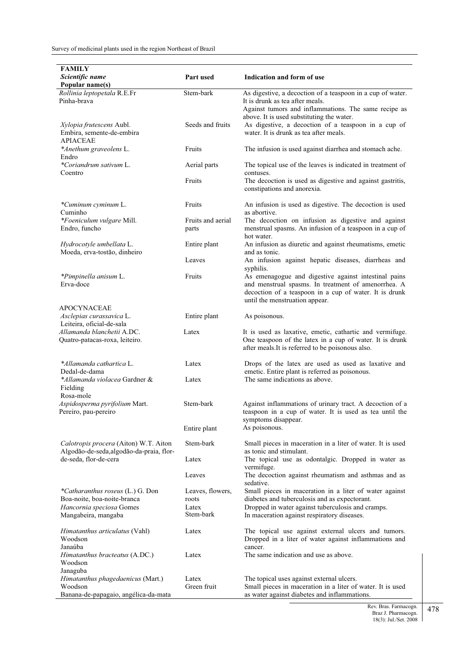| <b>FAMILY</b>                                                |                   |                                                                                                       |
|--------------------------------------------------------------|-------------------|-------------------------------------------------------------------------------------------------------|
| Scientific name                                              | Part used         | Indication and form of use                                                                            |
| Popular name(s)                                              |                   |                                                                                                       |
| Rollinia leptopetala R.E.Fr                                  | Stem-bark         | As digestive, a decoction of a teaspoon in a cup of water.                                            |
| Pinha-brava                                                  |                   | It is drunk as tea after meals.                                                                       |
|                                                              |                   | Against tumors and inflammations. The same recipe as                                                  |
|                                                              | Seeds and fruits  | above. It is used substituting the water.                                                             |
| <i>Xylopia frutescens</i> Aubl.<br>Embira, semente-de-embira |                   | As digestive, a decoction of a teaspoon in a cup of<br>water. It is drunk as tea after meals.         |
| <b>APIACEAE</b>                                              |                   |                                                                                                       |
| *Anethum graveolens L.                                       | Fruits            | The infusion is used against diarrhea and stomach ache.                                               |
| Endro                                                        |                   |                                                                                                       |
| *Coriandrum sativum L.                                       | Aerial parts      | The topical use of the leaves is indicated in treatment of                                            |
| Coentro                                                      |                   | contuses.                                                                                             |
|                                                              | Fruits            | The decoction is used as digestive and against gastritis,                                             |
|                                                              |                   | constipations and anorexia.                                                                           |
| *Cuminum cyminum L.                                          | Fruits            | An infusion is used as digestive. The decoction is used                                               |
| Cuminho                                                      |                   | as abortive.                                                                                          |
| <i>*Foeniculum vulgare Mill.</i>                             | Fruits and aerial | The decoction on infusion as digestive and against                                                    |
| Endro, funcho                                                | parts             | menstrual spasms. An infusion of a teaspoon in a cup of                                               |
|                                                              |                   | hot water.                                                                                            |
| Hydrocotyle umbellata L.                                     | Entire plant      | An infusion as diuretic and against rheumatisms, emetic                                               |
| Moeda, erva-tostão, dinheiro                                 | Leaves            | and as tonic.<br>An infusion against hepatic diseases, diarrheas and                                  |
|                                                              |                   | syphilis.                                                                                             |
| *Pimpinella anisum L.                                        | Fruits            | As emenagogue and digestive against intestinal pains                                                  |
| Erva-doce                                                    |                   | and menstrual spasms. In treatment of amenorrhea. A                                                   |
|                                                              |                   | decoction of a teaspoon in a cup of water. It is drunk                                                |
|                                                              |                   | until the menstruation appear.                                                                        |
| <b>APOCYNACEAE</b>                                           |                   |                                                                                                       |
| Asclepias curassavica L.<br>Leiteira, oficial-de-sala        | Entire plant      | As poisonous.                                                                                         |
| Allamanda blanchetii A.DC.                                   | Latex             | It is used as laxative, emetic, cathartic and vermifuge.                                              |
| Quatro-patacas-roxa, leiteiro.                               |                   | One teaspoon of the latex in a cup of water. It is drunk                                              |
|                                                              |                   | after meals. It is referred to be poisonous also.                                                     |
| *Allamanda cathartica L.                                     |                   |                                                                                                       |
| Dedal-de-dama                                                | Latex             | Drops of the latex are used as used as laxative and<br>emetic. Entire plant is referred as poisonous. |
| *Allamanda violacea Gardner &                                | Latex             | The same indications as above.                                                                        |
| Fielding                                                     |                   |                                                                                                       |
| Rosa-mole                                                    |                   |                                                                                                       |
| Aspidosperma pyrifolium Mart.                                | Stem-bark         | Against inflammations of urinary tract. A decoction of a                                              |
| Pereiro, pau-pereiro                                         |                   | teaspoon in a cup of water. It is used as tea until the                                               |
|                                                              |                   | symptoms disappear.<br>As poisonous.                                                                  |
|                                                              | Entire plant      |                                                                                                       |
| Calotropis procera (Aiton) W.T. Aiton                        | Stem-bark         | Small pieces in maceration in a liter of water. It is used                                            |
| Algodão-de-seda, algodão-da-praia, flor-                     |                   | as tonic and stimulant.                                                                               |
| de-seda, flor-de-cera                                        | Latex             | The topical use as odontalgic. Dropped in water as                                                    |
|                                                              |                   | vermifuge.                                                                                            |
|                                                              | Leaves            | The decoction against rheumatism and asthmas and as<br>sedative.                                      |
| *Catharanthus roseus (L.) G. Don                             | Leaves, flowers,  | Small pieces in maceration in a liter of water against                                                |
| Boa-noite, boa-noite-branca                                  | roots             | diabetes and tuberculosis and as expectorant.                                                         |
| Hancornia speciosa Gomes                                     | Latex             | Dropped in water against tuberculosis and cramps.                                                     |
| Mangabeira, mangaba                                          | Stem-bark         | In maceration against respiratory diseases.                                                           |
|                                                              |                   |                                                                                                       |
| Himatanthus articulatus (Vahl)                               | Latex             | The topical use against external ulcers and tumors.                                                   |
| Woodson<br>Janaúba                                           |                   | Dropped in a liter of water against inflammations and<br>cancer.                                      |
| Himatanthus bracteatus (A.DC.)                               | Latex             | The same indication and use as above.                                                                 |
| Woodson                                                      |                   |                                                                                                       |
| Janaguba                                                     |                   |                                                                                                       |
| Himatanthus phagedaenicus (Mart.)                            | Latex             | The topical uses against external ulcers.                                                             |
| Woodson                                                      | Green fruit       | Small pieces in maceration in a liter of water. It is used                                            |
| Banana-de-papagaio, angélica-da-mata                         |                   | as water against diabetes and inflammations.                                                          |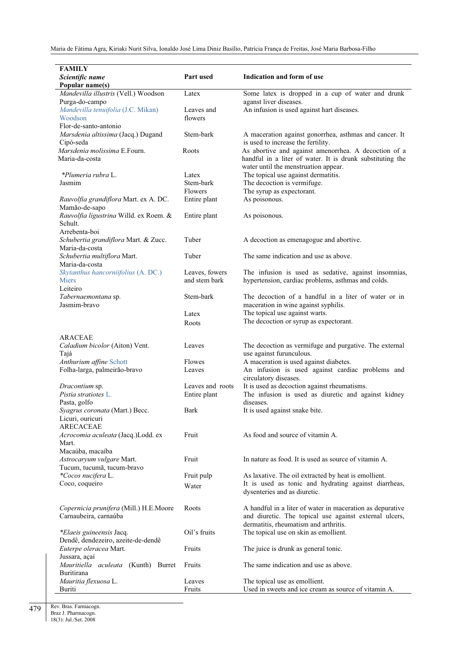| <b>FAMILY</b>                          |                  |                                                           |
|----------------------------------------|------------------|-----------------------------------------------------------|
| Scientific name                        | Part used        | Indication and form of use                                |
| Popular name(s)                        |                  |                                                           |
| Mandevilla illustris (Vell.) Woodson   | Latex            | Some latex is dropped in a cup of water and drunk         |
| Purga-do-campo                         |                  | aganst liver diseases.                                    |
| Mandevilla tenuifolia (J.C. Mikan)     | Leaves and       | An infusion is used against hart diseases.                |
| Woodson                                | flowers          |                                                           |
| Flor-de-santo-antonio                  |                  |                                                           |
| Marsdenia altissima (Jacq.) Dugand     | Stem-bark        | A maceration against gonorrhea, asthmas and cancer. It    |
| Cipó-seda                              |                  | is used to increase the fertility.                        |
| Marsdenia molissima E.Fourn.           | Roots            | As abortive and against amenorrhea. A decoction of a      |
| Maria-da-costa                         |                  | handful in a liter of water. It is drunk substituting the |
|                                        |                  | water until the menstruation appear.                      |
|                                        |                  |                                                           |
| *Plumeria rubra L.                     | Latex            | The topical use against dermatitis.                       |
| Jasmim                                 | Stem-bark        | The decoction is vermifuge.                               |
|                                        | Flowers          | The syrup as expectorant.                                 |
| Rauvolfia grandiflora Mart. ex A. DC.  | Entire plant     | As poisonous.                                             |
| Mamão-de-sapo                          |                  |                                                           |
| Rauvolfia ligustrina Willd. ex Roem. & | Entire plant     | As poisonous.                                             |
| Schult.                                |                  |                                                           |
| Arrebenta-boi                          |                  |                                                           |
| Schubertia grandiflora Mart. & Zucc.   | Tuber            | A decoction as emenagogue and abortive.                   |
| Maria-da-costa                         |                  |                                                           |
| Schubertia multiflora Mart.            | Tuber            | The same indication and use as above.                     |
| Maria-da-costa                         |                  |                                                           |
| Skytanthus hancorniifolius (A. DC.)    | Leaves, fowers   | The infusion is used as sedative, against insomnias,      |
| <b>Miers</b>                           | and stem bark    | hypertension, cardiac problems, asthmas and colds.        |
|                                        |                  |                                                           |
| Leiteiro                               |                  |                                                           |
| Tabernaemontana sp.                    | Stem-bark        | The decoction of a handful in a liter of water or in      |
| Jasmim-bravo                           |                  | maceration in wine against syphilis.                      |
|                                        | Latex            | The topical use against warts.                            |
|                                        | Roots            | The decoction or syrup as expectorant.                    |
|                                        |                  |                                                           |
| <b>ARACEAE</b>                         |                  |                                                           |
| Caladium bicolor (Aiton) Vent.         | Leaves           | The decoction as vermifuge and purgative. The external    |
| Tajá                                   |                  | use against furunculous.                                  |
| Anthurium affine Schott                | Flowes           | A maceration is used against diabetes.                    |
| Folha-larga, palmeirão-bravo           | Leaves           | An infusion is used against cardiac problems and          |
|                                        |                  | circulatory diseases.                                     |
| Dracontium sp.                         | Leaves and roots | It is used as decoction against rheumatisms.              |
| Pistia stratiotes L.                   | Entire plant     | The infusion is used as diuretic and against kidney       |
| Pasta, golfo                           |                  | diseases.                                                 |
| Syagrus coronata (Mart.) Becc.         | Bark             | It is used against snake bite.                            |
| Licuri, ouricuri                       |                  |                                                           |
| <b>ARECACEAE</b>                       |                  |                                                           |
|                                        |                  | As food and source of vitamin A.                          |
| Acrocomia aculeata (Jacq.)Lodd. ex     | Fruit            |                                                           |
| Mart.                                  |                  |                                                           |
| Macaúba, macaíba                       |                  |                                                           |
| Astrocaryum vulgare Mart.              | Fruit            | In nature as food. It is used as source of vitamin A.     |
| Tucum, tucumã, tucum-bravo             |                  |                                                           |
| *Cocos nucifera L.                     | Fruit pulp       | As laxative. The oil extracted by heat is emollient.      |
| Coco, coqueiro                         | Water            | It is used as tonic and hydrating against diarrheas,      |
|                                        |                  | dysenteries and as diuretic.                              |
|                                        |                  |                                                           |
| Copernicia prunifera (Mill.) H.E.Moore | Roots            | A handful in a liter of water in maceration as depurative |
| Carnaubeira, carnaúba                  |                  | and diuretic. The topical use against external ulcers,    |
|                                        |                  | dermatitis, rheumatism and arthritis.                     |
| *Elaeis guineensis Jacq.               | Oil's fruits     | The topical use on skin as emollient.                     |
| Dendê, dendezeiro, azeite-de-dendê     |                  |                                                           |
| Euterpe oleracea Mart.                 | Fruits           | The juice is drunk as general tonic.                      |
| Jussara, açaí                          |                  |                                                           |
|                                        | Fruits           | The same indication and use as above.                     |
| Mauritiella aculeata (Kunth) Burret    |                  |                                                           |
| Buritirana                             |                  |                                                           |
| Mauritia flexuosa L.                   | Leaves           | The topical use as emollient.                             |
| Buriti                                 | Fruits           | Used in sweets and ice cream as source of vitamin A.      |

Rev. Bras. Farmacogn. Braz J. Pharmacogn.

18(3): Jul./Set. 2008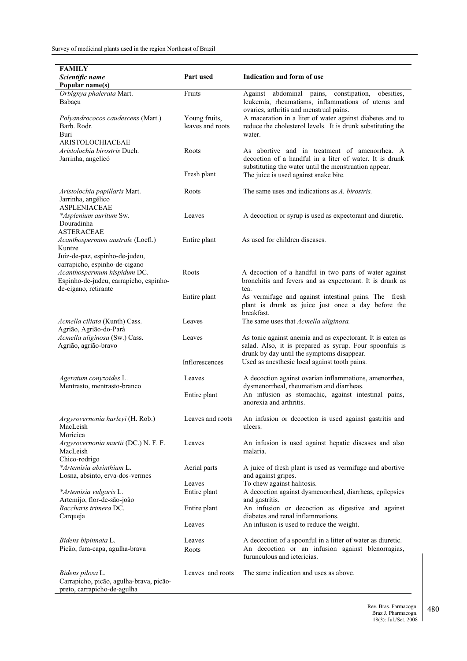| FAMILY                                                  |                  |                                                                                                                       |
|---------------------------------------------------------|------------------|-----------------------------------------------------------------------------------------------------------------------|
| Scientific name                                         | Part used        | Indication and form of use                                                                                            |
| Popular name(s)                                         |                  |                                                                                                                       |
| Orbignya phalerata Mart.                                | Fruits           | Against abdominal pains, constipation,<br>obesities,                                                                  |
| Babaçu                                                  |                  | leukemia, rheumatisms, inflammations of uterus and                                                                    |
|                                                         |                  | ovaries, arthritis and menstrual pains.                                                                               |
| Polyandrococos caudescens (Mart.)                       | Young fruits,    | A maceration in a liter of water against diabetes and to                                                              |
| Barb. Rodr.                                             | leaves and roots | reduce the cholesterol levels. It is drunk substituting the                                                           |
| Buri                                                    |                  | water.                                                                                                                |
| <b>ARISTOLOCHIACEAE</b>                                 |                  |                                                                                                                       |
| Aristolochia birostris Duch.                            | Roots            | As abortive and in treatment of amenorrhea. A                                                                         |
| Jarrinha, angelicó                                      |                  | decoction of a handful in a liter of water. It is drunk                                                               |
|                                                         |                  | substituting the water until the menstruation appear.                                                                 |
|                                                         | Fresh plant      | The juice is used against snake bite.                                                                                 |
|                                                         |                  |                                                                                                                       |
| Aristolochia papillaris Mart.                           | Roots            | The same uses and indications as A. birostris.                                                                        |
| Jarrinha, angélico                                      |                  |                                                                                                                       |
| <b>ASPLENIACEAE</b>                                     |                  |                                                                                                                       |
| *Asplenium auritum Sw.<br>Douradinha                    | Leaves           | A decoction or syrup is used as expectorant and diuretic.                                                             |
| ASTERACEAE                                              |                  |                                                                                                                       |
| Acanthospermum australe (Loefl.)                        | Entire plant     | As used for children diseases.                                                                                        |
| Kuntze                                                  |                  |                                                                                                                       |
| Juiz-de-paz, espinho-de-judeu,                          |                  |                                                                                                                       |
| carrapicho, espinho-de-cigano                           |                  |                                                                                                                       |
| Acanthospermum hispidum DC.                             | Roots            | A decoction of a handful in two parts of water against                                                                |
| Espinho-de-judeu, carrapicho, espinho-                  |                  | bronchitis and fevers and as expectorant. It is drunk as                                                              |
| de-cigano, retirante                                    |                  | tea.                                                                                                                  |
|                                                         | Entire plant     | As vermifuge and against intestinal pains. The fresh                                                                  |
|                                                         |                  | plant is drunk as juice just once a day before the                                                                    |
|                                                         |                  | breakfast.                                                                                                            |
| Acmella ciliata (Kunth) Cass.                           | Leaves           | The same uses that <i>Acmella uliginosa</i> .                                                                         |
| Agrião, Agrião-do-Pará<br>Acmella uliginosa (Sw.) Cass. | Leaves           |                                                                                                                       |
| Agrião, agrião-bravo                                    |                  | As tonic against anemia and as expectorant. It is eaten as<br>salad. Also, it is prepared as syrup. Four spoonfuls is |
|                                                         |                  | drunk by day until the symptoms disappear.                                                                            |
|                                                         | Inflorescences   | Used as anesthesic local against tooth pains.                                                                         |
|                                                         |                  |                                                                                                                       |
| Ageratum conyzoides L.                                  | Leaves           | A decoction against ovarian inflammations, amenorrhea,                                                                |
| Mentrasto, mentrasto-branco                             |                  | dysmenorrheal, rheumatism and diarrheas.                                                                              |
|                                                         | Entire plant     | An infusion as stomachic, against intestinal pains,                                                                   |
|                                                         |                  | anorexia and arthritis.                                                                                               |
|                                                         |                  |                                                                                                                       |
| Argyrovernonia harleyi (H. Rob.)                        | Leaves and roots | An infusion or decoction is used against gastritis and                                                                |
| MacLeish<br>Moricica                                    |                  | ulcers.                                                                                                               |
| Argyrovernonia martii (DC.) N. F. F.                    | Leaves           | An infusion is used against hepatic diseases and also                                                                 |
| MacLeish                                                |                  | malaria.                                                                                                              |
| Chico-rodrigo                                           |                  |                                                                                                                       |
| *Artemisia absinthium L.                                | Aerial parts     | A juice of fresh plant is used as vermifuge and abortive                                                              |
| Losna, absinto, erva-dos-vermes                         |                  | and against gripes.                                                                                                   |
|                                                         | Leaves           | To chew against halitosis.                                                                                            |
| *Artemisia vulgaris L.                                  | Entire plant     | A decoction against dysmenorrheal, diarrheas, epilepsies                                                              |
| Artemijo, flor-de-são-joão                              |                  | and gastritis.                                                                                                        |
| Baccharis trimera DC.                                   | Entire plant     | An infusion or decoction as digestive and against                                                                     |
| Carqueja                                                |                  | diabetes and renal inflammations.                                                                                     |
|                                                         | Leaves           | An infusion is used to reduce the weight.                                                                             |
| Bidens bipinnata L.                                     | Leaves           | A decoction of a spoonful in a litter of water as diuretic.                                                           |
| Picão, fura-capa, agulha-brava                          | Roots            | An decoction or an infusion against blenorragias,                                                                     |
|                                                         |                  | furunculous and ictericias.                                                                                           |
|                                                         |                  |                                                                                                                       |
| Bidens pilosa L.                                        | Leaves and roots | The same indication and uses as above.                                                                                |
| Carrapicho, picão, agulha-brava, picão-                 |                  |                                                                                                                       |
| preto, carrapicho-de-agulha                             |                  |                                                                                                                       |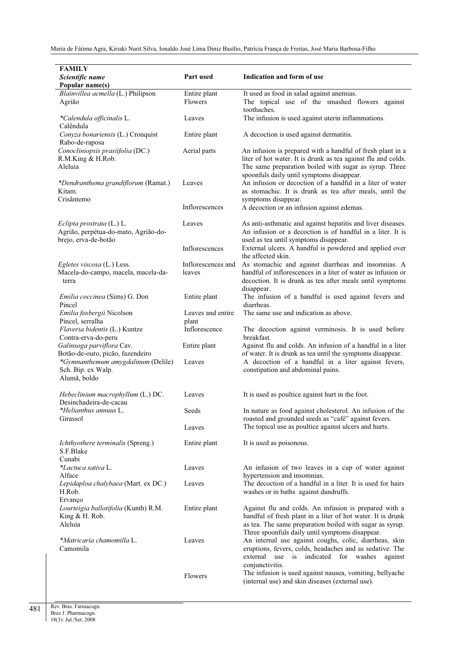| <b>FAMILY</b>                                        |                        |                                                                                                                         |
|------------------------------------------------------|------------------------|-------------------------------------------------------------------------------------------------------------------------|
| Scientific name                                      | Part used              | Indication and form of use                                                                                              |
| Popular name(s)                                      |                        |                                                                                                                         |
| Blainvillea acmella (L.) Philipson                   | Entire plant           | It used as food in salad against anemias.                                                                               |
| Agrião                                               | Flowers                | The topical use of the smashed flowers against                                                                          |
|                                                      |                        | toothaches.                                                                                                             |
| *Calendula officinalis L.                            | Leaves                 | The infusion is used against uterin inflammations.                                                                      |
| Calêndula                                            |                        |                                                                                                                         |
| Conyza bonariensis (L.) Cronquist                    | Entire plant           | A decoction is used against dermatitis.                                                                                 |
| Rabo-de-raposa                                       |                        |                                                                                                                         |
| Conocliniopsis prasiifolia (DC.)                     | Aerial parts           | An infusion is prepared with a handful of fresh plant in a                                                              |
| R.M.King & H.Rob.                                    |                        | liter of hot water. It is drunk as tea against flu and colds.                                                           |
| Aleluia                                              |                        | The same preparation boiled with sugar as syrup. Three                                                                  |
|                                                      |                        | spoonfuls daily until symptoms disappear.                                                                               |
| *Dendranthema grandiflorum (Ramat.)                  | Leaves                 | An infusion or decoction of a handful in a liter of water                                                               |
| Kitam.<br>Crisântemo                                 |                        | as stomachic. It is drunk as tea after meals, until the                                                                 |
|                                                      | Inflorescences         | symptoms disappear.<br>A decoction or an infusion against edemas.                                                       |
|                                                      |                        |                                                                                                                         |
| Eclipta prostrata (L.) L.                            | Leaves                 | As anti-asthmatic and against hepatitis and liver diseases.                                                             |
| Agrião, perpétua-do-mato, Agrião-do-                 |                        | An infusion or a decoction is of handful in a liter. It is                                                              |
| brejo, erva-de-botão                                 |                        | used as tea until symptoms disappear.                                                                                   |
|                                                      | Inflorescences         | External ulcers. A handful is powdered and applied over                                                                 |
|                                                      |                        | the affected skin.                                                                                                      |
| Egletes viscosa (L.) Less.                           | Inflorescences and     | As stomachic and against diarrheas and insomnias. A                                                                     |
| Macela-do-campo, macela, macela-da-                  | leaves                 | handful of inflorescences in a liter of water as infusion or                                                            |
| terra                                                |                        | decoction. It is drunk as tea after meals until symptoms                                                                |
|                                                      |                        | disappear.                                                                                                              |
| <i>Emilia coccinea</i> (Sims) G. Don                 | Entire plant           | The infusion of a handful is used against fevers and                                                                    |
| Pincel                                               |                        | diarrheas.                                                                                                              |
| Emilia fosbergii Nicolson                            | Leaves and entire      | The same use and indication as above.                                                                                   |
| Pincel, serralha                                     | plant<br>Inflorescence |                                                                                                                         |
| Flaveria bidentis (L.) Kuntze<br>Contra-erva-do-peru |                        | The decoction against verminosis. It is used before<br>breakfast.                                                       |
| Galinsoga parviflora Cav.                            | Entire plant           | Against flu and colds. An infusion of a handful in a liter                                                              |
| Botão-de-ouro, picão, fazendeiro                     |                        | of water. It is drunk as tea until the symptoms disappear.                                                              |
| *Gymnanthemum amygdalinum (Delile)                   | Leaves                 | A decoction of a handful in a liter against fevers,                                                                     |
| Sch. Bip. ex Walp.                                   |                        | constipation and abdominal pains.                                                                                       |
| Alumã, boldo                                         |                        |                                                                                                                         |
|                                                      |                        |                                                                                                                         |
| Hebeclinium macrophyllum (L.) DC.                    | Leaves                 | It is used as poultice against hurt in the foot.                                                                        |
| Desinchadeira-de-cacau                               |                        | In nature as food against cholesterol. An infusion of the                                                               |
| *Helianthus annuus L.<br>Girassol                    | Seeds                  | roasted and grounded seeds as "café" against fevers.                                                                    |
|                                                      | Leaves                 | The topical use as poultice against ulcers and hurts.                                                                   |
|                                                      |                        |                                                                                                                         |
| Ichthyothere terminalis (Spreng.)                    | Entire plant           | It is used as poisonous.                                                                                                |
| S.F.Blake                                            |                        |                                                                                                                         |
| Cunabi                                               |                        |                                                                                                                         |
| *Lactuca sativa L.                                   | Leaves                 | An infusion of two leaves in a cup of water against                                                                     |
| Alface                                               |                        | hypertension and insomnias.                                                                                             |
| Lepidaploa chalybaea (Mart. ex DC.)                  | Leaves                 | The decoction of a handful in a liter. It is used for hairs                                                             |
| H.Rob.                                               |                        | washes or in baths against dandruffs.                                                                                   |
| Ervanço                                              |                        |                                                                                                                         |
| Lourteigia ballotifolia (Kunth) R.M.                 | Entire plant           | Against flu and colds. An infusion is prepared with a                                                                   |
| King $&H. Rob.$<br>Aleluia                           |                        | handful of fresh plant in a liter of hot water. It is drunk<br>as tea. The same preparation boiled with sugar as syrup. |
|                                                      |                        | Three spoonfuls daily until symptoms disappear.                                                                         |
| *Matricaria chamomilla L.                            | Leaves                 | An internal use against coughs, colic, diarrheas, skin                                                                  |
| Camomila                                             |                        | eruptions, fevers, colds, headaches and as sedative. The                                                                |
|                                                      |                        | external<br>use is indicated for<br>washes<br>against                                                                   |
|                                                      |                        | conjunctivitis.                                                                                                         |
|                                                      | Flowers                | The infusion is used against nausea, vomiting, bellyache                                                                |
|                                                      |                        | (internal use) and skin diseases (external use).                                                                        |
|                                                      |                        |                                                                                                                         |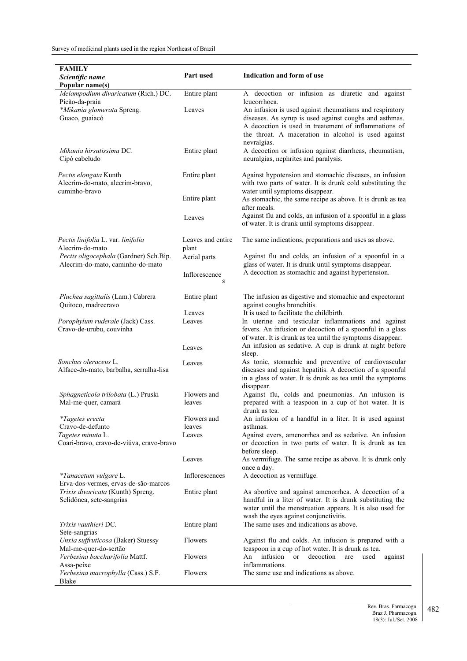| Popular name(s)<br>Melampodium divaricatum (Rich.) DC.<br>Entire plant<br>A decoction or infusion as diuretic and against<br>Picão-da-praia<br>leucorrhoea.<br>*Mikania glomerata Spreng.<br>Leaves<br>An infusion is used against rheumatisms and respiratory<br>Guaco, guaiacó<br>diseases. As syrup is used against coughs and asthmas.<br>A decoction is used in treatement of inflammations of<br>the throat. A maceration in alcohol is used against<br>nevralgias.<br>Mikania hirsutissima DC.<br>Entire plant<br>A decoction or infusion against diarrheas, rheumatism,<br>Cipó cabeludo<br>neuralgias, nephrites and paralysis.<br>Pectis elongata Kunth<br>Entire plant<br>Against hypotension and stomachic diseases, an infusion<br>Alecrim-do-mato, alecrim-bravo,<br>with two parts of water. It is drunk cold substituting the<br>water until symptoms disappear.<br>cuminho-bravo<br>Entire plant<br>As stomachic, the same recipe as above. It is drunk as tea<br>after meals.<br>Against flu and colds, an infusion of a spoonful in a glass<br>Leaves<br>of water. It is drunk until symptoms disappear.<br>Pectis linifolia L. var. linifolia<br>Leaves and entire<br>The same indications, preparations and uses as above.<br>Alecrim-do-mato<br>plant<br>Pectis oligocephala (Gardner) Sch.Bip.<br>Against flu and colds, an infusion of a spoonful in a<br>Aerial parts<br>glass of water. It is drunk until symptoms disappear.<br>Alecrim-do-mato, caminho-do-mato<br>A decoction as stomachic and against hypertension.<br>Inflorescence<br>S<br>The infusion as digestive and stomachic and expectorant<br>Pluchea sagittalis (Lam.) Cabrera<br>Entire plant<br>Quitoco, madrecravo<br>against coughs bronchitis.<br>It is used to facilitate the childbirth.<br>Leaves<br>In uterine and testicular inflammations and against<br>Porophylum ruderale (Jack) Cass.<br>Leaves<br>Cravo-de-urubu, couvinha<br>fevers. An infusion or decoction of a spoonful in a glass<br>of water. It is drunk as tea until the symptoms disappear.<br>An infusion as sedative. A cup is drunk at night before<br>Leaves<br>sleep.<br>Sonchus oleraceus L.<br>As tonic, stomachic and preventive of cardiovascular<br>Leaves<br>diseases and against hepatitis. A decoction of a spoonful<br>Alface-do-mato, barbalha, serralha-lisa<br>in a glass of water. It is drunk as tea until the symptoms<br>disappear.<br>Against flu, colds and pneumonias. An infusion is<br>Sphagneticola trilobata (L.) Pruski<br>Flowers and<br>Mal-me-quer, camará<br>prepared with a teaspoon in a cup of hot water. It is<br>leaves<br>drunk as tea.<br>*Tagetes erecta<br>Flowers and<br>An infusion of a handful in a liter. It is used against<br>Cravo-de-defunto<br>leaves<br>asthmas.<br>Tagetes minuta L.<br>Against evers, amenorrhea and as sedative. An infusion<br>Leaves<br>Coari-bravo, cravo-de-viúva, cravo-bravo<br>or decoction in two parts of water. It is drunk as tea<br>before sleep.<br>As vermifuge. The same recipe as above. It is drunk only<br>Leaves<br>once a day.<br>A decoction as vermifuge.<br>*Tanacetum vulgare L.<br>Inflorescences<br>Erva-dos-vermes, ervas-de-são-marcos<br>Trixis divaricata (Kunth) Spreng.<br>Entire plant<br>As abortive and against amenorrhea. A decoction of a<br>handful in a liter of water. It is drunk substituting the<br>Selidônea, sete-sangrias<br>water until the menstruation appears. It is also used for<br>wash the eyes against conjunctivitis.<br>The same uses and indications as above.<br>Trixis vauthieri DC.<br>Entire plant<br>Sete-sangrias<br>Unxia suffruticosa (Baker) Stuessy<br>Flowers<br>Against flu and colds. An infusion is prepared with a<br>Mal-me-quer-do-sertão<br>teaspoon in a cup of hot water. It is drunk as tea.<br>infusion<br>Verbesina baccharifolia Mattf.<br>Flowers<br>An<br>or<br>decoction<br>are<br>used<br>against<br>inflammations.<br>Assa-peixe<br>The same use and indications as above.<br>Verbesina macrophylla (Cass.) S.F.<br>Flowers<br>Blake | FAMILY<br>Scientific name | Part used | Indication and form of use |
|-------------------------------------------------------------------------------------------------------------------------------------------------------------------------------------------------------------------------------------------------------------------------------------------------------------------------------------------------------------------------------------------------------------------------------------------------------------------------------------------------------------------------------------------------------------------------------------------------------------------------------------------------------------------------------------------------------------------------------------------------------------------------------------------------------------------------------------------------------------------------------------------------------------------------------------------------------------------------------------------------------------------------------------------------------------------------------------------------------------------------------------------------------------------------------------------------------------------------------------------------------------------------------------------------------------------------------------------------------------------------------------------------------------------------------------------------------------------------------------------------------------------------------------------------------------------------------------------------------------------------------------------------------------------------------------------------------------------------------------------------------------------------------------------------------------------------------------------------------------------------------------------------------------------------------------------------------------------------------------------------------------------------------------------------------------------------------------------------------------------------------------------------------------------------------------------------------------------------------------------------------------------------------------------------------------------------------------------------------------------------------------------------------------------------------------------------------------------------------------------------------------------------------------------------------------------------------------------------------------------------------------------------------------------------------------------------------------------------------------------------------------------------------------------------------------------------------------------------------------------------------------------------------------------------------------------------------------------------------------------------------------------------------------------------------------------------------------------------------------------------------------------------------------------------------------------------------------------------------------------------------------------------------------------------------------------------------------------------------------------------------------------------------------------------------------------------------------------------------------------------------------------------------------------------------------------------------------------------------------------------------------------------------------------------------------------------------------------------------------------------------------------------------------------------------------------------------------------------------------------------------------------------------------------------------------------------------------------------------------------------------------------------------------------------------------------------|---------------------------|-----------|----------------------------|
|                                                                                                                                                                                                                                                                                                                                                                                                                                                                                                                                                                                                                                                                                                                                                                                                                                                                                                                                                                                                                                                                                                                                                                                                                                                                                                                                                                                                                                                                                                                                                                                                                                                                                                                                                                                                                                                                                                                                                                                                                                                                                                                                                                                                                                                                                                                                                                                                                                                                                                                                                                                                                                                                                                                                                                                                                                                                                                                                                                                                                                                                                                                                                                                                                                                                                                                                                                                                                                                                                                                                                                                                                                                                                                                                                                                                                                                                                                                                                                                                                                                                         |                           |           |                            |
|                                                                                                                                                                                                                                                                                                                                                                                                                                                                                                                                                                                                                                                                                                                                                                                                                                                                                                                                                                                                                                                                                                                                                                                                                                                                                                                                                                                                                                                                                                                                                                                                                                                                                                                                                                                                                                                                                                                                                                                                                                                                                                                                                                                                                                                                                                                                                                                                                                                                                                                                                                                                                                                                                                                                                                                                                                                                                                                                                                                                                                                                                                                                                                                                                                                                                                                                                                                                                                                                                                                                                                                                                                                                                                                                                                                                                                                                                                                                                                                                                                                                         |                           |           |                            |
|                                                                                                                                                                                                                                                                                                                                                                                                                                                                                                                                                                                                                                                                                                                                                                                                                                                                                                                                                                                                                                                                                                                                                                                                                                                                                                                                                                                                                                                                                                                                                                                                                                                                                                                                                                                                                                                                                                                                                                                                                                                                                                                                                                                                                                                                                                                                                                                                                                                                                                                                                                                                                                                                                                                                                                                                                                                                                                                                                                                                                                                                                                                                                                                                                                                                                                                                                                                                                                                                                                                                                                                                                                                                                                                                                                                                                                                                                                                                                                                                                                                                         |                           |           |                            |
|                                                                                                                                                                                                                                                                                                                                                                                                                                                                                                                                                                                                                                                                                                                                                                                                                                                                                                                                                                                                                                                                                                                                                                                                                                                                                                                                                                                                                                                                                                                                                                                                                                                                                                                                                                                                                                                                                                                                                                                                                                                                                                                                                                                                                                                                                                                                                                                                                                                                                                                                                                                                                                                                                                                                                                                                                                                                                                                                                                                                                                                                                                                                                                                                                                                                                                                                                                                                                                                                                                                                                                                                                                                                                                                                                                                                                                                                                                                                                                                                                                                                         |                           |           |                            |
|                                                                                                                                                                                                                                                                                                                                                                                                                                                                                                                                                                                                                                                                                                                                                                                                                                                                                                                                                                                                                                                                                                                                                                                                                                                                                                                                                                                                                                                                                                                                                                                                                                                                                                                                                                                                                                                                                                                                                                                                                                                                                                                                                                                                                                                                                                                                                                                                                                                                                                                                                                                                                                                                                                                                                                                                                                                                                                                                                                                                                                                                                                                                                                                                                                                                                                                                                                                                                                                                                                                                                                                                                                                                                                                                                                                                                                                                                                                                                                                                                                                                         |                           |           |                            |
|                                                                                                                                                                                                                                                                                                                                                                                                                                                                                                                                                                                                                                                                                                                                                                                                                                                                                                                                                                                                                                                                                                                                                                                                                                                                                                                                                                                                                                                                                                                                                                                                                                                                                                                                                                                                                                                                                                                                                                                                                                                                                                                                                                                                                                                                                                                                                                                                                                                                                                                                                                                                                                                                                                                                                                                                                                                                                                                                                                                                                                                                                                                                                                                                                                                                                                                                                                                                                                                                                                                                                                                                                                                                                                                                                                                                                                                                                                                                                                                                                                                                         |                           |           |                            |
|                                                                                                                                                                                                                                                                                                                                                                                                                                                                                                                                                                                                                                                                                                                                                                                                                                                                                                                                                                                                                                                                                                                                                                                                                                                                                                                                                                                                                                                                                                                                                                                                                                                                                                                                                                                                                                                                                                                                                                                                                                                                                                                                                                                                                                                                                                                                                                                                                                                                                                                                                                                                                                                                                                                                                                                                                                                                                                                                                                                                                                                                                                                                                                                                                                                                                                                                                                                                                                                                                                                                                                                                                                                                                                                                                                                                                                                                                                                                                                                                                                                                         |                           |           |                            |
|                                                                                                                                                                                                                                                                                                                                                                                                                                                                                                                                                                                                                                                                                                                                                                                                                                                                                                                                                                                                                                                                                                                                                                                                                                                                                                                                                                                                                                                                                                                                                                                                                                                                                                                                                                                                                                                                                                                                                                                                                                                                                                                                                                                                                                                                                                                                                                                                                                                                                                                                                                                                                                                                                                                                                                                                                                                                                                                                                                                                                                                                                                                                                                                                                                                                                                                                                                                                                                                                                                                                                                                                                                                                                                                                                                                                                                                                                                                                                                                                                                                                         |                           |           |                            |
|                                                                                                                                                                                                                                                                                                                                                                                                                                                                                                                                                                                                                                                                                                                                                                                                                                                                                                                                                                                                                                                                                                                                                                                                                                                                                                                                                                                                                                                                                                                                                                                                                                                                                                                                                                                                                                                                                                                                                                                                                                                                                                                                                                                                                                                                                                                                                                                                                                                                                                                                                                                                                                                                                                                                                                                                                                                                                                                                                                                                                                                                                                                                                                                                                                                                                                                                                                                                                                                                                                                                                                                                                                                                                                                                                                                                                                                                                                                                                                                                                                                                         |                           |           |                            |
|                                                                                                                                                                                                                                                                                                                                                                                                                                                                                                                                                                                                                                                                                                                                                                                                                                                                                                                                                                                                                                                                                                                                                                                                                                                                                                                                                                                                                                                                                                                                                                                                                                                                                                                                                                                                                                                                                                                                                                                                                                                                                                                                                                                                                                                                                                                                                                                                                                                                                                                                                                                                                                                                                                                                                                                                                                                                                                                                                                                                                                                                                                                                                                                                                                                                                                                                                                                                                                                                                                                                                                                                                                                                                                                                                                                                                                                                                                                                                                                                                                                                         |                           |           |                            |
|                                                                                                                                                                                                                                                                                                                                                                                                                                                                                                                                                                                                                                                                                                                                                                                                                                                                                                                                                                                                                                                                                                                                                                                                                                                                                                                                                                                                                                                                                                                                                                                                                                                                                                                                                                                                                                                                                                                                                                                                                                                                                                                                                                                                                                                                                                                                                                                                                                                                                                                                                                                                                                                                                                                                                                                                                                                                                                                                                                                                                                                                                                                                                                                                                                                                                                                                                                                                                                                                                                                                                                                                                                                                                                                                                                                                                                                                                                                                                                                                                                                                         |                           |           |                            |
|                                                                                                                                                                                                                                                                                                                                                                                                                                                                                                                                                                                                                                                                                                                                                                                                                                                                                                                                                                                                                                                                                                                                                                                                                                                                                                                                                                                                                                                                                                                                                                                                                                                                                                                                                                                                                                                                                                                                                                                                                                                                                                                                                                                                                                                                                                                                                                                                                                                                                                                                                                                                                                                                                                                                                                                                                                                                                                                                                                                                                                                                                                                                                                                                                                                                                                                                                                                                                                                                                                                                                                                                                                                                                                                                                                                                                                                                                                                                                                                                                                                                         |                           |           |                            |
|                                                                                                                                                                                                                                                                                                                                                                                                                                                                                                                                                                                                                                                                                                                                                                                                                                                                                                                                                                                                                                                                                                                                                                                                                                                                                                                                                                                                                                                                                                                                                                                                                                                                                                                                                                                                                                                                                                                                                                                                                                                                                                                                                                                                                                                                                                                                                                                                                                                                                                                                                                                                                                                                                                                                                                                                                                                                                                                                                                                                                                                                                                                                                                                                                                                                                                                                                                                                                                                                                                                                                                                                                                                                                                                                                                                                                                                                                                                                                                                                                                                                         |                           |           |                            |
|                                                                                                                                                                                                                                                                                                                                                                                                                                                                                                                                                                                                                                                                                                                                                                                                                                                                                                                                                                                                                                                                                                                                                                                                                                                                                                                                                                                                                                                                                                                                                                                                                                                                                                                                                                                                                                                                                                                                                                                                                                                                                                                                                                                                                                                                                                                                                                                                                                                                                                                                                                                                                                                                                                                                                                                                                                                                                                                                                                                                                                                                                                                                                                                                                                                                                                                                                                                                                                                                                                                                                                                                                                                                                                                                                                                                                                                                                                                                                                                                                                                                         |                           |           |                            |
|                                                                                                                                                                                                                                                                                                                                                                                                                                                                                                                                                                                                                                                                                                                                                                                                                                                                                                                                                                                                                                                                                                                                                                                                                                                                                                                                                                                                                                                                                                                                                                                                                                                                                                                                                                                                                                                                                                                                                                                                                                                                                                                                                                                                                                                                                                                                                                                                                                                                                                                                                                                                                                                                                                                                                                                                                                                                                                                                                                                                                                                                                                                                                                                                                                                                                                                                                                                                                                                                                                                                                                                                                                                                                                                                                                                                                                                                                                                                                                                                                                                                         |                           |           |                            |
|                                                                                                                                                                                                                                                                                                                                                                                                                                                                                                                                                                                                                                                                                                                                                                                                                                                                                                                                                                                                                                                                                                                                                                                                                                                                                                                                                                                                                                                                                                                                                                                                                                                                                                                                                                                                                                                                                                                                                                                                                                                                                                                                                                                                                                                                                                                                                                                                                                                                                                                                                                                                                                                                                                                                                                                                                                                                                                                                                                                                                                                                                                                                                                                                                                                                                                                                                                                                                                                                                                                                                                                                                                                                                                                                                                                                                                                                                                                                                                                                                                                                         |                           |           |                            |
|                                                                                                                                                                                                                                                                                                                                                                                                                                                                                                                                                                                                                                                                                                                                                                                                                                                                                                                                                                                                                                                                                                                                                                                                                                                                                                                                                                                                                                                                                                                                                                                                                                                                                                                                                                                                                                                                                                                                                                                                                                                                                                                                                                                                                                                                                                                                                                                                                                                                                                                                                                                                                                                                                                                                                                                                                                                                                                                                                                                                                                                                                                                                                                                                                                                                                                                                                                                                                                                                                                                                                                                                                                                                                                                                                                                                                                                                                                                                                                                                                                                                         |                           |           |                            |
|                                                                                                                                                                                                                                                                                                                                                                                                                                                                                                                                                                                                                                                                                                                                                                                                                                                                                                                                                                                                                                                                                                                                                                                                                                                                                                                                                                                                                                                                                                                                                                                                                                                                                                                                                                                                                                                                                                                                                                                                                                                                                                                                                                                                                                                                                                                                                                                                                                                                                                                                                                                                                                                                                                                                                                                                                                                                                                                                                                                                                                                                                                                                                                                                                                                                                                                                                                                                                                                                                                                                                                                                                                                                                                                                                                                                                                                                                                                                                                                                                                                                         |                           |           |                            |
|                                                                                                                                                                                                                                                                                                                                                                                                                                                                                                                                                                                                                                                                                                                                                                                                                                                                                                                                                                                                                                                                                                                                                                                                                                                                                                                                                                                                                                                                                                                                                                                                                                                                                                                                                                                                                                                                                                                                                                                                                                                                                                                                                                                                                                                                                                                                                                                                                                                                                                                                                                                                                                                                                                                                                                                                                                                                                                                                                                                                                                                                                                                                                                                                                                                                                                                                                                                                                                                                                                                                                                                                                                                                                                                                                                                                                                                                                                                                                                                                                                                                         |                           |           |                            |
|                                                                                                                                                                                                                                                                                                                                                                                                                                                                                                                                                                                                                                                                                                                                                                                                                                                                                                                                                                                                                                                                                                                                                                                                                                                                                                                                                                                                                                                                                                                                                                                                                                                                                                                                                                                                                                                                                                                                                                                                                                                                                                                                                                                                                                                                                                                                                                                                                                                                                                                                                                                                                                                                                                                                                                                                                                                                                                                                                                                                                                                                                                                                                                                                                                                                                                                                                                                                                                                                                                                                                                                                                                                                                                                                                                                                                                                                                                                                                                                                                                                                         |                           |           |                            |
|                                                                                                                                                                                                                                                                                                                                                                                                                                                                                                                                                                                                                                                                                                                                                                                                                                                                                                                                                                                                                                                                                                                                                                                                                                                                                                                                                                                                                                                                                                                                                                                                                                                                                                                                                                                                                                                                                                                                                                                                                                                                                                                                                                                                                                                                                                                                                                                                                                                                                                                                                                                                                                                                                                                                                                                                                                                                                                                                                                                                                                                                                                                                                                                                                                                                                                                                                                                                                                                                                                                                                                                                                                                                                                                                                                                                                                                                                                                                                                                                                                                                         |                           |           |                            |
|                                                                                                                                                                                                                                                                                                                                                                                                                                                                                                                                                                                                                                                                                                                                                                                                                                                                                                                                                                                                                                                                                                                                                                                                                                                                                                                                                                                                                                                                                                                                                                                                                                                                                                                                                                                                                                                                                                                                                                                                                                                                                                                                                                                                                                                                                                                                                                                                                                                                                                                                                                                                                                                                                                                                                                                                                                                                                                                                                                                                                                                                                                                                                                                                                                                                                                                                                                                                                                                                                                                                                                                                                                                                                                                                                                                                                                                                                                                                                                                                                                                                         |                           |           |                            |
|                                                                                                                                                                                                                                                                                                                                                                                                                                                                                                                                                                                                                                                                                                                                                                                                                                                                                                                                                                                                                                                                                                                                                                                                                                                                                                                                                                                                                                                                                                                                                                                                                                                                                                                                                                                                                                                                                                                                                                                                                                                                                                                                                                                                                                                                                                                                                                                                                                                                                                                                                                                                                                                                                                                                                                                                                                                                                                                                                                                                                                                                                                                                                                                                                                                                                                                                                                                                                                                                                                                                                                                                                                                                                                                                                                                                                                                                                                                                                                                                                                                                         |                           |           |                            |
|                                                                                                                                                                                                                                                                                                                                                                                                                                                                                                                                                                                                                                                                                                                                                                                                                                                                                                                                                                                                                                                                                                                                                                                                                                                                                                                                                                                                                                                                                                                                                                                                                                                                                                                                                                                                                                                                                                                                                                                                                                                                                                                                                                                                                                                                                                                                                                                                                                                                                                                                                                                                                                                                                                                                                                                                                                                                                                                                                                                                                                                                                                                                                                                                                                                                                                                                                                                                                                                                                                                                                                                                                                                                                                                                                                                                                                                                                                                                                                                                                                                                         |                           |           |                            |
|                                                                                                                                                                                                                                                                                                                                                                                                                                                                                                                                                                                                                                                                                                                                                                                                                                                                                                                                                                                                                                                                                                                                                                                                                                                                                                                                                                                                                                                                                                                                                                                                                                                                                                                                                                                                                                                                                                                                                                                                                                                                                                                                                                                                                                                                                                                                                                                                                                                                                                                                                                                                                                                                                                                                                                                                                                                                                                                                                                                                                                                                                                                                                                                                                                                                                                                                                                                                                                                                                                                                                                                                                                                                                                                                                                                                                                                                                                                                                                                                                                                                         |                           |           |                            |
|                                                                                                                                                                                                                                                                                                                                                                                                                                                                                                                                                                                                                                                                                                                                                                                                                                                                                                                                                                                                                                                                                                                                                                                                                                                                                                                                                                                                                                                                                                                                                                                                                                                                                                                                                                                                                                                                                                                                                                                                                                                                                                                                                                                                                                                                                                                                                                                                                                                                                                                                                                                                                                                                                                                                                                                                                                                                                                                                                                                                                                                                                                                                                                                                                                                                                                                                                                                                                                                                                                                                                                                                                                                                                                                                                                                                                                                                                                                                                                                                                                                                         |                           |           |                            |
|                                                                                                                                                                                                                                                                                                                                                                                                                                                                                                                                                                                                                                                                                                                                                                                                                                                                                                                                                                                                                                                                                                                                                                                                                                                                                                                                                                                                                                                                                                                                                                                                                                                                                                                                                                                                                                                                                                                                                                                                                                                                                                                                                                                                                                                                                                                                                                                                                                                                                                                                                                                                                                                                                                                                                                                                                                                                                                                                                                                                                                                                                                                                                                                                                                                                                                                                                                                                                                                                                                                                                                                                                                                                                                                                                                                                                                                                                                                                                                                                                                                                         |                           |           |                            |
|                                                                                                                                                                                                                                                                                                                                                                                                                                                                                                                                                                                                                                                                                                                                                                                                                                                                                                                                                                                                                                                                                                                                                                                                                                                                                                                                                                                                                                                                                                                                                                                                                                                                                                                                                                                                                                                                                                                                                                                                                                                                                                                                                                                                                                                                                                                                                                                                                                                                                                                                                                                                                                                                                                                                                                                                                                                                                                                                                                                                                                                                                                                                                                                                                                                                                                                                                                                                                                                                                                                                                                                                                                                                                                                                                                                                                                                                                                                                                                                                                                                                         |                           |           |                            |
|                                                                                                                                                                                                                                                                                                                                                                                                                                                                                                                                                                                                                                                                                                                                                                                                                                                                                                                                                                                                                                                                                                                                                                                                                                                                                                                                                                                                                                                                                                                                                                                                                                                                                                                                                                                                                                                                                                                                                                                                                                                                                                                                                                                                                                                                                                                                                                                                                                                                                                                                                                                                                                                                                                                                                                                                                                                                                                                                                                                                                                                                                                                                                                                                                                                                                                                                                                                                                                                                                                                                                                                                                                                                                                                                                                                                                                                                                                                                                                                                                                                                         |                           |           |                            |
|                                                                                                                                                                                                                                                                                                                                                                                                                                                                                                                                                                                                                                                                                                                                                                                                                                                                                                                                                                                                                                                                                                                                                                                                                                                                                                                                                                                                                                                                                                                                                                                                                                                                                                                                                                                                                                                                                                                                                                                                                                                                                                                                                                                                                                                                                                                                                                                                                                                                                                                                                                                                                                                                                                                                                                                                                                                                                                                                                                                                                                                                                                                                                                                                                                                                                                                                                                                                                                                                                                                                                                                                                                                                                                                                                                                                                                                                                                                                                                                                                                                                         |                           |           |                            |
|                                                                                                                                                                                                                                                                                                                                                                                                                                                                                                                                                                                                                                                                                                                                                                                                                                                                                                                                                                                                                                                                                                                                                                                                                                                                                                                                                                                                                                                                                                                                                                                                                                                                                                                                                                                                                                                                                                                                                                                                                                                                                                                                                                                                                                                                                                                                                                                                                                                                                                                                                                                                                                                                                                                                                                                                                                                                                                                                                                                                                                                                                                                                                                                                                                                                                                                                                                                                                                                                                                                                                                                                                                                                                                                                                                                                                                                                                                                                                                                                                                                                         |                           |           |                            |
|                                                                                                                                                                                                                                                                                                                                                                                                                                                                                                                                                                                                                                                                                                                                                                                                                                                                                                                                                                                                                                                                                                                                                                                                                                                                                                                                                                                                                                                                                                                                                                                                                                                                                                                                                                                                                                                                                                                                                                                                                                                                                                                                                                                                                                                                                                                                                                                                                                                                                                                                                                                                                                                                                                                                                                                                                                                                                                                                                                                                                                                                                                                                                                                                                                                                                                                                                                                                                                                                                                                                                                                                                                                                                                                                                                                                                                                                                                                                                                                                                                                                         |                           |           |                            |
|                                                                                                                                                                                                                                                                                                                                                                                                                                                                                                                                                                                                                                                                                                                                                                                                                                                                                                                                                                                                                                                                                                                                                                                                                                                                                                                                                                                                                                                                                                                                                                                                                                                                                                                                                                                                                                                                                                                                                                                                                                                                                                                                                                                                                                                                                                                                                                                                                                                                                                                                                                                                                                                                                                                                                                                                                                                                                                                                                                                                                                                                                                                                                                                                                                                                                                                                                                                                                                                                                                                                                                                                                                                                                                                                                                                                                                                                                                                                                                                                                                                                         |                           |           |                            |
|                                                                                                                                                                                                                                                                                                                                                                                                                                                                                                                                                                                                                                                                                                                                                                                                                                                                                                                                                                                                                                                                                                                                                                                                                                                                                                                                                                                                                                                                                                                                                                                                                                                                                                                                                                                                                                                                                                                                                                                                                                                                                                                                                                                                                                                                                                                                                                                                                                                                                                                                                                                                                                                                                                                                                                                                                                                                                                                                                                                                                                                                                                                                                                                                                                                                                                                                                                                                                                                                                                                                                                                                                                                                                                                                                                                                                                                                                                                                                                                                                                                                         |                           |           |                            |
|                                                                                                                                                                                                                                                                                                                                                                                                                                                                                                                                                                                                                                                                                                                                                                                                                                                                                                                                                                                                                                                                                                                                                                                                                                                                                                                                                                                                                                                                                                                                                                                                                                                                                                                                                                                                                                                                                                                                                                                                                                                                                                                                                                                                                                                                                                                                                                                                                                                                                                                                                                                                                                                                                                                                                                                                                                                                                                                                                                                                                                                                                                                                                                                                                                                                                                                                                                                                                                                                                                                                                                                                                                                                                                                                                                                                                                                                                                                                                                                                                                                                         |                           |           |                            |
|                                                                                                                                                                                                                                                                                                                                                                                                                                                                                                                                                                                                                                                                                                                                                                                                                                                                                                                                                                                                                                                                                                                                                                                                                                                                                                                                                                                                                                                                                                                                                                                                                                                                                                                                                                                                                                                                                                                                                                                                                                                                                                                                                                                                                                                                                                                                                                                                                                                                                                                                                                                                                                                                                                                                                                                                                                                                                                                                                                                                                                                                                                                                                                                                                                                                                                                                                                                                                                                                                                                                                                                                                                                                                                                                                                                                                                                                                                                                                                                                                                                                         |                           |           |                            |
|                                                                                                                                                                                                                                                                                                                                                                                                                                                                                                                                                                                                                                                                                                                                                                                                                                                                                                                                                                                                                                                                                                                                                                                                                                                                                                                                                                                                                                                                                                                                                                                                                                                                                                                                                                                                                                                                                                                                                                                                                                                                                                                                                                                                                                                                                                                                                                                                                                                                                                                                                                                                                                                                                                                                                                                                                                                                                                                                                                                                                                                                                                                                                                                                                                                                                                                                                                                                                                                                                                                                                                                                                                                                                                                                                                                                                                                                                                                                                                                                                                                                         |                           |           |                            |
|                                                                                                                                                                                                                                                                                                                                                                                                                                                                                                                                                                                                                                                                                                                                                                                                                                                                                                                                                                                                                                                                                                                                                                                                                                                                                                                                                                                                                                                                                                                                                                                                                                                                                                                                                                                                                                                                                                                                                                                                                                                                                                                                                                                                                                                                                                                                                                                                                                                                                                                                                                                                                                                                                                                                                                                                                                                                                                                                                                                                                                                                                                                                                                                                                                                                                                                                                                                                                                                                                                                                                                                                                                                                                                                                                                                                                                                                                                                                                                                                                                                                         |                           |           |                            |
|                                                                                                                                                                                                                                                                                                                                                                                                                                                                                                                                                                                                                                                                                                                                                                                                                                                                                                                                                                                                                                                                                                                                                                                                                                                                                                                                                                                                                                                                                                                                                                                                                                                                                                                                                                                                                                                                                                                                                                                                                                                                                                                                                                                                                                                                                                                                                                                                                                                                                                                                                                                                                                                                                                                                                                                                                                                                                                                                                                                                                                                                                                                                                                                                                                                                                                                                                                                                                                                                                                                                                                                                                                                                                                                                                                                                                                                                                                                                                                                                                                                                         |                           |           |                            |
|                                                                                                                                                                                                                                                                                                                                                                                                                                                                                                                                                                                                                                                                                                                                                                                                                                                                                                                                                                                                                                                                                                                                                                                                                                                                                                                                                                                                                                                                                                                                                                                                                                                                                                                                                                                                                                                                                                                                                                                                                                                                                                                                                                                                                                                                                                                                                                                                                                                                                                                                                                                                                                                                                                                                                                                                                                                                                                                                                                                                                                                                                                                                                                                                                                                                                                                                                                                                                                                                                                                                                                                                                                                                                                                                                                                                                                                                                                                                                                                                                                                                         |                           |           |                            |
|                                                                                                                                                                                                                                                                                                                                                                                                                                                                                                                                                                                                                                                                                                                                                                                                                                                                                                                                                                                                                                                                                                                                                                                                                                                                                                                                                                                                                                                                                                                                                                                                                                                                                                                                                                                                                                                                                                                                                                                                                                                                                                                                                                                                                                                                                                                                                                                                                                                                                                                                                                                                                                                                                                                                                                                                                                                                                                                                                                                                                                                                                                                                                                                                                                                                                                                                                                                                                                                                                                                                                                                                                                                                                                                                                                                                                                                                                                                                                                                                                                                                         |                           |           |                            |
|                                                                                                                                                                                                                                                                                                                                                                                                                                                                                                                                                                                                                                                                                                                                                                                                                                                                                                                                                                                                                                                                                                                                                                                                                                                                                                                                                                                                                                                                                                                                                                                                                                                                                                                                                                                                                                                                                                                                                                                                                                                                                                                                                                                                                                                                                                                                                                                                                                                                                                                                                                                                                                                                                                                                                                                                                                                                                                                                                                                                                                                                                                                                                                                                                                                                                                                                                                                                                                                                                                                                                                                                                                                                                                                                                                                                                                                                                                                                                                                                                                                                         |                           |           |                            |
|                                                                                                                                                                                                                                                                                                                                                                                                                                                                                                                                                                                                                                                                                                                                                                                                                                                                                                                                                                                                                                                                                                                                                                                                                                                                                                                                                                                                                                                                                                                                                                                                                                                                                                                                                                                                                                                                                                                                                                                                                                                                                                                                                                                                                                                                                                                                                                                                                                                                                                                                                                                                                                                                                                                                                                                                                                                                                                                                                                                                                                                                                                                                                                                                                                                                                                                                                                                                                                                                                                                                                                                                                                                                                                                                                                                                                                                                                                                                                                                                                                                                         |                           |           |                            |
|                                                                                                                                                                                                                                                                                                                                                                                                                                                                                                                                                                                                                                                                                                                                                                                                                                                                                                                                                                                                                                                                                                                                                                                                                                                                                                                                                                                                                                                                                                                                                                                                                                                                                                                                                                                                                                                                                                                                                                                                                                                                                                                                                                                                                                                                                                                                                                                                                                                                                                                                                                                                                                                                                                                                                                                                                                                                                                                                                                                                                                                                                                                                                                                                                                                                                                                                                                                                                                                                                                                                                                                                                                                                                                                                                                                                                                                                                                                                                                                                                                                                         |                           |           |                            |
|                                                                                                                                                                                                                                                                                                                                                                                                                                                                                                                                                                                                                                                                                                                                                                                                                                                                                                                                                                                                                                                                                                                                                                                                                                                                                                                                                                                                                                                                                                                                                                                                                                                                                                                                                                                                                                                                                                                                                                                                                                                                                                                                                                                                                                                                                                                                                                                                                                                                                                                                                                                                                                                                                                                                                                                                                                                                                                                                                                                                                                                                                                                                                                                                                                                                                                                                                                                                                                                                                                                                                                                                                                                                                                                                                                                                                                                                                                                                                                                                                                                                         |                           |           |                            |
|                                                                                                                                                                                                                                                                                                                                                                                                                                                                                                                                                                                                                                                                                                                                                                                                                                                                                                                                                                                                                                                                                                                                                                                                                                                                                                                                                                                                                                                                                                                                                                                                                                                                                                                                                                                                                                                                                                                                                                                                                                                                                                                                                                                                                                                                                                                                                                                                                                                                                                                                                                                                                                                                                                                                                                                                                                                                                                                                                                                                                                                                                                                                                                                                                                                                                                                                                                                                                                                                                                                                                                                                                                                                                                                                                                                                                                                                                                                                                                                                                                                                         |                           |           |                            |
|                                                                                                                                                                                                                                                                                                                                                                                                                                                                                                                                                                                                                                                                                                                                                                                                                                                                                                                                                                                                                                                                                                                                                                                                                                                                                                                                                                                                                                                                                                                                                                                                                                                                                                                                                                                                                                                                                                                                                                                                                                                                                                                                                                                                                                                                                                                                                                                                                                                                                                                                                                                                                                                                                                                                                                                                                                                                                                                                                                                                                                                                                                                                                                                                                                                                                                                                                                                                                                                                                                                                                                                                                                                                                                                                                                                                                                                                                                                                                                                                                                                                         |                           |           |                            |
|                                                                                                                                                                                                                                                                                                                                                                                                                                                                                                                                                                                                                                                                                                                                                                                                                                                                                                                                                                                                                                                                                                                                                                                                                                                                                                                                                                                                                                                                                                                                                                                                                                                                                                                                                                                                                                                                                                                                                                                                                                                                                                                                                                                                                                                                                                                                                                                                                                                                                                                                                                                                                                                                                                                                                                                                                                                                                                                                                                                                                                                                                                                                                                                                                                                                                                                                                                                                                                                                                                                                                                                                                                                                                                                                                                                                                                                                                                                                                                                                                                                                         |                           |           |                            |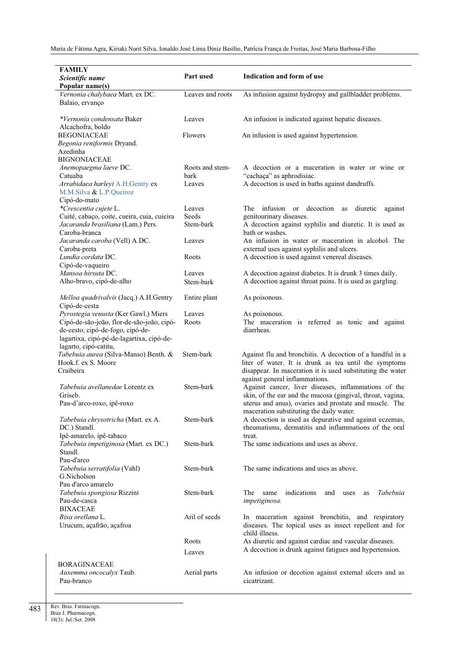| <b>FAMILY</b>                                                                     |                  |                                                                          |
|-----------------------------------------------------------------------------------|------------------|--------------------------------------------------------------------------|
| Scientific name                                                                   | Part used        | Indication and form of use                                               |
| Popular name(s)                                                                   |                  |                                                                          |
| Vernonia chalybaea Mart. ex DC.                                                   | Leaves and roots | As infusion against hydropsy and gallbladder problems.                   |
| Balaio, ervanço                                                                   |                  |                                                                          |
|                                                                                   |                  |                                                                          |
| *Vernonia condensata Baker                                                        | Leaves           | An infusion is indicated against hepatic diseases.                       |
| Alcachofra, boldo                                                                 |                  |                                                                          |
| <b>BEGONIACEAE</b>                                                                | Flowers          | An infusion is used against hypertension.                                |
| Begonia reniformis Dryand.                                                        |                  |                                                                          |
| Azedinha                                                                          |                  |                                                                          |
| <b>BIGNONIACEAE</b>                                                               |                  |                                                                          |
| Anemopaegma laeve DC.                                                             | Roots and stem-  | A decoction or a maceration in water or wine or                          |
| Catuaba                                                                           | bark             | "cachaça" as aphrodisiac.                                                |
| Arrabidaea harleyi A.H.Gentry ex                                                  | Leaves           | A decoction is used in baths against dandruffs.                          |
| M.M.Silva & L.P.Queiroz                                                           |                  |                                                                          |
| Cipó-do-mato                                                                      |                  |                                                                          |
| *Crescentia cujete L.                                                             | Leaves           | decoction as<br>The<br>infusion<br>diuretic<br><sub>or</sub><br>against  |
| Cuité, cabaço, coite, cueira, cuia, cuieira                                       | Seeds            | genitourinary diseases.                                                  |
| Jacaranda brasiliana (Lam.) Pers.                                                 | Stem-bark        | A decoction against syphilis and diuretic. It is used as                 |
| Caroba-branca                                                                     |                  | bath or washes.                                                          |
| Jacaranda caroba (Vell) A.DC.                                                     | Leaves           | An infusion in water or maceration in alcohol. The                       |
| Caroba-preta                                                                      |                  | external uses against syphilis and ulcers.                               |
| Lundia cordata DC.                                                                | Roots            | A decoction is used against venereal diseases.                           |
| Cipó-de-vaqueiro                                                                  |                  |                                                                          |
| Mansoa hirsuta DC.                                                                | Leaves           | A decoction against diabetes. It is drunk 3 times daily.                 |
| Alho-bravo, cipó-de-alho                                                          | Stem-bark        | A decoction against throat pains. It is used as gargling.                |
|                                                                                   |                  |                                                                          |
| Melloa quadrivalvis (Jacq.) A.H.Gentry                                            | Entire plant     | As poisonous.                                                            |
| Cipó-de-cesta                                                                     |                  |                                                                          |
| Pyrostegia venusta (Ker Gawl.) Miers<br>Cipó-de-são-joão, flor-de-são-joão, cipó- | Leaves<br>Roots  | As poisonous.<br>The maceration is referred as tonic and against         |
| de-cesto, cipó-de-fogo, cipó-de-                                                  |                  | diarrheas.                                                               |
| lagartixa, cipó-pé-de-lagartixa, cipó-de-                                         |                  |                                                                          |
| lagarto, cipó-catitu,                                                             |                  |                                                                          |
| Tabebuia aurea (Silva-Manso) Benth. &                                             | Stem-bark        | Against flu and bronchitis. A decoction of a handful in a                |
| Hook.f. ex S. Moore                                                               |                  | liter of water. It is drunk as tea until the symptoms                    |
| Craibeira                                                                         |                  | disappear. In maceration it is used substituting the water               |
|                                                                                   |                  | against general inflammations.                                           |
| Tabebuia avellanedae Lorentz ex                                                   | Stem-bark        | Against cancer, liver diseases, inflammations of the                     |
| Griseb.                                                                           |                  | skin, of the ear and the mucosa (gingival, throat, vagina,               |
| Pau-d'arco-roxo, ipê-roxo                                                         |                  | uterus and anus), ovaries and prostate and muscle. The                   |
|                                                                                   |                  | maceration substituting the daily water.                                 |
| Tabebuia chrysotricha (Mart. ex A.                                                | Stem-bark        | A decoction is used as depurative and against eczemas,                   |
| DC.) Standl.                                                                      |                  | rheumatisms, dermatitis and inflammations of the oral                    |
| Ipê-amarelo, ipê-tabaco                                                           |                  | treat.                                                                   |
| Tabebuia impetiginosa (Mart. ex DC.)                                              | Stem-bark        | The same indications and uses as above.                                  |
| Standl.                                                                           |                  |                                                                          |
| Pau-d'arco                                                                        |                  |                                                                          |
| Tabebuia serratifolia (Vahl)                                                      | Stem-bark        | The same indications and uses as above.                                  |
| G.Nicholson                                                                       |                  |                                                                          |
| Pau d'arco amarelo                                                                |                  |                                                                          |
| Tabebuia spongiosa Rizzini                                                        | Stem-bark        | indications<br>Tabebuia<br>The<br>same<br>and<br>uses<br>as              |
| Pau-de-casca<br><b>BIXACEAE</b>                                                   |                  | impetiginosa.                                                            |
|                                                                                   | Aril of seeds    |                                                                          |
| Bixa orellana L.                                                                  |                  | In maceration against bronchitis, and respiratory                        |
| Urucum, açafrão, açafroa                                                          |                  | diseases. The topical uses as insect repellent and for<br>child illness. |
|                                                                                   | Roots            | As diuretic and against cardiac and vascular diseases.                   |
|                                                                                   |                  | A decoction is drunk against fatigues and hypertension.                  |
|                                                                                   | Leaves           |                                                                          |
| BORAGINACEAE                                                                      |                  |                                                                          |
| Auxemma oncocalyx Taub.                                                           | Aerial parts     | An infusion or decotion against external ulcers and as                   |
| Pau-branco                                                                        |                  | cicatrizant.                                                             |
|                                                                                   |                  |                                                                          |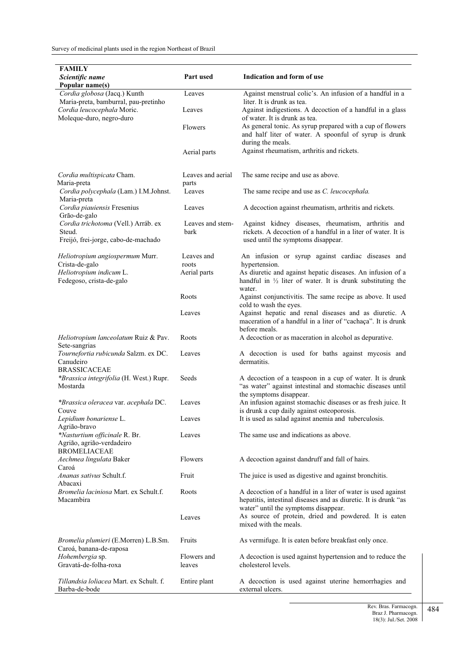| <b>FAMILY</b>                                                                        |                            |                                                                                                                                                                         |
|--------------------------------------------------------------------------------------|----------------------------|-------------------------------------------------------------------------------------------------------------------------------------------------------------------------|
| Scientific name<br>Popular name(s)                                                   | Part used                  | Indication and form of use                                                                                                                                              |
| Cordia globosa (Jacq.) Kunth<br>Maria-preta, bamburral, pau-pretinho                 | Leaves                     | Against menstrual colic's. An infusion of a handful in a<br>liter. It is drunk as tea.                                                                                  |
| Cordia leucocephala Moric.<br>Moleque-duro, negro-duro                               | Leaves                     | Against indigestions. A decoction of a handful in a glass<br>of water. It is drunk as tea.                                                                              |
|                                                                                      | Flowers                    | As general tonic. As syrup prepared with a cup of flowers<br>and half liter of water. A spoonful of syrup is drunk<br>during the meals.                                 |
|                                                                                      | Aerial parts               | Against rheumatism, arthritis and rickets.                                                                                                                              |
| Cordia multispicata Cham.<br>Maria-preta                                             | Leaves and aerial<br>parts | The same recipe and use as above.                                                                                                                                       |
| Cordia polycephala (Lam.) I.M.Johnst.<br>Maria-preta                                 | Leaves                     | The same recipe and use as C. leucocephala.                                                                                                                             |
| Cordia piauiensis Fresenius<br>Grão-de-galo                                          | Leaves                     | A decoction against rheumatism, arthritis and rickets.                                                                                                                  |
| Cordia trichotoma (Vell.) Arráb. ex<br>Steud.<br>Freijó, frei-jorge, cabo-de-machado | Leaves and stem-<br>bark   | Against kidney diseases, rheumatism, arthritis and<br>rickets. A decoction of a handful in a liter of water. It is<br>used until the symptoms disappear.                |
| Heliotropium angiospermum Murr.<br>Crista-de-galo                                    | Leaves and<br>roots        | An infusion or syrup against cardiac diseases and<br>hypertension.                                                                                                      |
| Heliotropium indicum L.<br>Fedegoso, crista-de-galo                                  | Aerial parts               | As diuretic and against hepatic diseases. An infusion of a<br>handful in $\frac{1}{2}$ liter of water. It is drunk substituting the<br>water.                           |
|                                                                                      | Roots                      | Against conjunctivitis. The same recipe as above. It used<br>cold to wash the eyes.                                                                                     |
|                                                                                      | Leaves                     | Against hepatic and renal diseases and as diuretic. A<br>maceration of a handful in a liter of "cachaça". It is drunk<br>before meals.                                  |
| Heliotropium lanceolatum Ruiz & Pav.<br>Sete-sangrias                                | Roots                      | A decoction or as maceration in alcohol as depurative.                                                                                                                  |
| Tournefortia rubicunda Salzm. ex DC.<br>Canudeiro<br><b>BRASSICACEAE</b>             | Leaves                     | A decoction is used for baths against mycosis and<br>dermatitis.                                                                                                        |
| *Brassica integrifolia (H. West.) Rupr.<br>Mostarda                                  | Seeds                      | A decoction of a teaspoon in a cup of water. It is drunk<br>"as water" against intestinal and stomachic diseases until<br>the symptoms disappear.                       |
| *Brassica oleracea var. acephala DC.<br>Couve                                        | Leaves                     | An infusion against stomachic diseases or as fresh juice. It<br>is drunk a cup daily against osteoporosis.                                                              |
| Lepidium bonariense L.<br>Agrião-bravo                                               | Leaves                     | It is used as salad against anemia and tuberculosis.                                                                                                                    |
| *Nasturtium officinale R. Br.<br>Agrião, agrião-verdadeiro<br><b>BROMELIACEAE</b>    | Leaves                     | The same use and indications as above.                                                                                                                                  |
| Aechmea lingulata Baker<br>Caroá                                                     | Flowers                    | A decoction against dandruff and fall of hairs.                                                                                                                         |
| Ananas sativus Schult.f.<br>Abacaxi                                                  | Fruit                      | The juice is used as digestive and against bronchitis.                                                                                                                  |
| Bromelia laciniosa Mart. ex Schult.f.<br>Macambira                                   | Roots                      | A decoction of a handful in a liter of water is used against<br>hepatitis, intestinal diseases and as diuretic. It is drunk "as<br>water" until the symptoms disappear. |
|                                                                                      | Leaves                     | As source of protein, dried and powdered. It is eaten<br>mixed with the meals.                                                                                          |
| Bromelia plumieri (E.Morren) L.B.Sm.<br>Caroá, banana-de-raposa                      | Fruits                     | As vermifuge. It is eaten before breakfast only once.                                                                                                                   |
| Hohembergia sp.<br>Gravatá-de-folha-roxa                                             | Flowers and<br>leaves      | A decoction is used against hypertension and to reduce the<br>cholesterol levels.                                                                                       |
| Tillandsia loliacea Mart. ex Schult. f.<br>Barba-de-bode                             | Entire plant               | A decoction is used against uterine hemorrhagies and<br>external ulcers.                                                                                                |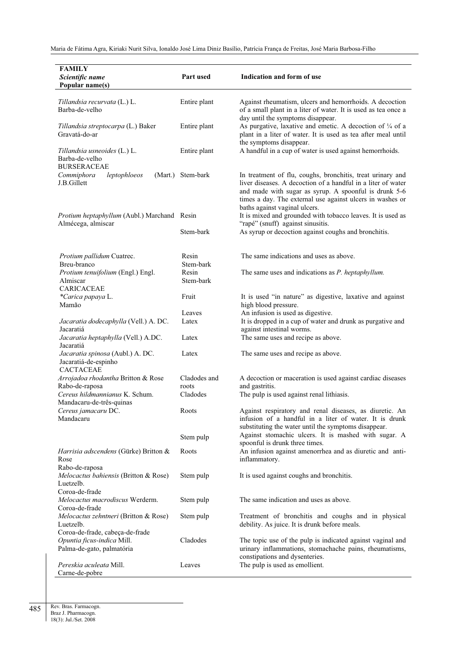| <b>FAMILY</b><br>Scientific name<br>Popular name(s)                                   | Part used             | Indication and form of use                                                                                                                                                                                                                                                        |
|---------------------------------------------------------------------------------------|-----------------------|-----------------------------------------------------------------------------------------------------------------------------------------------------------------------------------------------------------------------------------------------------------------------------------|
| Tillandsia recurvata (L.) L.<br>Barba-de-velho                                        | Entire plant          | Against rheumatism, ulcers and hemorrhoids. A decoction<br>of a small plant in a liter of water. It is used as tea once a                                                                                                                                                         |
| Tillandsia streptocarpa (L.) Baker<br>Gravatá-do-ar                                   | Entire plant          | day until the symptoms disappear.<br>As purgative, laxative and emetic. A decoction of $\frac{1}{4}$ of a<br>plant in a liter of water. It is used as tea after meal until<br>the symptoms disappear.                                                                             |
| Tillandsia usneoides (L.) L.<br>Barba-de-velho<br><b>BURSERACEAE</b>                  | Entire plant          | A handful in a cup of water is used against hemorrhoids.                                                                                                                                                                                                                          |
| Commiphora<br>leptophloeos<br>J.B.Gillett                                             | (Mart.) Stem-bark     | In treatment of flu, coughs, bronchitis, treat urinary and<br>liver diseases. A decoction of a handful in a liter of water<br>and made with sugar as syrup. A spoonful is drunk 5-6<br>times a day. The external use against ulcers in washes or<br>baths against vaginal ulcers. |
| Protium heptaphyllum (Aubl.) Marchand Resin<br>Almécega, almiscar                     |                       | It is mixed and grounded with tobacco leaves. It is used as<br>"rapé" (snuff) against sinusitis.                                                                                                                                                                                  |
|                                                                                       | Stem-bark             | As syrup or decoction against coughs and bronchitis.                                                                                                                                                                                                                              |
| Protium pallidum Cuatrec.<br>Breu-branco                                              | Resin<br>Stem-bark    | The same indications and uses as above.                                                                                                                                                                                                                                           |
| Protium tenuifolium (Engl.) Engl.<br>Almiscar<br><b>CARICACEAE</b>                    | Resin<br>Stem-bark    | The same uses and indications as P. heptaphyllum.                                                                                                                                                                                                                                 |
| *Carica papaya L.<br>Mamão                                                            | Fruit                 | It is used "in nature" as digestive, laxative and against<br>high blood pressure.                                                                                                                                                                                                 |
| Jacaratia dodecaphylla (Vell.) A. DC.                                                 | Leaves<br>Latex       | An infusion is used as digestive.<br>It is dropped in a cup of water and drunk as purgative and                                                                                                                                                                                   |
| Jacaratiá<br>Jacaratia heptaphylla (Vell.) A.DC.<br>Jacaratiá                         | Latex                 | against intestinal worms.<br>The same uses and recipe as above.                                                                                                                                                                                                                   |
| Jacaratia spinosa (Aubl.) A. DC.<br>Jacaratiá-de-espinho<br><b>CACTACEAE</b>          | Latex                 | The same uses and recipe as above.                                                                                                                                                                                                                                                |
| Arrojadoa rhodantha Britton & Rose<br>Rabo-de-raposa                                  | Cladodes and<br>roots | A decoction or maceration is used against cardiac diseases<br>and gastritis.                                                                                                                                                                                                      |
| Cereus hildmannianus K. Schum.<br>Mandacaru-de-três-quinas                            | Cladodes              | The pulp is used against renal lithiasis.                                                                                                                                                                                                                                         |
| Cereus jamacaru DC.<br>Mandacaru                                                      | Roots                 | Against respiratory and renal diseases, as diuretic. An<br>infusion of a handful in a liter of water. It is drunk<br>substituting the water until the symptoms disappear.                                                                                                         |
|                                                                                       | Stem pulp             | Against stomachic ulcers. It is mashed with sugar. A<br>spoonful is drunk three times.                                                                                                                                                                                            |
| Harrisia adscendens (Gürke) Britton &<br>Rose<br>Rabo-de-raposa                       | Roots                 | An infusion against amenorrhea and as diuretic and anti-<br>inflammatory.                                                                                                                                                                                                         |
| Melocactus bahiensis (Britton & Rose)<br>Luetzelb.<br>Coroa-de-frade                  | Stem pulp             | It is used against coughs and bronchitis.                                                                                                                                                                                                                                         |
| Melocactus macrodiscus Werderm.<br>Coroa-de-frade                                     | Stem pulp             | The same indication and uses as above.                                                                                                                                                                                                                                            |
| Melocactus zehntneri (Britton & Rose)<br>Luetzelb.<br>Coroa-de-frade, cabeça-de-frade | Stem pulp             | Treatment of bronchitis and coughs and in physical<br>debility. As juice. It is drunk before meals.                                                                                                                                                                               |
| Opuntia ficus-indica Mill.<br>Palma-de-gato, palmatória                               | Cladodes              | The topic use of the pulp is indicated against vaginal and<br>urinary inflammations, stomachache pains, rheumatisms,<br>constipations and dysenteries.                                                                                                                            |
| Pereskia aculeata Mill.<br>Carne-de-pobre                                             | Leaves                | The pulp is used as emollient.                                                                                                                                                                                                                                                    |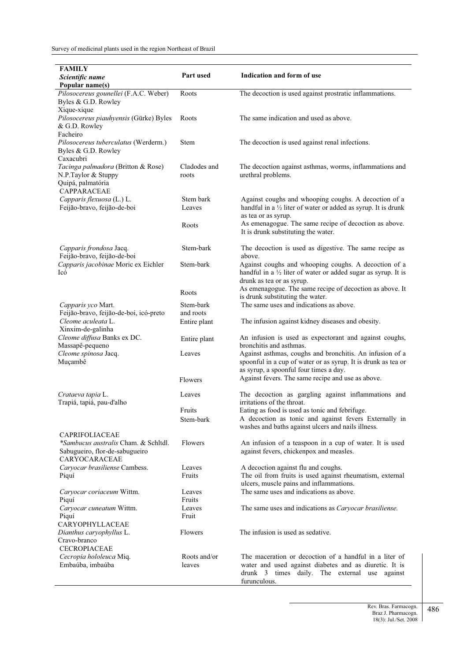| <b>FAMILY</b><br>Scientific name                                                                     | Part used                 | Indication and form of use                                                                                                                                          |
|------------------------------------------------------------------------------------------------------|---------------------------|---------------------------------------------------------------------------------------------------------------------------------------------------------------------|
| Popular name(s)                                                                                      |                           |                                                                                                                                                                     |
| Pilosocereus gounellei (F.A.C. Weber)<br>Byles & G.D. Rowley                                         | Roots                     | The decoction is used against prostratic inflammations.                                                                                                             |
| Xique-xique<br>Pilosocereus piauhyensis (Gürke) Byles<br>& G.D. Rowley                               | Roots                     | The same indication and used as above.                                                                                                                              |
| Facheiro<br>Pilosocereus tuberculatus (Werderm.)<br>Byles & G.D. Rowley<br>Caxacubri                 | Stem                      | The decoction is used against renal infections.                                                                                                                     |
| Tacinga palmadora (Britton & Rose)<br>N.P.Taylor & Stuppy<br>Quipá, palmatória<br><b>CAPPARACEAE</b> | Cladodes and<br>roots     | The decoction against asthmas, worms, inflammations and<br>urethral problems.                                                                                       |
| Capparis flexuosa (L.) L.<br>Feijão-bravo, feijão-de-boi                                             | Stem bark<br>Leaves       | Against coughs and whooping coughs. A decoction of a<br>handful in a $\frac{1}{2}$ liter of water or added as syrup. It is drunk<br>as tea or as syrup.             |
|                                                                                                      | Roots                     | As emenagogue. The same recipe of decoction as above.<br>It is drunk substituting the water.                                                                        |
| Capparis frondosa Jacq.<br>Feijão-bravo, feijão-de-boi                                               | Stem-bark                 | The decoction is used as digestive. The same recipe as<br>above.                                                                                                    |
| Capparis jacobinae Moric ex Eichler<br>Icó                                                           | Stem-bark                 | Against coughs and whooping coughs. A decoction of a<br>handful in a $\frac{1}{2}$ liter of water or added sugar as syrup. It is<br>drunk as tea or as syrup.       |
|                                                                                                      | Roots                     | As emenagogue. The same recipe of decoction as above. It<br>is drunk substituting the water.                                                                        |
| Capparis yco Mart.                                                                                   | Stem-bark                 | The same uses and indications as above.                                                                                                                             |
| Feijão-bravo, feijão-de-boi, icó-preto<br>Cleome aculeata L.<br>Xinxim-de-galinha                    | and roots<br>Entire plant | The infusion against kidney diseases and obesity.                                                                                                                   |
| Cleome diffusa Banks ex DC.<br>Massapê-pequeno                                                       | Entire plant              | An infusion is used as expectorant and against coughs,<br>bronchitis and asthmas.                                                                                   |
| Cleome spinosa Jacq.<br>Muçambê                                                                      | Leaves                    | Against asthmas, coughs and bronchitis. An infusion of a<br>spoonful in a cup of water or as syrup. It is drunk as tea or<br>as syrup, a spoonful four times a day. |
|                                                                                                      | Flowers                   | Against fevers. The same recipe and use as above.                                                                                                                   |
| Crataeva tapia L.<br>Trapiá, tapiá, pau-d'alho                                                       | Leaves                    | The decoction as gargling against inflammations and<br>irritations of the throat.                                                                                   |
|                                                                                                      | Fruits                    | Eating as food is used as tonic and febrifuge.                                                                                                                      |
| <b>CAPRIFOLIACEAE</b>                                                                                | Stem-bark                 | A decoction as tonic and against fevers Externally in<br>washes and baths against ulcers and nails illness.                                                         |
| *Sambucus australis Cham. & Schltdl.<br>Sabugueiro, flor-de-sabugueiro<br>CARYOCARACEAE              | Flowers                   | An infusion of a teaspoon in a cup of water. It is used<br>against fevers, chickenpox and measles.                                                                  |
| Caryocar brasiliense Cambess.                                                                        | Leaves                    | A decoction against flu and coughs.                                                                                                                                 |
| Piquí                                                                                                | Fruits                    | The oil from fruits is used against rheumatism, external<br>ulcers, muscle pains and inflammations.                                                                 |
| Caryocar coriaceum Wittm.<br>Piquí                                                                   | Leaves<br>Fruits          | The same uses and indications as above.                                                                                                                             |
| Caryocar cuneatum Wittm.<br>Piquí                                                                    | Leaves<br>Fruit           | The same uses and indications as Caryocar brasiliense.                                                                                                              |
| CARYOPHYLLACEAE                                                                                      |                           |                                                                                                                                                                     |
| Dianthus caryophyllus L.<br>Cravo-branco                                                             | Flowers                   | The infusion is used as sedative.                                                                                                                                   |
| <b>CECROPIACEAE</b><br>Cecropia hololeuca Miq.                                                       | Roots and/or              | The maceration or decoction of a handful in a liter of                                                                                                              |
| Embaúba, imbaúba                                                                                     | leaves                    | water and used against diabetes and as diuretic. It is<br>drunk 3 times daily. The external use against<br>furunculous.                                             |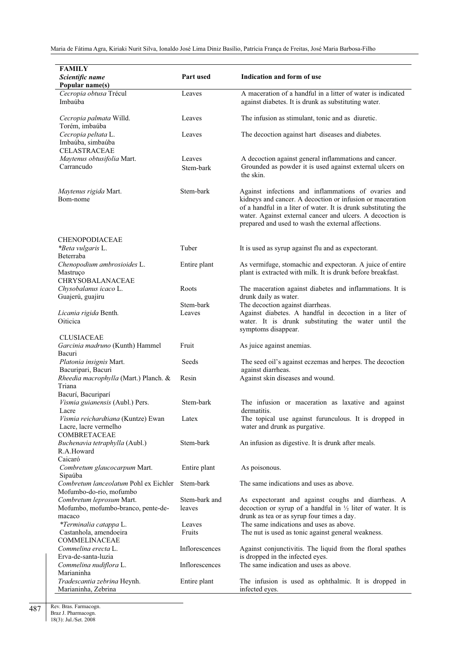| <b>FAMILY</b>                                                               | Part used               | Indication and form of use                                                                                                                                                                                                                                                                            |
|-----------------------------------------------------------------------------|-------------------------|-------------------------------------------------------------------------------------------------------------------------------------------------------------------------------------------------------------------------------------------------------------------------------------------------------|
| Scientific name<br>Popular name(s)                                          |                         |                                                                                                                                                                                                                                                                                                       |
| Cecropia obtusa Trécul<br>Imbaúba                                           | Leaves                  | A maceration of a handful in a litter of water is indicated<br>against diabetes. It is drunk as substituting water.                                                                                                                                                                                   |
| Cecropia palmata Willd.<br>Torém, imbaúba                                   | Leaves                  | The infusion as stimulant, tonic and as diuretic.                                                                                                                                                                                                                                                     |
| Cecropia peltata L.<br>Imbaúba, simbaúba<br><b>CELASTRACEAE</b>             | Leaves                  | The decoction against hart diseases and diabetes.                                                                                                                                                                                                                                                     |
| Maytenus obtusifolia Mart.<br>Carrancudo                                    | Leaves<br>Stem-bark     | A decoction against general inflammations and cancer.<br>Grounded as powder it is used against external ulcers on<br>the skin.                                                                                                                                                                        |
| <i>Maytenus rigida</i> Mart.<br>Bom-nome                                    | Stem-bark               | Against infections and inflammations of ovaries and<br>kidneys and cancer. A decoction or infusion or maceration<br>of a handful in a liter of water. It is drunk substituting the<br>water. Against external cancer and ulcers. A decoction is<br>prepared and used to wash the external affections. |
| CHENOPODIACEAE                                                              |                         |                                                                                                                                                                                                                                                                                                       |
| *Beta vulgaris L.<br>Beterraba                                              | Tuber                   | It is used as syrup against flu and as expectorant.                                                                                                                                                                                                                                                   |
| Chenopodium ambrosioides L.<br>Mastruço<br>CHRYSOBALANACEAE                 | Entire plant            | As vermifuge, stomachic and expectoran. A juice of entire<br>plant is extracted with milk. It is drunk before breakfast.                                                                                                                                                                              |
| Chysobalanus icaco L.                                                       | Roots                   | The maceration against diabetes and inflammations. It is                                                                                                                                                                                                                                              |
| Guajerú, guajiru                                                            | Stem-bark               | drunk daily as water.<br>The decoction against diarrheas.                                                                                                                                                                                                                                             |
| Licania rigida Benth.<br>Oiticica                                           | Leaves                  | Against diabetes. A handful in decoction in a liter of<br>water. It is drunk substituting the water until the<br>symptoms disappear.                                                                                                                                                                  |
| <b>CLUSIACEAE</b><br>Garcinia madruno (Kunth) Hammel                        | Fruit                   | As juice against anemias.                                                                                                                                                                                                                                                                             |
| Bacuri                                                                      |                         |                                                                                                                                                                                                                                                                                                       |
| Platonia insignis Mart.<br>Bacuripari, Bacuri                               | Seeds                   | The seed oil's against eczemas and herpes. The decoction<br>against diarrheas.                                                                                                                                                                                                                        |
| Rheedia macrophylla (Mart.) Planch. &<br>Triana                             | Resin                   | Against skin diseases and wound.                                                                                                                                                                                                                                                                      |
| Bacurí, Bacuriparí<br>Vismia guianensis (Aubl.) Pers.<br>Lacre              | Stem-bark               | The infusion or maceration as laxative and against<br>dermatitis.                                                                                                                                                                                                                                     |
| Vismia reichardtiana (Kuntze) Ewan<br>Lacre, lacre vermelho<br>COMBRETACEAE | Latex                   | The topical use against furunculous. It is dropped in<br>water and drunk as purgative.                                                                                                                                                                                                                |
| Buchenavia tetraphylla (Aubl.)<br>R.A.Howard                                | Stem-bark               | An infusion as digestive. It is drunk after meals.                                                                                                                                                                                                                                                    |
| Caicaró<br>Combretum glaucocarpum Mart.<br>Sipaúba                          | Entire plant            | As poisonous.                                                                                                                                                                                                                                                                                         |
| Combretum lanceolatum Pohl ex Eichler<br>Mofumbo-do-rio, mofumbo            | Stem-bark               | The same indications and uses as above.                                                                                                                                                                                                                                                               |
| Combretum leprosum Mart.<br>Mofumbo, mofumbo-branco, pente-de-<br>macaco    | Stem-bark and<br>leaves | As expectorant and against coughs and diarrheas. A<br>decoction or syrup of a handful in $\frac{1}{2}$ liter of water. It is<br>drunk as tea or as syrup four times a day.                                                                                                                            |
| *Terminalia catappa L.<br>Castanhola, amendoeira                            | Leaves<br>Fruits        | The same indications and uses as above.<br>The nut is used as tonic against general weakness.                                                                                                                                                                                                         |
| COMMELINACEAE<br>Commelina erecta L.                                        | Inflorescences          | Against conjunctivitis. The liquid from the floral spathes                                                                                                                                                                                                                                            |
| Erva-de-santa-luzia<br>Commelina nudiflora L.                               | Inflorescences          | is dropped in the infected eyes.<br>The same indication and uses as above.                                                                                                                                                                                                                            |
| Marianinha<br>Tradescantia zebrina Heynh.<br>Marianinha, Zebrina            | Entire plant            | The infusion is used as ophthalmic. It is dropped in<br>infected eyes.                                                                                                                                                                                                                                |

Rev. Bras. Farmacogn. Braz J. Pharmacogn.

18(3): Jul./Set. 2008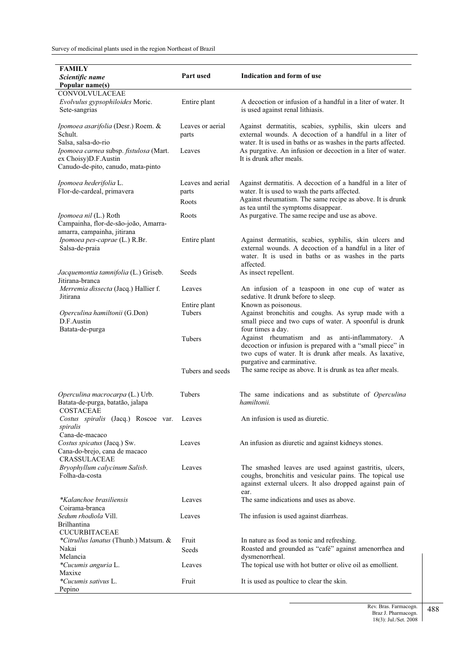| <b>FAMILY</b><br>Scientific name<br>Popular name(s)                                                   | Part used                  | Indication and form of use                                                                                                                                                                            |
|-------------------------------------------------------------------------------------------------------|----------------------------|-------------------------------------------------------------------------------------------------------------------------------------------------------------------------------------------------------|
| CONVOLVULACEAE                                                                                        |                            |                                                                                                                                                                                                       |
| Evolvulus gypsophiloides Moric.<br>Sete-sangrias                                                      | Entire plant               | A decoction or infusion of a handful in a liter of water. It<br>is used against renal lithiasis.                                                                                                      |
| Ipomoea asarifolia (Desr.) Roem. &<br>Schult.<br>Salsa, salsa-do-rio                                  | Leaves or aerial<br>parts  | Against dermatitis, scabies, syphilis, skin ulcers and<br>external wounds. A decoction of a handful in a liter of                                                                                     |
| Ipomoea carnea subsp. fistulosa (Mart.<br>ex Choisy)D.F.Austin<br>Canudo-de-pito, canudo, mata-pinto  | Leaves                     | water. It is used in baths or as washes in the parts affected.<br>As purgative. An infusion or decoction in a liter of water.<br>It is drunk after meals.                                             |
| Ipomoea hederifolia L.<br>Flor-de-cardeal, primavera                                                  | Leaves and aerial<br>parts | Against dermatitis. A decoction of a handful in a liter of<br>water. It is used to wash the parts affected.                                                                                           |
|                                                                                                       | Roots                      | Against rheumatism. The same recipe as above. It is drunk                                                                                                                                             |
| Ipomoea nil (L.) Roth<br>Campainha, flor-de-são-joão, Amarra-                                         | Roots                      | as tea until the symptoms disappear.<br>As purgative. The same recipe and use as above.                                                                                                               |
| amarra, campainha, jitirana<br>Ipomoea pes-caprae (L.) R.Br.<br>Salsa-de-praia                        | Entire plant               | Against dermatitis, scabies, syphilis, skin ulcers and<br>external wounds. A decoction of a handful in a liter of<br>water. It is used in baths or as washes in the parts<br>affected.                |
| Jacquemontia tamnifolia (L.) Griseb.<br>Jitirana-branca                                               | Seeds                      | As insect repellent.                                                                                                                                                                                  |
| Merremia dissecta (Jacq.) Hallier f.<br>Jitirana                                                      | Leaves                     | An infusion of a teaspoon in one cup of water as<br>sedative. It drunk before to sleep.                                                                                                               |
| Operculina hamiltonii (G.Don)<br>D.F.Austin<br>Batata-de-purga                                        | Entire plant<br>Tubers     | Known as poisonous.<br>Against bronchitis and coughs. As syrup made with a<br>small piece and two cups of water. A spoonful is drunk<br>four times a day.                                             |
|                                                                                                       | Tubers                     | Against rheumatism and as anti-inflammatory. A<br>decoction or infusion is prepared with a "small piece" in<br>two cups of water. It is drunk after meals. As laxative,<br>purgative and carminative. |
|                                                                                                       | Tubers and seeds           | The same recipe as above. It is drunk as tea after meals.                                                                                                                                             |
| Operculina macrocarpa (L.) Urb.<br>Batata-de-purga, batatão, jalapa<br>COSTACEAE                      | Tubers                     | The same indications and as substitute of <i>Operculina</i><br>hamiltonii.                                                                                                                            |
| Costus spiralis (Jacq.) Roscoe var.<br>spiralis                                                       | Leaves                     | An infusion is used as diuretic.                                                                                                                                                                      |
| Cana-de-macaco<br>Costus spicatus (Jacq.) Sw.<br>Cana-do-brejo, cana de macaco<br><b>CRASSULACEAE</b> | Leaves                     | An infusion as diuretic and against kidneys stones.                                                                                                                                                   |
| Bryophyllum calycinum Salisb.<br>Folha-da-costa                                                       | Leaves                     | The smashed leaves are used against gastritis, ulcers,<br>coughs, bronchitis and vesicular pains. The topical use<br>against external ulcers. It also dropped against pain of<br>ear.                 |
| *Kalanchoe brasiliensis<br>Coirama-branca                                                             | Leaves                     | The same indications and uses as above.                                                                                                                                                               |
| Sedum rhodiola Vill.<br>Brilhantina                                                                   | Leaves                     | The infusion is used against diarrheas.                                                                                                                                                               |
| <b>CUCURBITACEAE</b>                                                                                  |                            |                                                                                                                                                                                                       |
| *Citrullus lanatus (Thunb.) Matsum. &                                                                 | Fruit                      | In nature as food as tonic and refreshing.                                                                                                                                                            |
| Nakai<br>Melancia                                                                                     | Seeds                      | Roasted and grounded as "café" against amenorrhea and<br>dysmenorrheal.                                                                                                                               |
| *Cucumis anguria L.<br>Maxixe                                                                         | Leaves                     | The topical use with hot butter or olive oil as emollient.                                                                                                                                            |
| *Cucumis sativus L.<br>Pepino                                                                         | Fruit                      | It is used as poultice to clear the skin.                                                                                                                                                             |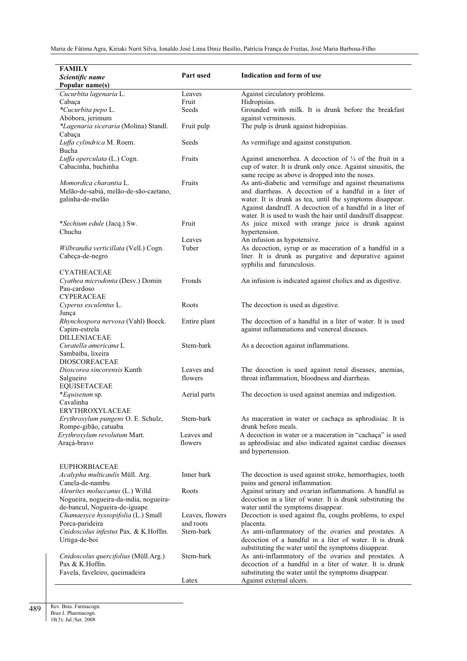| <b>FAMILY</b>                          |                 |                                                                    |
|----------------------------------------|-----------------|--------------------------------------------------------------------|
| Scientific name                        | Part used       | Indication and form of use                                         |
|                                        |                 |                                                                    |
| Popular name(s)                        |                 |                                                                    |
| Cucurbita lagenaria L.                 | Leaves          | Against circulatory problems.                                      |
| Cabaça                                 | Fruit           | Hidropisias.                                                       |
| *Cucurbita pepo L.                     | Seeds           | Grounded with milk. It is drunk before the breakfast               |
| Abóbora, jerimum                       |                 | against verminosis.                                                |
| *Lagenaria siceraria (Molina) Standl.  | Fruit pulp      | The pulp is drunk against hidropisias.                             |
| Cabaça                                 |                 |                                                                    |
| Luffa cylindrica M. Roem.              | Seeds           | As vermifuge and against constipation.                             |
| Bucha                                  |                 |                                                                    |
| Luffa operculata (L.) Cogn.            | Fruits          | Against amenorrhea. A decoction of $\frac{1}{4}$ of the fruit in a |
| Cabacinha, buchinha                    |                 | cup of water. It is drunk only once. Against sinusitis, the        |
|                                        |                 |                                                                    |
|                                        |                 | same recipe as above is dropped into the noses.                    |
| Momordica charantia L.                 | Fruits          | As anti-diabetic and vermifuge and against rheumatisms             |
| Melão-de-sabiá, melão-de-são-caetano,  |                 | and diarrheas. A decoction of a handful in a liter of              |
| galinha-de-melão                       |                 | water. It is drunk as tea, until the symptoms disappear.           |
|                                        |                 | Against dandruff. A decoction of a handful in a liter of           |
|                                        |                 | water. It is used to wash the hair until dandruff disappear.       |
| *Sechium edule (Jacq.) Sw.             | Fruit           | As juice mixed with orange juice is drunk against                  |
| Chuchu                                 |                 | hypertension.                                                      |
|                                        | Leaves          | An infusion as hypotensive.                                        |
| Wilbrandia verticillata (Vell.) Cogn.  | Tuber           | As decoction, syrup or as maceration of a handful in a             |
|                                        |                 |                                                                    |
| Cabeça-de-negro                        |                 | liter. It is drunk as purgative and depurative against             |
|                                        |                 | syphilis and furunculosis.                                         |
| <b>CYATHEACEAE</b>                     |                 |                                                                    |
| Cyathea microdonta (Desv.) Domin       | Fronds          | An infusion is indicated against cholics and as digestive.         |
| Pau-cardoso                            |                 |                                                                    |
| <b>CYPERACEAE</b>                      |                 |                                                                    |
| Cyperus esculentus L.                  | Roots           | The decoction is used as digestive.                                |
| Junça                                  |                 |                                                                    |
| Rhynchospora nervosa (Vahl) Boeck.     | Entire plant    | The decoction of a handful in a liter of water. It is used         |
| Capim-estrela                          |                 | against inflammations and venereal diseases.                       |
| <b>DILLENIACEAE</b>                    |                 |                                                                    |
|                                        | Stem-bark       |                                                                    |
| Curatella americana L                  |                 | As a decoction against inflammations.                              |
| Sambaiba, lixeira                      |                 |                                                                    |
| <b>DIOSCOREACEAE</b>                   |                 |                                                                    |
| Dioscorea sincorensis Kunth            | Leaves and      | The decoction is used against renal diseases, anemias,             |
| Salgueiro                              | flowers         | throat inflammation, bloodness and diarrheas.                      |
| <b>EQUISETACEAE</b>                    |                 |                                                                    |
| *Equisetum sp.                         | Aerial parts    | The decoction is used against anemias and indigestion.             |
| Cavalinha                              |                 |                                                                    |
| ERYTHROXYLACEAE                        |                 |                                                                    |
| Erythroxylum pungens O. E. Schulz,     | Stem-bark       | As maceration in water or cachaça as aphrodisiac. It is            |
| Rompe-gibão, catuaba                   |                 | drunk before meals.                                                |
| Erythroxylum revolutum Mart.           |                 |                                                                    |
|                                        | Leaves and      | A decoction in water or a maceration in "cachaça" is used          |
| Araçá-bravo                            | flowers         | as aphrodisiac and also indicated against cardiac diseases         |
|                                        |                 | and hypertension.                                                  |
|                                        |                 |                                                                    |
| <b>EUPHORBIACEAE</b>                   |                 |                                                                    |
| Acalypha multicaulis Müll. Arg.        | Inner bark      | The decoction is used against stroke, hemorrhagies, tooth          |
| Canela-de-nambu                        |                 | pains and general inflammation.                                    |
| Aleurites moluccanus (L.) Willd.       | Roots           | Against urinary and ovarian inflammations. A handful as            |
| Nogueira, nogueira-da-india, nogueira- |                 | decoction in a liter of water. It is drunk substituting the        |
| de-bancul, Nogueira-de-iguape.         |                 | water until the symptoms disappear.                                |
| Chamaesyce hyssopifolia (L.) Small     | Leaves, flowers | Decoction is used against flu, coughs problems, to expel           |
| Porca-parideira                        | and roots       | placenta.                                                          |
|                                        |                 |                                                                    |
| Cnidoscolus infestus Pax. & K.Hoffm.   | Stem-bark       | As anti-inflammatory of the ovaries and prostates. A               |
| Urtiga-de-boi                          |                 | decoction of a handful in a liter of water. It is drunk            |
|                                        |                 | substituting the water until the symptoms disappear.               |
| Cnidoscolus quercifolius (Müll.Arg.)   | Stem-bark       | As anti-inflammatory of the ovaries and prostates. A               |
| Pax & K.Hoffm.                         |                 | decoction of a handful in a liter of water. It is drunk            |
| Favela, faveleiro, queimadeira         |                 | substituting the water until the symptoms disappear.               |
|                                        | Latex           | Against external ulcers.                                           |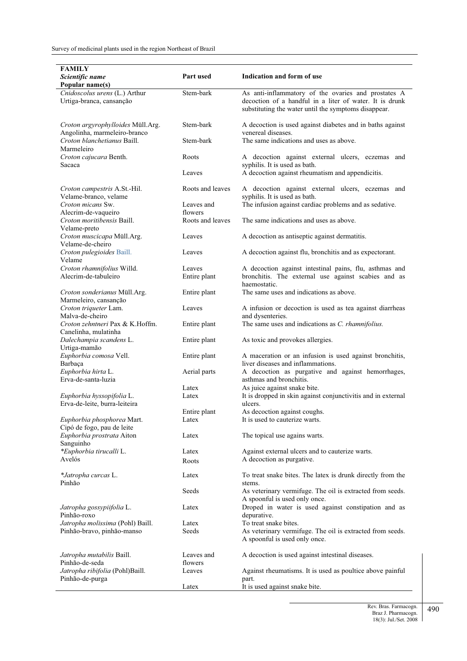| <b>FAMILY</b>                                                     |                        |                                                                                                                                                                        |
|-------------------------------------------------------------------|------------------------|------------------------------------------------------------------------------------------------------------------------------------------------------------------------|
| Scientific name<br>Popular name(s)                                | Part used              | Indication and form of use                                                                                                                                             |
| Cnidoscolus urens (L.) Arthur<br>Urtiga-branca, cansanção         | Stem-bark              | As anti-inflammatory of the ovaries and prostates A<br>decoction of a handful in a liter of water. It is drunk<br>substituting the water until the symptoms disappear. |
| Croton argyrophylloides Müll.Arg.<br>Angolinha, marmeleiro-branco | Stem-bark              | A decoction is used against diabetes and in baths against<br>venereal diseases.                                                                                        |
| Croton blanchetianus Baill.<br>Marmeleiro                         | Stem-bark              | The same indications and uses as above.                                                                                                                                |
| Croton cajucara Benth.<br>Sacaca                                  | Roots                  | A decoction against external ulcers, eczemas and<br>syphilis. It is used as bath.                                                                                      |
|                                                                   | Leaves                 | A decoction against rheumatism and appendicitis.                                                                                                                       |
| Croton campestris A.St.-Hil.<br>Velame-branco, velame             | Roots and leaves       | A decoction against external ulcers, eczemas and<br>syphilis. It is used as bath.                                                                                      |
| Croton micans Sw.<br>Alecrim-de-vaqueiro                          | Leaves and<br>flowers  | The infusion against cardiac problems and as sedative.                                                                                                                 |
| Croton moritibensis Baill.<br>Velame-preto                        | Roots and leaves       | The same indications and uses as above.                                                                                                                                |
| Croton muscicapa Müll.Arg.<br>Velame-de-cheiro                    | Leaves                 | A decoction as antiseptic against dermatitis.                                                                                                                          |
| Croton pulegioides Baill.<br>Velame                               | Leaves                 | A decoction against flu, bronchitis and as expectorant.                                                                                                                |
| Croton rhamnifolius Willd.<br>Alecrim-de-tabuleiro                | Leaves<br>Entire plant | A decoction against intestinal pains, flu, asthmas and<br>bronchitis. The external use against scabies and as<br>haemostatic.                                          |
| Croton sonderianus Müll.Arg.<br>Marmeleiro, cansanção             | Entire plant           | The same uses and indications as above.                                                                                                                                |
| Croton triqueter Lam.<br>Malva-de-cheiro                          | Leaves                 | A infusion or decoction is used as tea against diarrheas<br>and dysenteries.                                                                                           |
| Croton zehntneri Pax & K.Hoffm.<br>Canelinha, mulatinha           | Entire plant           | The same uses and indications as C. rhamnifolius.                                                                                                                      |
| Dalechampia scandens L.<br>Urtiga-mamão                           | Entire plant           | As toxic and provokes allergies.                                                                                                                                       |
| Euphorbia comosa Vell.<br>Barbaça                                 | Entire plant           | A maceration or an infusion is used against bronchitis,<br>liver diseases and inflammations.                                                                           |
| Euphorbia hirta L.<br>Erva-de-santa-luzia                         | Aerial parts           | A decoction as purgative and against hemorrhages,<br>asthmas and bronchitis.                                                                                           |
|                                                                   | Latex                  | As juice against snake bite.                                                                                                                                           |
| Euphorbia hyssopifolia L.<br>Erva-de-leite, burra-leiteira        | Latex                  | It is dropped in skin against conjunctivitis and in external<br>ulcers.                                                                                                |
| Euphorbia phosphorea Mart.                                        | Entire plant<br>Latex  | As decoction against coughs.<br>It is used to cauterize warts.                                                                                                         |
| Cipó de fogo, pau de leite                                        |                        |                                                                                                                                                                        |
| Euphorbia prostrata Aiton<br>Sanguinho                            | Latex                  | The topical use agains warts.                                                                                                                                          |
| *Euphorbia tirucalli L.<br>Avelós                                 | Latex                  | Against external ulcers and to cauterize warts.<br>A decoction as purgative.                                                                                           |
|                                                                   | Roots                  |                                                                                                                                                                        |
| *Jatropha curcas L.<br>Pinhão                                     | Latex                  | To treat snake bites. The latex is drunk directly from the<br>stems.                                                                                                   |
|                                                                   | Seeds                  | As veterinary vermifuge. The oil is extracted from seeds.<br>A spoonful is used only once.                                                                             |
| Jatropha gossypiifolia L.<br>Pinhão-roxo                          | Latex                  | Droped in water is used against constipation and as<br>depurative.                                                                                                     |
| Jatropha molissima (Pohl) Baill.                                  | Latex                  | To treat snake bites.                                                                                                                                                  |
| Pinhão-bravo, pinhão-manso                                        | Seeds                  | As veterinary vermifuge. The oil is extracted from seeds.<br>A spoonful is used only once.                                                                             |
| Jatropha mutabilis Baill.<br>Pinhão-de-seda                       | Leaves and<br>flowers  | A decoction is used against intestinal diseases.                                                                                                                       |
| Jatropha ribifolia (Pohl)Baill.<br>Pinhão-de-purga                | Leaves                 | Against rheumatisms. It is used as poultice above painful<br>part.                                                                                                     |
|                                                                   | Latex                  | It is used against snake bite.                                                                                                                                         |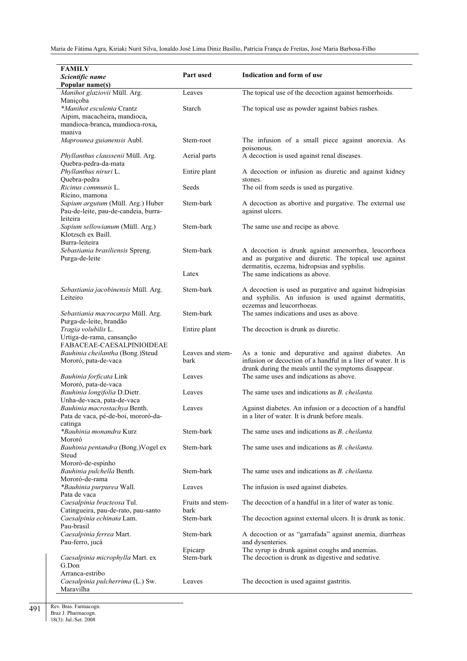| <b>FAMILY</b><br>Scientific name<br>Popular name(s)                                                      | Part used                | Indication and form of use                                                                                                                                                  |
|----------------------------------------------------------------------------------------------------------|--------------------------|-----------------------------------------------------------------------------------------------------------------------------------------------------------------------------|
| Manihot glaziovii Müll. Arg.                                                                             | Leaves                   | The topical use of the decoction against hemorrhoids.                                                                                                                       |
| Manicoba<br>*Manihot esculenta Crantz<br>Aipim, macacheira, mandioca,<br>mandioca-branca, mandioca-roxa, | Starch                   | The topical use as powder against babies rashes.                                                                                                                            |
| maniva<br>Maprounea guianensis Aubl.                                                                     | Stem-root                | The infusion of a small piece against anorexia. As                                                                                                                          |
| Phyllanthus claussenii Müll. Arg.<br>Quebra-pedra-da-mata                                                | Aerial parts             | poisonous.<br>A decoction is used against renal diseases.                                                                                                                   |
| Phyllanthus niruri L.<br>Quebra-pedra                                                                    | Entire plant             | A decoction or infusion as diuretic and against kidney<br>stones.                                                                                                           |
| Ricinus communis L.<br>Rícino, mamona                                                                    | Seeds                    | The oil from seeds is used as purgative.                                                                                                                                    |
| Sapium argutum (Müll. Arg.) Huber<br>Pau-de-leite, pau-de-candeia, burra-<br>leiteira                    | Stem-bark                | A decoction as abortive and purgative. The external use<br>against ulcers.                                                                                                  |
| Sapium sellowianum (Müll. Arg.)<br>Klotzsch ex Baill.                                                    | Stem-bark                | The same use and recipe as above.                                                                                                                                           |
| Burra-leiteira<br>Sebastiania brasiliensis Spreng.<br>Purga-de-leite                                     | Stem-bark                | A decoction is drunk against amenorrhea, leucorrhoea<br>and as purgative and diuretic. The topical use against<br>dermatitis, eczema, hidropsias and syphilis.              |
|                                                                                                          | Latex                    | The same indications as above.                                                                                                                                              |
| Sebastiania jacobinensis Müll. Arg.<br>Leiteiro                                                          | Stem-bark                | A decoction is used as purgative and against hidropisias<br>and syphilis. An infusion is used against dermatitis,<br>eczemas and leucorrhoeas.                              |
| Sebastiania macrocarpa Müll. Arg.<br>Purga-de-leite, brandão                                             | Stem-bark                | The sames indications and uses as above.                                                                                                                                    |
| Tragia volubilis L.<br>Urtiga-de-rama, cansanção<br>FABACEAE-CAESALPINIOIDEAE                            | Entire plant             | The decoction is drunk as diuretic.                                                                                                                                         |
| Bauhinia cheilantha (Bong.)Steud<br>Mororó, pata-de-vaca                                                 | Leaves and stem-<br>bark | As a tonic and depurative and against diabetes. An<br>infusion or decoction of a handful in a liter of water. It is<br>drunk during the meals until the symptoms disappear. |
| Bauhinia forficata Link<br>Mororó, pata-de-vaca                                                          | Leaves                   | The same uses and indications as above.                                                                                                                                     |
| Bauhinia longifolia D.Dietr.<br>Unha-de-vaca, pata-de-vaca                                               | Leaves                   | The same uses and indications as <i>B. cheilanta</i> .                                                                                                                      |
| Bauhinia macrostachya Benth.<br>Pata de vaca, pé-de-boi, mororó-da-<br>catinga                           | Leaves                   | Against diabetes. An infusion or a decoction of a handful<br>in a liter of water. It is drunk before meals.                                                                 |
| *Bauhinia monandra Kurz<br>Mororó                                                                        | Stem-bark                | The same uses and indications as <i>B. cheilanta</i> .                                                                                                                      |
| Bauhinia pentandra (Bong.) Vogel ex<br>Steud                                                             | Stem-bark                | The same uses and indications as <i>B. cheilanta</i> .                                                                                                                      |
| Mororó-de-espinho<br>Bauhinia pulchella Benth.<br>Mororó-de-rama                                         | Stem-bark                | The same uses and indications as <i>B. cheilanta</i> .                                                                                                                      |
| *Bauhinia purpurea Wall.<br>Pata de vaca                                                                 | Leaves                   | The infusion is used against diabetes.                                                                                                                                      |
| Caesalpinia bracteosa Tul.<br>Catingueira, pau-de-rato, pau-santo                                        | Fruits and stem-<br>bark | The decoction of a handful in a liter of water as tonic.                                                                                                                    |
| Caesalpinia echinata Lam.<br>Pau-brasil                                                                  | Stem-bark                | The decoction against external ulcers. It is drunk as tonic.                                                                                                                |
| Caesalpinia ferrea Mart.<br>Pau-ferro, jucá                                                              | Stem-bark                | A decoction or as "garrafada" against anemia, diarrheas<br>and dysenteries.                                                                                                 |
| Caesalpinia microphylla Mart. ex                                                                         | Epicarp<br>Stem-bark     | The syrup is drunk against coughs and anemias.<br>The decoction is drunk as digestive and sedative.                                                                         |
| G.Don<br>Arranca-estribo<br>Caesalpinia pulcherrima (L.) Sw.<br>Maravilha                                | Leaves                   | The decoction is used against gastritis.                                                                                                                                    |

491 Rev. Bras. Farmacogn. Braz J. Pharmacogn. 18(3): Jul./Set. 2008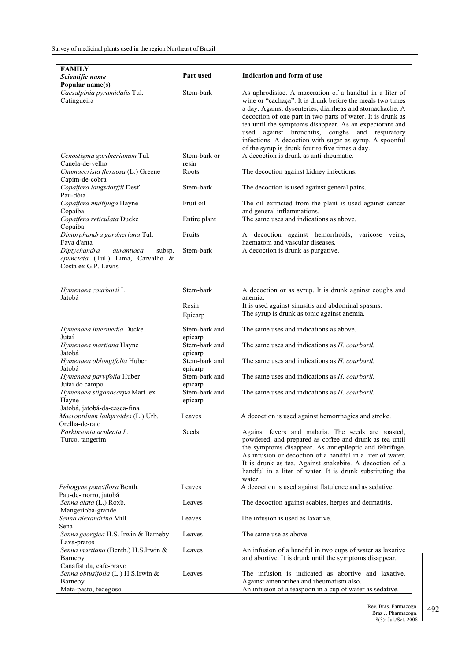| Scientific name<br>Popular name(s)<br>Caesalpinia pyramidalis Tul.<br>Stem-bark<br>As aphrodisiac. A maceration of a handful in a liter of<br>Catingueira<br>wine or "cachaça". It is drunk before the meals two times<br>a day. Against dysenteries, diarrheas and stomachache. A<br>decoction of one part in two parts of water. It is drunk as<br>tea until the symptoms disappear. As an expectorant and<br>against bronchitis, coughs and respiratory<br>used<br>infections. A decoction with sugar as syrup. A spoonful<br>of the syrup is drunk four to five times a day.<br>A decoction is drunk as anti-rheumatic.<br>Stem-bark or<br>Cenostigma gardnerianum Tul.<br>Canela-de-velho<br>resin<br>Chamaecrista flexuosa (L.) Greene<br>Roots<br>The decoction against kidney infections.<br>Capim-de-cobra<br>Copaifera langsdorffii Desf.<br>Stem-bark<br>The decoction is used against general pains.<br>Pau-dóia<br>Copaifera multijuga Hayne<br>Fruit oil<br>The oil extracted from the plant is used against cancer<br>and general inflammations.<br>Copaíba<br>Copaifera reticulata Ducke<br>The same uses and indications as above.<br>Entire plant<br>Copaíba<br>Dimorphandra gardneriana Tul.<br>Fruits<br>A decoction against hemorrhoids, varicose veins,<br>Fava d'anta<br>haematom and vascular diseases.<br>A decoction is drunk as purgative.<br>Diptychandra<br>Stem-bark<br>aurantiaca<br>subsp.<br>epunctata (Tul.) Lima, Carvalho &<br>Costa ex G.P. Lewis<br>Stem-bark<br>Hymenaea courbaril L.<br>A decoction or as syrup. It is drunk against coughs and<br>Jatobá<br>anemia.<br>Resin<br>It is used against sinusitis and abdominal spasms.<br>The syrup is drunk as tonic against anemia.<br>Epicarp<br>The same uses and indications as above.<br>Hymenaea intermedia Ducke<br>Stem-bark and<br>Jutaí<br>epicarp<br>The same uses and indications as H. courbaril.<br>Hymenaea martiana Hayne<br>Stem-bark and<br>Jatobá<br>epicarp<br>Hymenaea oblongifolia Huber<br>Stem-bark and<br>The same uses and indications as <i>H. courbaril.</i><br>Jatobá<br>epicarp<br>Hymenaea parvifolia Huber<br>Stem-bark and<br>The same uses and indications as <i>H. courbaril.</i><br>Jutaí do campo<br>epicarp<br>Hymenaea stigonocarpa Mart. ex<br>Stem-bark and<br>The same uses and indications as H. courbaril.<br>Hayne<br>epicarp<br>Jatobá, jatobá-da-casca-fina<br>A decoction is used against hemorrhagies and stroke.<br>Macroptilium lathyroides (L.) Urb.<br>Leaves<br>Orelha-de-rato<br>Parkinsonia aculeata L.<br>Seeds<br>Against fevers and malaria. The seeds are roasted,<br>Turco, tangerim<br>powdered, and prepared as coffee and drunk as tea until<br>the symptoms disappear. As antiepileptic and febrifuge.<br>As infusion or decoction of a handful in a liter of water.<br>It is drunk as tea. Against snakebite. A decoction of a<br>handful in a liter of water. It is drunk substituting the<br>water.<br>Leaves<br>A decoction is used against flatulence and as sedative.<br>Peltogyne pauciflora Benth.<br>Pau-de-morro, jatobá<br>Senna alata (L.) Roxb.<br>The decoction against scabies, herpes and dermatitis.<br>Leaves<br>Mangerioba-grande<br>The infusion is used as laxative.<br>Senna alexandrina Mill.<br>Leaves<br>Sena<br>Senna georgica H.S. Irwin & Barneby<br>The same use as above.<br>Leaves<br>Lava-pratos<br>Senna martiana (Benth.) H.S.Irwin &<br>An infusion of a handful in two cups of water as laxative<br>Leaves<br>and abortive. It is drunk until the symptoms disappear.<br>Barneby<br>Canafístula, café-bravo<br>Senna obtusifolia (L.) H.S.Irwin &<br>The infusion is indicated as abortive and laxative.<br>Leaves<br>Barneby<br>Against amenorrhea and rheumatism also. | <b>FAMILY</b> |           |                            |
|---------------------------------------------------------------------------------------------------------------------------------------------------------------------------------------------------------------------------------------------------------------------------------------------------------------------------------------------------------------------------------------------------------------------------------------------------------------------------------------------------------------------------------------------------------------------------------------------------------------------------------------------------------------------------------------------------------------------------------------------------------------------------------------------------------------------------------------------------------------------------------------------------------------------------------------------------------------------------------------------------------------------------------------------------------------------------------------------------------------------------------------------------------------------------------------------------------------------------------------------------------------------------------------------------------------------------------------------------------------------------------------------------------------------------------------------------------------------------------------------------------------------------------------------------------------------------------------------------------------------------------------------------------------------------------------------------------------------------------------------------------------------------------------------------------------------------------------------------------------------------------------------------------------------------------------------------------------------------------------------------------------------------------------------------------------------------------------------------------------------------------------------------------------------------------------------------------------------------------------------------------------------------------------------------------------------------------------------------------------------------------------------------------------------------------------------------------------------------------------------------------------------------------------------------------------------------------------------------------------------------------------------------------------------------------------------------------------------------------------------------------------------------------------------------------------------------------------------------------------------------------------------------------------------------------------------------------------------------------------------------------------------------------------------------------------------------------------------------------------------------------------------------------------------------------------------------------------------------------------------------------------------------------------------------------------------------------------------------------------------------------------------------------------------------------------------------------------------------------------------------------------------------------------------------------------------------------------------------------------------------------------------------------------------------------------------------------------------------------------------------------------------|---------------|-----------|----------------------------|
|                                                                                                                                                                                                                                                                                                                                                                                                                                                                                                                                                                                                                                                                                                                                                                                                                                                                                                                                                                                                                                                                                                                                                                                                                                                                                                                                                                                                                                                                                                                                                                                                                                                                                                                                                                                                                                                                                                                                                                                                                                                                                                                                                                                                                                                                                                                                                                                                                                                                                                                                                                                                                                                                                                                                                                                                                                                                                                                                                                                                                                                                                                                                                                                                                                                                                                                                                                                                                                                                                                                                                                                                                                                                                                                                                                     |               | Part used | Indication and form of use |
|                                                                                                                                                                                                                                                                                                                                                                                                                                                                                                                                                                                                                                                                                                                                                                                                                                                                                                                                                                                                                                                                                                                                                                                                                                                                                                                                                                                                                                                                                                                                                                                                                                                                                                                                                                                                                                                                                                                                                                                                                                                                                                                                                                                                                                                                                                                                                                                                                                                                                                                                                                                                                                                                                                                                                                                                                                                                                                                                                                                                                                                                                                                                                                                                                                                                                                                                                                                                                                                                                                                                                                                                                                                                                                                                                                     |               |           |                            |
|                                                                                                                                                                                                                                                                                                                                                                                                                                                                                                                                                                                                                                                                                                                                                                                                                                                                                                                                                                                                                                                                                                                                                                                                                                                                                                                                                                                                                                                                                                                                                                                                                                                                                                                                                                                                                                                                                                                                                                                                                                                                                                                                                                                                                                                                                                                                                                                                                                                                                                                                                                                                                                                                                                                                                                                                                                                                                                                                                                                                                                                                                                                                                                                                                                                                                                                                                                                                                                                                                                                                                                                                                                                                                                                                                                     |               |           |                            |
|                                                                                                                                                                                                                                                                                                                                                                                                                                                                                                                                                                                                                                                                                                                                                                                                                                                                                                                                                                                                                                                                                                                                                                                                                                                                                                                                                                                                                                                                                                                                                                                                                                                                                                                                                                                                                                                                                                                                                                                                                                                                                                                                                                                                                                                                                                                                                                                                                                                                                                                                                                                                                                                                                                                                                                                                                                                                                                                                                                                                                                                                                                                                                                                                                                                                                                                                                                                                                                                                                                                                                                                                                                                                                                                                                                     |               |           |                            |
|                                                                                                                                                                                                                                                                                                                                                                                                                                                                                                                                                                                                                                                                                                                                                                                                                                                                                                                                                                                                                                                                                                                                                                                                                                                                                                                                                                                                                                                                                                                                                                                                                                                                                                                                                                                                                                                                                                                                                                                                                                                                                                                                                                                                                                                                                                                                                                                                                                                                                                                                                                                                                                                                                                                                                                                                                                                                                                                                                                                                                                                                                                                                                                                                                                                                                                                                                                                                                                                                                                                                                                                                                                                                                                                                                                     |               |           |                            |
|                                                                                                                                                                                                                                                                                                                                                                                                                                                                                                                                                                                                                                                                                                                                                                                                                                                                                                                                                                                                                                                                                                                                                                                                                                                                                                                                                                                                                                                                                                                                                                                                                                                                                                                                                                                                                                                                                                                                                                                                                                                                                                                                                                                                                                                                                                                                                                                                                                                                                                                                                                                                                                                                                                                                                                                                                                                                                                                                                                                                                                                                                                                                                                                                                                                                                                                                                                                                                                                                                                                                                                                                                                                                                                                                                                     |               |           |                            |
|                                                                                                                                                                                                                                                                                                                                                                                                                                                                                                                                                                                                                                                                                                                                                                                                                                                                                                                                                                                                                                                                                                                                                                                                                                                                                                                                                                                                                                                                                                                                                                                                                                                                                                                                                                                                                                                                                                                                                                                                                                                                                                                                                                                                                                                                                                                                                                                                                                                                                                                                                                                                                                                                                                                                                                                                                                                                                                                                                                                                                                                                                                                                                                                                                                                                                                                                                                                                                                                                                                                                                                                                                                                                                                                                                                     |               |           |                            |
|                                                                                                                                                                                                                                                                                                                                                                                                                                                                                                                                                                                                                                                                                                                                                                                                                                                                                                                                                                                                                                                                                                                                                                                                                                                                                                                                                                                                                                                                                                                                                                                                                                                                                                                                                                                                                                                                                                                                                                                                                                                                                                                                                                                                                                                                                                                                                                                                                                                                                                                                                                                                                                                                                                                                                                                                                                                                                                                                                                                                                                                                                                                                                                                                                                                                                                                                                                                                                                                                                                                                                                                                                                                                                                                                                                     |               |           |                            |
|                                                                                                                                                                                                                                                                                                                                                                                                                                                                                                                                                                                                                                                                                                                                                                                                                                                                                                                                                                                                                                                                                                                                                                                                                                                                                                                                                                                                                                                                                                                                                                                                                                                                                                                                                                                                                                                                                                                                                                                                                                                                                                                                                                                                                                                                                                                                                                                                                                                                                                                                                                                                                                                                                                                                                                                                                                                                                                                                                                                                                                                                                                                                                                                                                                                                                                                                                                                                                                                                                                                                                                                                                                                                                                                                                                     |               |           |                            |
|                                                                                                                                                                                                                                                                                                                                                                                                                                                                                                                                                                                                                                                                                                                                                                                                                                                                                                                                                                                                                                                                                                                                                                                                                                                                                                                                                                                                                                                                                                                                                                                                                                                                                                                                                                                                                                                                                                                                                                                                                                                                                                                                                                                                                                                                                                                                                                                                                                                                                                                                                                                                                                                                                                                                                                                                                                                                                                                                                                                                                                                                                                                                                                                                                                                                                                                                                                                                                                                                                                                                                                                                                                                                                                                                                                     |               |           |                            |
|                                                                                                                                                                                                                                                                                                                                                                                                                                                                                                                                                                                                                                                                                                                                                                                                                                                                                                                                                                                                                                                                                                                                                                                                                                                                                                                                                                                                                                                                                                                                                                                                                                                                                                                                                                                                                                                                                                                                                                                                                                                                                                                                                                                                                                                                                                                                                                                                                                                                                                                                                                                                                                                                                                                                                                                                                                                                                                                                                                                                                                                                                                                                                                                                                                                                                                                                                                                                                                                                                                                                                                                                                                                                                                                                                                     |               |           |                            |
|                                                                                                                                                                                                                                                                                                                                                                                                                                                                                                                                                                                                                                                                                                                                                                                                                                                                                                                                                                                                                                                                                                                                                                                                                                                                                                                                                                                                                                                                                                                                                                                                                                                                                                                                                                                                                                                                                                                                                                                                                                                                                                                                                                                                                                                                                                                                                                                                                                                                                                                                                                                                                                                                                                                                                                                                                                                                                                                                                                                                                                                                                                                                                                                                                                                                                                                                                                                                                                                                                                                                                                                                                                                                                                                                                                     |               |           |                            |
|                                                                                                                                                                                                                                                                                                                                                                                                                                                                                                                                                                                                                                                                                                                                                                                                                                                                                                                                                                                                                                                                                                                                                                                                                                                                                                                                                                                                                                                                                                                                                                                                                                                                                                                                                                                                                                                                                                                                                                                                                                                                                                                                                                                                                                                                                                                                                                                                                                                                                                                                                                                                                                                                                                                                                                                                                                                                                                                                                                                                                                                                                                                                                                                                                                                                                                                                                                                                                                                                                                                                                                                                                                                                                                                                                                     |               |           |                            |
|                                                                                                                                                                                                                                                                                                                                                                                                                                                                                                                                                                                                                                                                                                                                                                                                                                                                                                                                                                                                                                                                                                                                                                                                                                                                                                                                                                                                                                                                                                                                                                                                                                                                                                                                                                                                                                                                                                                                                                                                                                                                                                                                                                                                                                                                                                                                                                                                                                                                                                                                                                                                                                                                                                                                                                                                                                                                                                                                                                                                                                                                                                                                                                                                                                                                                                                                                                                                                                                                                                                                                                                                                                                                                                                                                                     |               |           |                            |
|                                                                                                                                                                                                                                                                                                                                                                                                                                                                                                                                                                                                                                                                                                                                                                                                                                                                                                                                                                                                                                                                                                                                                                                                                                                                                                                                                                                                                                                                                                                                                                                                                                                                                                                                                                                                                                                                                                                                                                                                                                                                                                                                                                                                                                                                                                                                                                                                                                                                                                                                                                                                                                                                                                                                                                                                                                                                                                                                                                                                                                                                                                                                                                                                                                                                                                                                                                                                                                                                                                                                                                                                                                                                                                                                                                     |               |           |                            |
|                                                                                                                                                                                                                                                                                                                                                                                                                                                                                                                                                                                                                                                                                                                                                                                                                                                                                                                                                                                                                                                                                                                                                                                                                                                                                                                                                                                                                                                                                                                                                                                                                                                                                                                                                                                                                                                                                                                                                                                                                                                                                                                                                                                                                                                                                                                                                                                                                                                                                                                                                                                                                                                                                                                                                                                                                                                                                                                                                                                                                                                                                                                                                                                                                                                                                                                                                                                                                                                                                                                                                                                                                                                                                                                                                                     |               |           |                            |
|                                                                                                                                                                                                                                                                                                                                                                                                                                                                                                                                                                                                                                                                                                                                                                                                                                                                                                                                                                                                                                                                                                                                                                                                                                                                                                                                                                                                                                                                                                                                                                                                                                                                                                                                                                                                                                                                                                                                                                                                                                                                                                                                                                                                                                                                                                                                                                                                                                                                                                                                                                                                                                                                                                                                                                                                                                                                                                                                                                                                                                                                                                                                                                                                                                                                                                                                                                                                                                                                                                                                                                                                                                                                                                                                                                     |               |           |                            |
|                                                                                                                                                                                                                                                                                                                                                                                                                                                                                                                                                                                                                                                                                                                                                                                                                                                                                                                                                                                                                                                                                                                                                                                                                                                                                                                                                                                                                                                                                                                                                                                                                                                                                                                                                                                                                                                                                                                                                                                                                                                                                                                                                                                                                                                                                                                                                                                                                                                                                                                                                                                                                                                                                                                                                                                                                                                                                                                                                                                                                                                                                                                                                                                                                                                                                                                                                                                                                                                                                                                                                                                                                                                                                                                                                                     |               |           |                            |
|                                                                                                                                                                                                                                                                                                                                                                                                                                                                                                                                                                                                                                                                                                                                                                                                                                                                                                                                                                                                                                                                                                                                                                                                                                                                                                                                                                                                                                                                                                                                                                                                                                                                                                                                                                                                                                                                                                                                                                                                                                                                                                                                                                                                                                                                                                                                                                                                                                                                                                                                                                                                                                                                                                                                                                                                                                                                                                                                                                                                                                                                                                                                                                                                                                                                                                                                                                                                                                                                                                                                                                                                                                                                                                                                                                     |               |           |                            |
|                                                                                                                                                                                                                                                                                                                                                                                                                                                                                                                                                                                                                                                                                                                                                                                                                                                                                                                                                                                                                                                                                                                                                                                                                                                                                                                                                                                                                                                                                                                                                                                                                                                                                                                                                                                                                                                                                                                                                                                                                                                                                                                                                                                                                                                                                                                                                                                                                                                                                                                                                                                                                                                                                                                                                                                                                                                                                                                                                                                                                                                                                                                                                                                                                                                                                                                                                                                                                                                                                                                                                                                                                                                                                                                                                                     |               |           |                            |
|                                                                                                                                                                                                                                                                                                                                                                                                                                                                                                                                                                                                                                                                                                                                                                                                                                                                                                                                                                                                                                                                                                                                                                                                                                                                                                                                                                                                                                                                                                                                                                                                                                                                                                                                                                                                                                                                                                                                                                                                                                                                                                                                                                                                                                                                                                                                                                                                                                                                                                                                                                                                                                                                                                                                                                                                                                                                                                                                                                                                                                                                                                                                                                                                                                                                                                                                                                                                                                                                                                                                                                                                                                                                                                                                                                     |               |           |                            |
|                                                                                                                                                                                                                                                                                                                                                                                                                                                                                                                                                                                                                                                                                                                                                                                                                                                                                                                                                                                                                                                                                                                                                                                                                                                                                                                                                                                                                                                                                                                                                                                                                                                                                                                                                                                                                                                                                                                                                                                                                                                                                                                                                                                                                                                                                                                                                                                                                                                                                                                                                                                                                                                                                                                                                                                                                                                                                                                                                                                                                                                                                                                                                                                                                                                                                                                                                                                                                                                                                                                                                                                                                                                                                                                                                                     |               |           |                            |
|                                                                                                                                                                                                                                                                                                                                                                                                                                                                                                                                                                                                                                                                                                                                                                                                                                                                                                                                                                                                                                                                                                                                                                                                                                                                                                                                                                                                                                                                                                                                                                                                                                                                                                                                                                                                                                                                                                                                                                                                                                                                                                                                                                                                                                                                                                                                                                                                                                                                                                                                                                                                                                                                                                                                                                                                                                                                                                                                                                                                                                                                                                                                                                                                                                                                                                                                                                                                                                                                                                                                                                                                                                                                                                                                                                     |               |           |                            |
|                                                                                                                                                                                                                                                                                                                                                                                                                                                                                                                                                                                                                                                                                                                                                                                                                                                                                                                                                                                                                                                                                                                                                                                                                                                                                                                                                                                                                                                                                                                                                                                                                                                                                                                                                                                                                                                                                                                                                                                                                                                                                                                                                                                                                                                                                                                                                                                                                                                                                                                                                                                                                                                                                                                                                                                                                                                                                                                                                                                                                                                                                                                                                                                                                                                                                                                                                                                                                                                                                                                                                                                                                                                                                                                                                                     |               |           |                            |
|                                                                                                                                                                                                                                                                                                                                                                                                                                                                                                                                                                                                                                                                                                                                                                                                                                                                                                                                                                                                                                                                                                                                                                                                                                                                                                                                                                                                                                                                                                                                                                                                                                                                                                                                                                                                                                                                                                                                                                                                                                                                                                                                                                                                                                                                                                                                                                                                                                                                                                                                                                                                                                                                                                                                                                                                                                                                                                                                                                                                                                                                                                                                                                                                                                                                                                                                                                                                                                                                                                                                                                                                                                                                                                                                                                     |               |           |                            |
| Mata-pasto, fedegoso<br>An infusion of a teaspoon in a cup of water as sedative.                                                                                                                                                                                                                                                                                                                                                                                                                                                                                                                                                                                                                                                                                                                                                                                                                                                                                                                                                                                                                                                                                                                                                                                                                                                                                                                                                                                                                                                                                                                                                                                                                                                                                                                                                                                                                                                                                                                                                                                                                                                                                                                                                                                                                                                                                                                                                                                                                                                                                                                                                                                                                                                                                                                                                                                                                                                                                                                                                                                                                                                                                                                                                                                                                                                                                                                                                                                                                                                                                                                                                                                                                                                                                    |               |           |                            |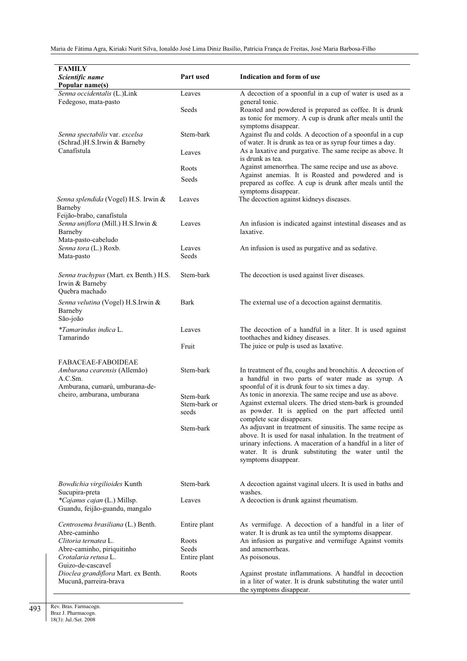| <b>FAMILY</b><br>Scientific name<br>Popular name(s)                                               | Part used                          | Indication and form of use                                                                                                                                                                               |
|---------------------------------------------------------------------------------------------------|------------------------------------|----------------------------------------------------------------------------------------------------------------------------------------------------------------------------------------------------------|
| Senna occidentalis (L.)Link<br>Fedegoso, mata-pasto                                               | Leaves                             | A decoction of a spoonful in a cup of water is used as a<br>general tonic.                                                                                                                               |
|                                                                                                   | Seeds                              | Roasted and powdered is prepared as coffee. It is drunk<br>as tonic for memory. A cup is drunk after meals until the<br>symptoms disappear.                                                              |
| Senna spectabilis var. excelsa<br>(Schrad.)H.S.Irwin & Barneby<br>Canafístula                     | Stem-bark                          | Against flu and colds. A decoction of a spoonful in a cup<br>of water. It is drunk as tea or as syrup four times a day.                                                                                  |
|                                                                                                   | Leaves                             | As a laxative and purgative. The same recipe as above. It<br>is drunk as tea.                                                                                                                            |
|                                                                                                   | Roots                              | Against amenorrhea. The same recipe and use as above.                                                                                                                                                    |
|                                                                                                   | Seeds                              | Against anemias. It is Roasted and powdered and is<br>prepared as coffee. A cup is drunk after meals until the<br>symptoms disappear.                                                                    |
| Senna splendida (Vogel) H.S. Irwin &<br>Barneby                                                   | Leaves                             | The decoction against kidneys diseases.                                                                                                                                                                  |
| Feijão-brabo, canafístula<br>Senna uniflora (Mill.) H.S.Irwin &<br>Barneby<br>Mata-pasto-cabeludo | Leaves                             | An infusion is indicated against intestinal diseases and as<br>laxative.                                                                                                                                 |
| Senna tora (L.) Roxb.<br>Mata-pasto                                                               | Leaves<br>Seeds                    | An infusion is used as purgative and as sedative.                                                                                                                                                        |
| Senna trachypus (Mart. ex Benth.) H.S.<br>Irwin & Barneby<br>Quebra machado                       | Stem-bark                          | The decoction is used against liver diseases.                                                                                                                                                            |
| Senna velutina (Vogel) H.S.Irwin &<br>Barneby<br>São-joão                                         | Bark                               | The external use of a decoction against dermatitis.                                                                                                                                                      |
| *Tamarindus indica L.<br>Tamarindo                                                                | Leaves<br>Fruit                    | The decoction of a handful in a liter. It is used against<br>toothaches and kidney diseases.<br>The juice or pulp is used as laxative.                                                                   |
|                                                                                                   |                                    |                                                                                                                                                                                                          |
| FABACEAE-FABOIDEAE<br>Amburana cearensis (Allemão)<br>A.C.Sm.                                     | Stem-bark                          | In treatment of flu, coughs and bronchitis. A decoction of<br>a handful in two parts of water made as syrup. A                                                                                           |
| Amburana, cumarú, umburana-de-                                                                    |                                    | spoonful of it is drunk four to six times a day.                                                                                                                                                         |
| cheiro, amburana, umburana                                                                        | Stem-bark<br>Stem-bark or<br>seeds | As tonic in anorexia. The same recipe and use as above.<br>Against external ulcers. The dried stem-bark is grounded<br>as powder. It is applied on the part affected until                               |
|                                                                                                   | Stem-bark                          | complete scar disappears.<br>As adjuvant in treatment of sinusitis. The same recipe as                                                                                                                   |
|                                                                                                   |                                    | above. It is used for nasal inhalation. In the treatment of<br>urinary infections. A maceration of a handful in a liter of<br>water. It is drunk substituting the water until the<br>symptoms disappear. |
| Bowdichia virgilioides Kunth<br>Sucupira-preta                                                    | Stem-bark                          | A decoction against vaginal ulcers. It is used in baths and<br>washes.                                                                                                                                   |
| *Cajanus cajan (L.) Millsp.<br>Guandu, feijão-guandu, mangalo                                     | Leaves                             | A decoction is drunk against rheumatism.                                                                                                                                                                 |
| Centrosema brasiliana (L.) Benth.<br>Abre-caminho                                                 | Entire plant                       | As vermifuge. A decoction of a handful in a liter of<br>water. It is drunk as tea until the symptoms disappear.                                                                                          |
| Clitoria ternatea L.                                                                              | Roots                              | An infusion as purgative and vermifuge Against vomits                                                                                                                                                    |
| Abre-caminho, piriquitinho<br>Crotalaria retusa L.                                                | Seeds<br>Entire plant              | and amenorrheas.<br>As poisonous.                                                                                                                                                                        |
| Guizo-de-cascavel                                                                                 |                                    |                                                                                                                                                                                                          |
| Dioclea grandiflora Mart. ex Benth.<br>Mucunã, parreira-brava                                     | Roots                              | Against prostate inflammations. A handful in decoction<br>in a liter of water. It is drunk substituting the water until<br>the symptoms disappear.                                                       |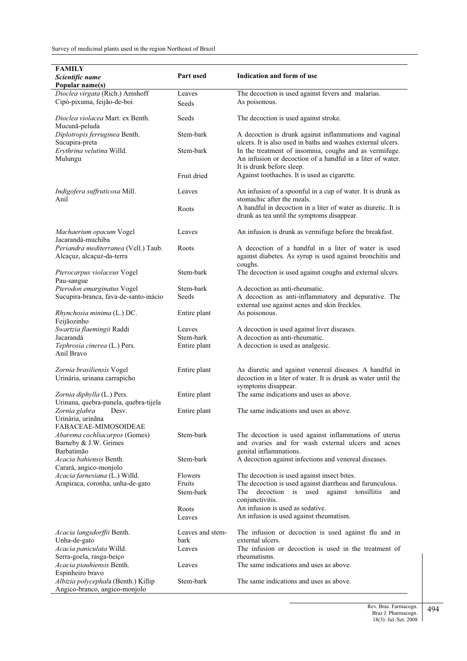| <b>FAMILY</b>                                                        |                           |                                                                                                                        |
|----------------------------------------------------------------------|---------------------------|------------------------------------------------------------------------------------------------------------------------|
| Scientific name<br>Popular name(s)                                   | Part used                 | Indication and form of use                                                                                             |
| Dioclea virgata (Rich.) Amshoff                                      | Leaves                    | The decoction is used against fevers and malarias.                                                                     |
| Cipó-pixuma, feijão-de-boi                                           | Seeds                     | As poisonous.                                                                                                          |
| Dioclea violacea Mart. ex Benth.<br>Mucunã-peluda                    | Seeds                     | The decoction is used against stroke.                                                                                  |
| Diplotropis ferruginea Benth.                                        | Stem-bark                 | A decoction is drunk against inflammations and vaginal                                                                 |
| Sucupira-preta<br>Erythrina velutina Willd.                          | Stem-bark                 | ulcers. It is also used in baths and washes external ulcers.<br>In the treatment of insomnia, coughs and as vermifuge. |
| Mulungu                                                              |                           | An infusion or decoction of a handful in a liter of water.<br>It is drunk before sleep.                                |
|                                                                      | Fruit dried               | Against toothaches. It is used as cigarette.                                                                           |
| Indigofera suffruticosa Mill.<br>Anil                                | Leaves                    | An infusion of a spoonful in a cup of water. It is drunk as<br>stomachic after the meals.                              |
|                                                                      | Roots                     | A handful in decoction in a liter of water as diuretic. It is<br>drunk as tea until the symptoms disappear.            |
| Machaerium opacum Vogel<br>Jacarandá-muchiba                         | Leaves                    | An infusion is drunk as vermifuge before the breakfast.                                                                |
| Periandra mediterranea (Vell.) Taub.<br>Alcaçuz, alcaçuz-da-terra    | Roots                     | A decoction of a handful in a liter of water is used<br>against diabetes. As syrup is used against bronchitis and      |
| Pterocarpus violaceus Vogel<br>Pau-sangue                            | Stem-bark                 | coughs.<br>The decoction is used against coughs and external ulcers.                                                   |
| Pterodon emarginatus Vogel                                           | Stem-bark                 | A decoction as anti-rheumatic.                                                                                         |
| Sucupira-branca, fava-de-santo-inácio                                | Seeds                     | A decoction as anti-inflammatory and depurative. The<br>external use against acnes and skin freckles.                  |
| Rhynchosia minima (L.) DC.<br>Feijãozinho                            | Entire plant              | As poisonous.                                                                                                          |
| Swartzia flaemingii Raddi                                            | Leaves                    | A decoction is used against liver diseases.                                                                            |
| Jacarandá<br>Tephrosia cinerea (L.) Pers.                            | Stem-bark<br>Entire plant | A decoction as anti-rheumatic.<br>A decoction is used as analgesic.                                                    |
| Anil Bravo                                                           |                           |                                                                                                                        |
| Zornia brasiliensis Vogel                                            | Entire plant              | As diuretic and against venereal diseases. A handful in                                                                |
| Urinária, urinana carrapicho                                         |                           | decoction in a liter of water. It is drunk as water until the<br>symptoms disappear.                                   |
| Zornia diphylla (L.) Pers.                                           | Entire plant              | The same indications and uses as above.                                                                                |
| Urinana, quebra-panela, quebra-tijela<br>Zornia glabra<br>Desv.      | Entire plant              | The same indications and uses as above.                                                                                |
| Urinária, urinãna                                                    |                           |                                                                                                                        |
| FABACEAE-MIMOSOIDEAE<br>Abarema cochliacarpos (Gomes)                | Stem-bark                 | The decoction is used against inflammations of uterus                                                                  |
| Barneby & J.W. Grimes                                                |                           | and ovaries and for wash external ulcers and acnes                                                                     |
| Barbatimão                                                           |                           | genital inflammations.                                                                                                 |
| Acacia bahiensis Benth.<br>Carará, angico-monjolo                    | Stem-bark                 | A decoction against infections and venereal diseases.                                                                  |
| Acacia farnesiana (L.) Willd.                                        | Flowers                   | The decoction is used against insect bites.                                                                            |
| Arapiraca, coronha, unha-de-gato                                     | Fruits                    | The decoction is used against diarrheas and furunculous.                                                               |
|                                                                      | Stem-bark                 | decoction<br>is used<br>against<br>tonsillitis<br>The<br>and<br>conjunctivitis.                                        |
|                                                                      | Roots                     | An infusion is used as sedative.                                                                                       |
|                                                                      | Leaves                    | An infusion is used against rheumatism.                                                                                |
| Acacia langsdorffii Benth.                                           | Leaves and stem-          | The infusion or decoction is used against flu and in                                                                   |
| Unha-de-gato<br>Acacia paniculata Willd.                             | bark                      | external ulcers.<br>The infusion or decoction is used in the treatment of                                              |
| Serra-goela, rasga-beiço                                             | Leaves                    | rheumatisms.                                                                                                           |
| Acacia piauhiensis Benth.                                            | Leaves                    | The same indications and uses as above.                                                                                |
| Espinheiro bravo                                                     | Stem-bark                 | The same indications and uses as above.                                                                                |
| Albizia polycephala (Benth.) Killip<br>Angico-branco, angico-monjolo |                           |                                                                                                                        |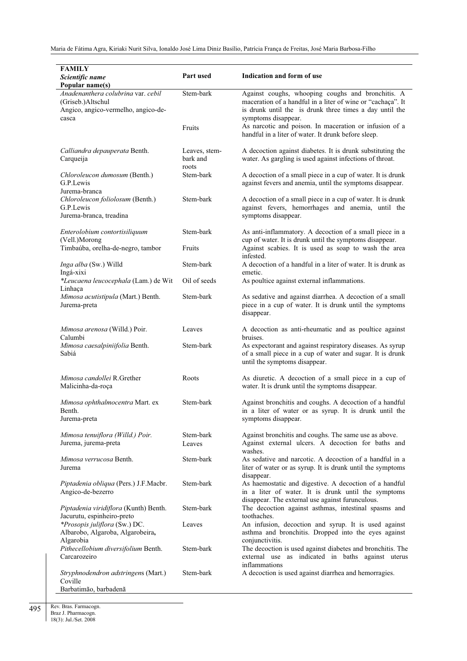| <b>FAMILY</b><br>Scientific name<br>Popular name(s)                                                     | Part used                          | Indication and form of use                                                                                                                                                                         |
|---------------------------------------------------------------------------------------------------------|------------------------------------|----------------------------------------------------------------------------------------------------------------------------------------------------------------------------------------------------|
| Anadenanthera colubrina var. cebil<br>(Griseb.)Altschul<br>Angico, angico-vermelho, angico-de-<br>casca | Stem-bark                          | Against coughs, whooping coughs and bronchitis. A<br>maceration of a handful in a liter of wine or "cachaça". It<br>is drunk until the is drunk three times a day until the<br>symptoms disappear. |
|                                                                                                         | Fruits                             | As narcotic and poison. In maceration or infusion of a<br>handful in a liter of water. It drunk before sleep.                                                                                      |
| Calliandra depauperata Benth.<br>Carqueija                                                              | Leaves, stem-<br>bark and<br>roots | A decoction against diabetes. It is drunk substituting the<br>water. As gargling is used against infections of throat.                                                                             |
| Chloroleucon dumosum (Benth.)<br>G.P.Lewis<br>Jurema-branca                                             | Stem-bark                          | A decoction of a small piece in a cup of water. It is drunk<br>against fevers and anemia, until the symptoms disappear.                                                                            |
| Chloroleucon foliolosum (Benth.)<br>G.P.Lewis<br>Jurema-branca, treadina                                | Stem-bark                          | A decoction of a small piece in a cup of water. It is drunk<br>against fevers, hemorrhages and anemia, until the<br>symptoms disappear.                                                            |
| Enterolobium contortisiliquum<br>(Vell.)Morong                                                          | Stem-bark                          | As anti-inflammatory. A decoction of a small piece in a<br>cup of water. It is drunk until the symptoms disappear.                                                                                 |
| Timbaúba, orelha-de-negro, tambor                                                                       | Fruits                             | Against scabies. It is used as soap to wash the area<br>infested.                                                                                                                                  |
| Inga alba (Sw.) Willd<br>Ingá-xixi                                                                      | Stem-bark                          | A decoction of a handful in a liter of water. It is drunk as<br>emetic.                                                                                                                            |
| *Leucaena leucocephala (Lam.) de Wit<br>Linhaça                                                         | Oil of seeds                       | As poultice against external inflammations.                                                                                                                                                        |
| Mimosa acutistipula (Mart.) Benth.<br>Jurema-preta                                                      | Stem-bark                          | As sedative and against diarrhea. A decoction of a small<br>piece in a cup of water. It is drunk until the symptoms<br>disappear.                                                                  |
| Mimosa arenosa (Willd.) Poir.<br>Calumbi                                                                | Leaves                             | A decoction as anti-rheumatic and as poultice against<br>bruises.                                                                                                                                  |
| Mimosa caesalpiniifolia Benth.<br>Sabiá                                                                 | Stem-bark                          | As expectorant and against respiratory diseases. As syrup<br>of a small piece in a cup of water and sugar. It is drunk<br>until the symptoms disappear.                                            |
| Mimosa candollei R.Grether<br>Malicinha-da-roça                                                         | Roots                              | As diuretic. A decoction of a small piece in a cup of<br>water. It is drunk until the symptoms disappear.                                                                                          |
| Mimosa ophthalmocentra Mart. ex<br>Benth.<br>Jurema-preta                                               | Stem-bark                          | Against bronchitis and coughs. A decoction of a handful<br>in a liter of water or as syrup. It is drunk until the<br>symptoms disappear.                                                           |
| Mimosa tenuiflora (Willd.) Poir.<br>Jurema, jurema-preta                                                | Stem-bark<br>Leaves                | Against bronchitis and coughs. The same use as above.<br>Against external ulcers. A decoction for baths and<br>washes.                                                                             |
| <i>Mimosa verrucosa</i> Benth.<br>Jurema                                                                | Stem-bark                          | As sedative and narcotic. A decoction of a handful in a<br>liter of water or as syrup. It is drunk until the symptoms<br>disappear.                                                                |
| Piptadenia obliqua (Pers.) J.F.Macbr.<br>Angico-de-bezerro                                              | Stem-bark                          | As haemostatic and digestive. A decoction of a handful<br>in a liter of water. It is drunk until the symptoms<br>disappear. The external use against furunculous.                                  |
| Piptadenia viridiflora (Kunth) Benth.<br>Jacurutu, espinheiro-preto                                     | Stem-bark                          | The decoction against asthmas, intestinal spasms and<br>toothaches.                                                                                                                                |
| *Prosopis juliflora (Sw.) DC.<br>Albarobo, Algaroba, Algarobeira,<br>Algarobia                          | Leaves                             | An infusion, decoction and syrup. It is used against<br>asthma and bronchitis. Dropped into the eyes against<br>conjunctivitis.                                                                    |
| Pithecellobium diversifolium Benth.<br>Carcarozeiro                                                     | Stem-bark                          | The decoction is used against diabetes and bronchitis. The<br>external use as indicated in baths against uterus<br>inflammations                                                                   |
| Stryphnodendron adstringens (Mart.)<br>Coville                                                          | Stem-bark                          | A decoction is used against diarrhea and hemorragies.                                                                                                                                              |
| Barbatimão, barbadenã                                                                                   |                                    |                                                                                                                                                                                                    |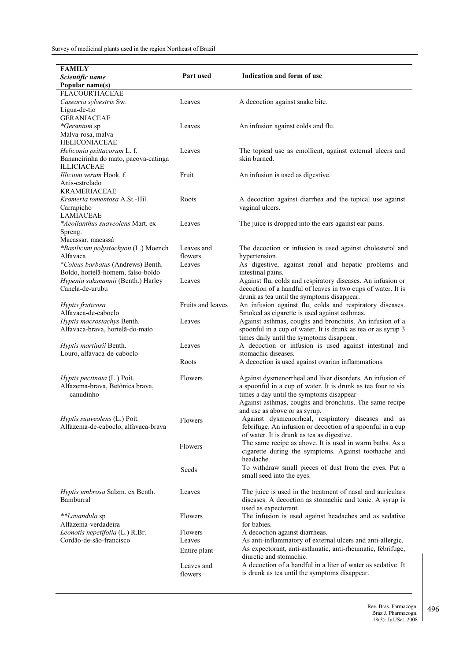| FAMILY                               |                   |                                                                               |
|--------------------------------------|-------------------|-------------------------------------------------------------------------------|
| Scientific name                      | Part used         | Indication and form of use                                                    |
| Popular name(s)                      |                   |                                                                               |
| <b>FLACOURTIACEAE</b>                |                   |                                                                               |
| Casearia sylvestris Sw.              | Leaves            | A decoction against snake bite.                                               |
| Lígua-de-tio                         |                   |                                                                               |
| <b>GERANIACEAE</b>                   |                   |                                                                               |
| *Geranium sp                         | Leaves            | An infusion against colds and flu.                                            |
| Malva-rosa, malva                    |                   |                                                                               |
| <b>HELICONIACEAE</b>                 |                   |                                                                               |
| Heliconia psittacorum L. f.          | Leaves            | The topical use as emollient, against external ulcers and                     |
| Bananeirinha do mato, pacova-catinga |                   | skin burned.                                                                  |
| <b>ILLICIACEAE</b>                   |                   |                                                                               |
| Illicium verum Hook. f.              | Fruit             | An infusion is used as digestive.                                             |
| Anis-estrelado                       |                   |                                                                               |
| <b>KRAMERIACEAE</b>                  |                   |                                                                               |
| Krameria tomentosa A.St.-Hil.        | Roots             | A decoction against diarrhea and the topical use against                      |
| Carrapicho                           |                   | vaginal ulcers.                                                               |
| <b>LAMIACEAE</b>                     |                   |                                                                               |
| *Aeollanthus suaveolens Mart. ex     | Leaves            | The juice is dropped into the ears against ear pains.                         |
| Spreng.                              |                   |                                                                               |
| Macassar, macassá                    |                   |                                                                               |
| *Basilicum polystachyon (L.) Moench  | Leaves and        | The decoction or infusion is used against cholesterol and                     |
| Alfavaca                             | flowers           | hypertension.                                                                 |
| *Coleus barbatus (Andrews) Benth.    | Leaves            | As digestive, against renal and hepatic problems and                          |
| Boldo, hortelã-homem, falso-boldo    |                   | intestinal pains.                                                             |
| Hypenia salzmannii (Benth.) Harley   | Leaves            | Against flu, colds and respiratory diseases. An infusion or                   |
| Canela-de-urubu                      |                   | decoction of a handful of leaves in two cups of water. It is                  |
|                                      |                   | drunk as tea until the symptoms disappear.                                    |
| Hyptis fruticosa                     | Fruits and leaves | An infusion against flu, colds and respiratory diseases.                      |
| Alfavaca-de-caboclo                  |                   | Smoked as cigarette is used against asthmas.                                  |
| Hyptis macrostachys Benth.           | Leaves            | Against asthmas, coughs and bronchitis. An infusion of a                      |
| Alfavaca-brava, hortelã-do-mato      |                   | spoonful in a cup of water. It is drunk as tea or as syrup 3                  |
|                                      |                   | times daily until the symptoms disappear.                                     |
| Hyptis martiusii Benth.              | Leaves            | A decoction or infusion is used against intestinal and<br>stomachic diseases. |
| Louro, alfavaca-de-caboclo           | Roots             | A decoction is used against ovarian inflammations.                            |
|                                      |                   |                                                                               |
| Hyptis pectinata (L.) Poit.          | Flowers           | Against dysmenorrheal and liver disorders. An infusion of                     |
| Alfazema-brava, Betônica brava,      |                   | a spoonful in a cup of water. It is drunk as tea four to six                  |
| canudinho                            |                   | times a day until the symptoms disappear                                      |
|                                      |                   | Against asthmas, coughs and bronchitis. The same recipe                       |
|                                      |                   | and use as above or as syrup.                                                 |
| Hyptis suaveolens (L.) Poit.         | Flowers           | Against dysmenorrheal, respiratory diseases and as                            |
| Alfazema-de-caboclo, alfavaca-brava  |                   | febrifuge. An infusion or decoction of a spoonful in a cup                    |
|                                      |                   | of water. It is drunk as tea as digestive.                                    |
|                                      |                   | The same recipe as above. It is used in warm baths. As a                      |
|                                      | Flowers           | cigarette during the symptoms. Against toothache and                          |
|                                      |                   | headache.                                                                     |
|                                      | Seeds             | To withdraw small pieces of dust from the eyes. Put a                         |
|                                      |                   | small seed into the eyes.                                                     |
|                                      |                   |                                                                               |
| Hyptis umbrosa Salzm. ex Benth.      | Leaves            | The juice is used in the treatment of nasal and auriculars                    |
| Bamburral                            |                   | diseases. A decoction as stomachic and tonic. A syrup is                      |
|                                      |                   | used as expectorant.                                                          |
| **Lavandula sp.                      | Flowers           | The infusion is used against headaches and as sedative                        |
| Alfazema-verdadeira                  |                   | for babies.                                                                   |
| Leonotis nepetifolia (L.) R.Br.      | Flowers           | A decoction against diarrheas.                                                |
| Cordão-de-são-francisco              | Leaves            | As anti-inflammatory of external ulcers and anti-allergic.                    |
|                                      | Entire plant      | As expectorant, anti-asthmatic, anti-rheumatic, febrifuge,                    |
|                                      |                   | diuretic and stomachic.                                                       |
|                                      | Leaves and        | A decoction of a handful in a liter of water as sedative. It                  |
|                                      | flowers           | is drunk as tea until the symptoms disappear.                                 |
|                                      |                   |                                                                               |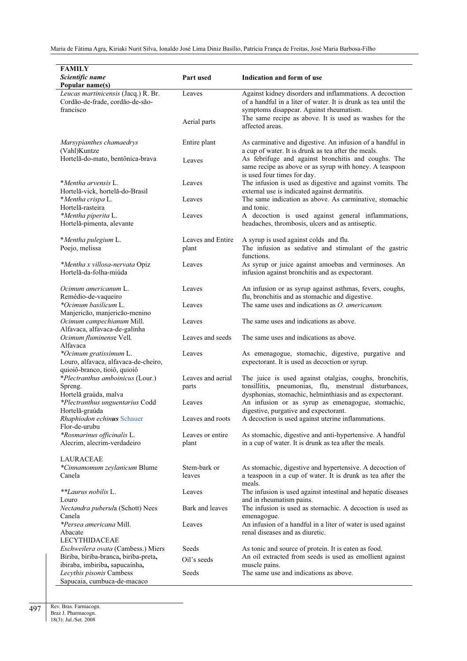| <b>FAMILY</b><br>Scientific name                                                               | Part used                 | Indication and form of use                                                                                                                    |
|------------------------------------------------------------------------------------------------|---------------------------|-----------------------------------------------------------------------------------------------------------------------------------------------|
| Popular name(s)                                                                                |                           |                                                                                                                                               |
| Leucas martinicensis (Jacq.) R. Br.<br>Cordão-de-frade, cordão-de-são-<br>francisco            | Leaves                    | Against kidney disorders and inflammations. A decoction<br>of a handful in a liter of water. It is drunk as tea until the                     |
|                                                                                                | Aerial parts              | symptoms disappear. Against rheumatism.<br>The same recipe as above. It is used as washes for the<br>affected areas.                          |
| Marsypianthes chamaedrys<br>(Vahl)Kuntze                                                       | Entire plant              | As carminative and digestive. An infusion of a handful in<br>a cup of water. It is drunk as tea after the meals.                              |
| Hortelã-do-mato, bentônica-brava                                                               | Leaves                    | As febrifuge and against bronchitis and coughs. The<br>same recipe as above or as syrup with honey. A teaspoon<br>is used four times for day. |
| *Mentha arvensis L.<br>Hortelã-vick, hortelã-do-Brasil                                         | Leaves                    | The infusion is used as digestive and against vomits. The<br>external use is indicated against dermatitis.                                    |
| *Mentha crispa L.<br>Hortelã-rasteira                                                          | Leaves                    | The same indication as above. As carminative, stomachic<br>and tonic.                                                                         |
| *Mentha piperita L.<br>Hortelã-pimenta, alevante                                               | Leaves                    | A decoction is used against general inflammations,<br>headaches, thrombosis, ulcers and as antiseptic.                                        |
| *Mentha pulegium L.                                                                            | Leaves and Entire         | A syrup is used against colds and flu.                                                                                                        |
| Poejo, melissa                                                                                 | plant                     | The infusion as sedative and stimulant of the gastric<br>functions.                                                                           |
| *Mentha x villosa-nervata Opiz<br>Hortelã-da-folha-miúda                                       | Leaves                    | As syrup or juice against amoebas and verminoses. An<br>infusion against bronchitis and as expectorant.                                       |
| Ocimum americanum L.<br>Remédio-de-vaqueiro                                                    | Leaves                    | An infusion or as syrup against asthmas, fevers, coughs,<br>flu, bronchitis and as stomachic and digestive.                                   |
| *Ocimum basilicum L.<br>Manjericão, manjericão-menino                                          | Leaves                    | The same uses and indications as <i>O. americanum</i> .                                                                                       |
| Ocimum campechianum Mill.<br>Alfavaca, alfavaca-de-galinha                                     | Leaves                    | The same uses and indications as above.                                                                                                       |
| Ocimum fluminense Vell.<br>Alfavaca                                                            | Leaves and seeds          | The same uses and indications as above.                                                                                                       |
| *Ocimum gratissimum L.<br>Louro, alfavaca, alfavaca-de-cheiro,<br>quioiô-branco, tioiô, quioiô | Leaves                    | As emenagogue, stomachic, digestive, purgative and<br>expectorant. It is used as decoction or syrup.                                          |
| *Plectranthus amboinicus (Lour.)                                                               | Leaves and aerial         | The juice is used against otalgias, coughs, bronchitis,                                                                                       |
| Spreng.                                                                                        | parts                     | tonsillitis, pneumonias, flu, menstrual disturbances,                                                                                         |
| Hortelã graúda, malva<br>*Plectranthus unguentarius Codd                                       | Leaves                    | dysphonias, stomachic, helminthiasis and as expectorant.<br>An infusion or as syrup as emenagogue, stomachic,                                 |
| Hortelã-graúda                                                                                 |                           | digestive, purgative and expectorant.                                                                                                         |
| Rhaphiodon echinus Schauer<br>Flor-de-urubu                                                    | Leaves and roots          | A decoction is used against uterine inflammations.                                                                                            |
| *Rosmarinus officinalis L.<br>Alecrim, alecrim-verdadeiro                                      | Leaves or entire<br>plant | As stomachic, digestive and anti-hypertensive. A handful<br>in a cup of water. It is drunk as tea after the meals.                            |
| LAURACEAE                                                                                      |                           |                                                                                                                                               |
| *Cinnamomum zeylanicum Blume<br>Canela                                                         | Stem-bark or<br>leaves    | As stomachic, digestive and hypertensive. A decoction of<br>a teaspoon in a cup of water. It is drunk as tea after the                        |
| **Laurus nobilis L.                                                                            | Leaves                    | meals.<br>The infusion is used against intestinal and hepatic diseases                                                                        |
| Louro<br>Nectandra puberula (Schott) Nees                                                      | Bark and leaves           | and in rheumatism pains.<br>The infusion is used as stomachic. A decoction is used as                                                         |
| Canela<br><i>*Persea americana Mill.</i>                                                       | Leaves                    | emenagogue.<br>An infusion of a handful in a liter of water is used against                                                                   |
| Abacate<br><b>LECYTHIDACEAE</b>                                                                |                           | renal diseases and as diuretic.                                                                                                               |
| Eschweilera ovata (Cambess.) Miers                                                             | Seeds                     | As tonic and source of protein. It is eaten as food.                                                                                          |
| Biriba, biriba-branca, biriba-preta,                                                           | Oil's seeds               | An oil extracted from seeds is used as emollient against                                                                                      |
| ibiraba, imbiriba, sapucaínha,<br>Lecythis pisonis Cambess                                     | Seeds                     | muscle pains.<br>The same use and indications as above.                                                                                       |
| Sapucaia, cumbuca-de-macaco                                                                    |                           |                                                                                                                                               |

Rev. Bras. Farmacogn. Braz J. Pharmacogn. 18(3): Jul./Set. 2008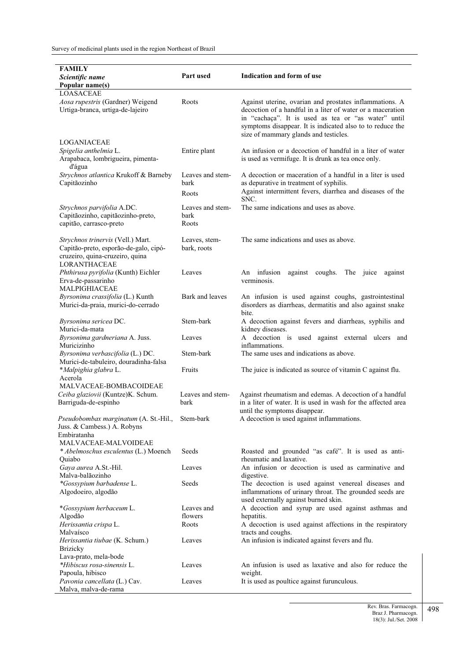| Indication and form of use<br>Part used<br>Scientific name<br>Popular name(s)<br><b>LOASACEAE</b><br>Aosa rupestris (Gardner) Weigend<br>Roots<br>Against uterine, ovarian and prostates inflammations. A<br>Urtiga-branca, urtiga-de-lajeiro<br>decoction of a handful in a liter of water or a maceration<br>in "cachaça". It is used as tea or "as water" until<br>symptoms disappear. It is indicated also to to reduce the<br>size of mammary glands and testicles.<br>LOGANIACEAE<br>An infusion or a decoction of handful in a liter of water<br>Spigelia anthelmia L.<br>Entire plant<br>is used as vermifuge. It is drunk as tea once only.<br>Arapabaca, lombrigueira, pimenta-<br>d'água<br>Strychnos atlantica Krukoff & Barneby<br>A decoction or maceration of a handful in a liter is used<br>Leaves and stem-<br>Capitãozinho<br>as depurative in treatment of syphilis.<br>bark<br>Against intermittent fevers, diarrhea and diseases of the<br>Roots<br>SNC.<br>Leaves and stem-<br>The same indications and uses as above.<br>Strychnos parvifolia A.DC.<br>Capitãozinho, capitãozinho-preto,<br>bark<br>capitão, carrasco-preto<br>Roots<br>The same indications and uses as above.<br>Strychnos trinervis (Vell.) Mart.<br>Leaves, stem-<br>Capitão-preto, esporão-de-galo, cipó-<br>bark, roots<br>cruzeiro, quina-cruzeiro, quina<br>LORANTHACEAE<br>Phthirusa pyrifolia (Kunth) Eichler<br>Leaves<br>An infusion<br>coughs.<br>The juice<br>against<br>against<br>verminosis.<br>Erva-de-passarinho<br>MALPIGHIACEAE<br>Byrsonima crassifolia (L.) Kunth<br>Bark and leaves<br>An infusion is used against coughs, gastrointestinal<br>Murici-da-praia, murici-do-cerrado<br>disorders as diarrheas, dermatitis and also against snake<br>bite.<br>Stem-bark<br>Byrsonima sericea DC.<br>A decoction against fevers and diarrheas, syphilis and<br>Murici-da-mata<br>kidney diseases.<br>A decoction is used against external ulcers<br>Byrsonima gardneriana A. Juss.<br>Leaves<br>and<br>Muricizinho<br>inflammations.<br>Stem-bark<br>The same uses and indications as above.<br>Byrsonima verbascifolia (L.) DC.<br>Murici-de-tabuleiro, douradinha-falsa<br>*Malpighia glabra L.<br>Fruits<br>The juice is indicated as source of vitamin C against flu.<br>Acerola<br>MALVACEAE-BOMBACOIDEAE<br>Leaves and stem-<br>Ceiba glaziovii (Kuntze)K. Schum.<br>Against rheumatism and edemas. A decoction of a handful<br>in a liter of water. It is used in wash for the affected area<br>Barriguda-de-espinho<br>bark<br>until the symptoms disappear.<br>Pseudobombax marginatum (A. St.-Hil.,<br>Stem-bark<br>A decoction is used against inflammations.<br>Juss. & Cambess.) A. Robyns<br>Embiratanha<br>MALVACEAE-MALVOIDEAE<br>* Abelmoschus esculentus (L.) Moench<br>Seeds<br>Roasted and grounded "as café". It is used as anti-<br>rheumatic and laxative.<br>Quiabo<br>An infusion or decoction is used as carminative and<br>Gaya aurea A.St.-Hil.<br>Leaves<br>Malva-balãozinho<br>digestive.<br>*Gossypium barbadense L.<br>The decoction is used against venereal diseases and<br><b>Seeds</b><br>Algodoeiro, algodão<br>inflammations of urinary throat. The grounded seeds are<br>used externally against burned skin.<br>*Gossypium herbaceum L.<br>A decoction and syrup are used against asthmas and<br>Leaves and<br>Algodão<br>flowers<br>hepatitis.<br>A decoction is used against affections in the respiratory<br>Herissantia crispa L.<br>Roots<br>Malvaísco<br>tracts and coughs.<br>An infusion is indicated against fevers and flu.<br>Herissantia tiubae (K. Schum.)<br>Leaves<br><b>Brizicky</b><br>Lava-prato, mela-bode<br>*Hibiscus rosa-sinensis L.<br>An infusion is used as laxative and also for reduce the<br>Leaves<br>Papoula, hibisco<br>weight.<br>It is used as poultice against furunculous.<br>Pavonia cancellata (L.) Cav.<br>Leaves | <b>FAMILY</b>        |  |
|--------------------------------------------------------------------------------------------------------------------------------------------------------------------------------------------------------------------------------------------------------------------------------------------------------------------------------------------------------------------------------------------------------------------------------------------------------------------------------------------------------------------------------------------------------------------------------------------------------------------------------------------------------------------------------------------------------------------------------------------------------------------------------------------------------------------------------------------------------------------------------------------------------------------------------------------------------------------------------------------------------------------------------------------------------------------------------------------------------------------------------------------------------------------------------------------------------------------------------------------------------------------------------------------------------------------------------------------------------------------------------------------------------------------------------------------------------------------------------------------------------------------------------------------------------------------------------------------------------------------------------------------------------------------------------------------------------------------------------------------------------------------------------------------------------------------------------------------------------------------------------------------------------------------------------------------------------------------------------------------------------------------------------------------------------------------------------------------------------------------------------------------------------------------------------------------------------------------------------------------------------------------------------------------------------------------------------------------------------------------------------------------------------------------------------------------------------------------------------------------------------------------------------------------------------------------------------------------------------------------------------------------------------------------------------------------------------------------------------------------------------------------------------------------------------------------------------------------------------------------------------------------------------------------------------------------------------------------------------------------------------------------------------------------------------------------------------------------------------------------------------------------------------------------------------------------------------------------------------------------------------------------------------------------------------------------------------------------------------------------------------------------------------------------------------------------------------------------------------------------------------------------------------------------------------------------------------------------------------------------------------------------------------------------------------------------------------------------------------------------------------------------------------------------------------------------------------------------------------------------------------------------------------------|----------------------|--|
|                                                                                                                                                                                                                                                                                                                                                                                                                                                                                                                                                                                                                                                                                                                                                                                                                                                                                                                                                                                                                                                                                                                                                                                                                                                                                                                                                                                                                                                                                                                                                                                                                                                                                                                                                                                                                                                                                                                                                                                                                                                                                                                                                                                                                                                                                                                                                                                                                                                                                                                                                                                                                                                                                                                                                                                                                                                                                                                                                                                                                                                                                                                                                                                                                                                                                                                                                                                                                                                                                                                                                                                                                                                                                                                                                                                                                                                                                                              |                      |  |
|                                                                                                                                                                                                                                                                                                                                                                                                                                                                                                                                                                                                                                                                                                                                                                                                                                                                                                                                                                                                                                                                                                                                                                                                                                                                                                                                                                                                                                                                                                                                                                                                                                                                                                                                                                                                                                                                                                                                                                                                                                                                                                                                                                                                                                                                                                                                                                                                                                                                                                                                                                                                                                                                                                                                                                                                                                                                                                                                                                                                                                                                                                                                                                                                                                                                                                                                                                                                                                                                                                                                                                                                                                                                                                                                                                                                                                                                                                              |                      |  |
|                                                                                                                                                                                                                                                                                                                                                                                                                                                                                                                                                                                                                                                                                                                                                                                                                                                                                                                                                                                                                                                                                                                                                                                                                                                                                                                                                                                                                                                                                                                                                                                                                                                                                                                                                                                                                                                                                                                                                                                                                                                                                                                                                                                                                                                                                                                                                                                                                                                                                                                                                                                                                                                                                                                                                                                                                                                                                                                                                                                                                                                                                                                                                                                                                                                                                                                                                                                                                                                                                                                                                                                                                                                                                                                                                                                                                                                                                                              |                      |  |
|                                                                                                                                                                                                                                                                                                                                                                                                                                                                                                                                                                                                                                                                                                                                                                                                                                                                                                                                                                                                                                                                                                                                                                                                                                                                                                                                                                                                                                                                                                                                                                                                                                                                                                                                                                                                                                                                                                                                                                                                                                                                                                                                                                                                                                                                                                                                                                                                                                                                                                                                                                                                                                                                                                                                                                                                                                                                                                                                                                                                                                                                                                                                                                                                                                                                                                                                                                                                                                                                                                                                                                                                                                                                                                                                                                                                                                                                                                              |                      |  |
|                                                                                                                                                                                                                                                                                                                                                                                                                                                                                                                                                                                                                                                                                                                                                                                                                                                                                                                                                                                                                                                                                                                                                                                                                                                                                                                                                                                                                                                                                                                                                                                                                                                                                                                                                                                                                                                                                                                                                                                                                                                                                                                                                                                                                                                                                                                                                                                                                                                                                                                                                                                                                                                                                                                                                                                                                                                                                                                                                                                                                                                                                                                                                                                                                                                                                                                                                                                                                                                                                                                                                                                                                                                                                                                                                                                                                                                                                                              |                      |  |
|                                                                                                                                                                                                                                                                                                                                                                                                                                                                                                                                                                                                                                                                                                                                                                                                                                                                                                                                                                                                                                                                                                                                                                                                                                                                                                                                                                                                                                                                                                                                                                                                                                                                                                                                                                                                                                                                                                                                                                                                                                                                                                                                                                                                                                                                                                                                                                                                                                                                                                                                                                                                                                                                                                                                                                                                                                                                                                                                                                                                                                                                                                                                                                                                                                                                                                                                                                                                                                                                                                                                                                                                                                                                                                                                                                                                                                                                                                              |                      |  |
|                                                                                                                                                                                                                                                                                                                                                                                                                                                                                                                                                                                                                                                                                                                                                                                                                                                                                                                                                                                                                                                                                                                                                                                                                                                                                                                                                                                                                                                                                                                                                                                                                                                                                                                                                                                                                                                                                                                                                                                                                                                                                                                                                                                                                                                                                                                                                                                                                                                                                                                                                                                                                                                                                                                                                                                                                                                                                                                                                                                                                                                                                                                                                                                                                                                                                                                                                                                                                                                                                                                                                                                                                                                                                                                                                                                                                                                                                                              |                      |  |
|                                                                                                                                                                                                                                                                                                                                                                                                                                                                                                                                                                                                                                                                                                                                                                                                                                                                                                                                                                                                                                                                                                                                                                                                                                                                                                                                                                                                                                                                                                                                                                                                                                                                                                                                                                                                                                                                                                                                                                                                                                                                                                                                                                                                                                                                                                                                                                                                                                                                                                                                                                                                                                                                                                                                                                                                                                                                                                                                                                                                                                                                                                                                                                                                                                                                                                                                                                                                                                                                                                                                                                                                                                                                                                                                                                                                                                                                                                              |                      |  |
|                                                                                                                                                                                                                                                                                                                                                                                                                                                                                                                                                                                                                                                                                                                                                                                                                                                                                                                                                                                                                                                                                                                                                                                                                                                                                                                                                                                                                                                                                                                                                                                                                                                                                                                                                                                                                                                                                                                                                                                                                                                                                                                                                                                                                                                                                                                                                                                                                                                                                                                                                                                                                                                                                                                                                                                                                                                                                                                                                                                                                                                                                                                                                                                                                                                                                                                                                                                                                                                                                                                                                                                                                                                                                                                                                                                                                                                                                                              |                      |  |
|                                                                                                                                                                                                                                                                                                                                                                                                                                                                                                                                                                                                                                                                                                                                                                                                                                                                                                                                                                                                                                                                                                                                                                                                                                                                                                                                                                                                                                                                                                                                                                                                                                                                                                                                                                                                                                                                                                                                                                                                                                                                                                                                                                                                                                                                                                                                                                                                                                                                                                                                                                                                                                                                                                                                                                                                                                                                                                                                                                                                                                                                                                                                                                                                                                                                                                                                                                                                                                                                                                                                                                                                                                                                                                                                                                                                                                                                                                              |                      |  |
|                                                                                                                                                                                                                                                                                                                                                                                                                                                                                                                                                                                                                                                                                                                                                                                                                                                                                                                                                                                                                                                                                                                                                                                                                                                                                                                                                                                                                                                                                                                                                                                                                                                                                                                                                                                                                                                                                                                                                                                                                                                                                                                                                                                                                                                                                                                                                                                                                                                                                                                                                                                                                                                                                                                                                                                                                                                                                                                                                                                                                                                                                                                                                                                                                                                                                                                                                                                                                                                                                                                                                                                                                                                                                                                                                                                                                                                                                                              |                      |  |
|                                                                                                                                                                                                                                                                                                                                                                                                                                                                                                                                                                                                                                                                                                                                                                                                                                                                                                                                                                                                                                                                                                                                                                                                                                                                                                                                                                                                                                                                                                                                                                                                                                                                                                                                                                                                                                                                                                                                                                                                                                                                                                                                                                                                                                                                                                                                                                                                                                                                                                                                                                                                                                                                                                                                                                                                                                                                                                                                                                                                                                                                                                                                                                                                                                                                                                                                                                                                                                                                                                                                                                                                                                                                                                                                                                                                                                                                                                              |                      |  |
|                                                                                                                                                                                                                                                                                                                                                                                                                                                                                                                                                                                                                                                                                                                                                                                                                                                                                                                                                                                                                                                                                                                                                                                                                                                                                                                                                                                                                                                                                                                                                                                                                                                                                                                                                                                                                                                                                                                                                                                                                                                                                                                                                                                                                                                                                                                                                                                                                                                                                                                                                                                                                                                                                                                                                                                                                                                                                                                                                                                                                                                                                                                                                                                                                                                                                                                                                                                                                                                                                                                                                                                                                                                                                                                                                                                                                                                                                                              |                      |  |
|                                                                                                                                                                                                                                                                                                                                                                                                                                                                                                                                                                                                                                                                                                                                                                                                                                                                                                                                                                                                                                                                                                                                                                                                                                                                                                                                                                                                                                                                                                                                                                                                                                                                                                                                                                                                                                                                                                                                                                                                                                                                                                                                                                                                                                                                                                                                                                                                                                                                                                                                                                                                                                                                                                                                                                                                                                                                                                                                                                                                                                                                                                                                                                                                                                                                                                                                                                                                                                                                                                                                                                                                                                                                                                                                                                                                                                                                                                              |                      |  |
|                                                                                                                                                                                                                                                                                                                                                                                                                                                                                                                                                                                                                                                                                                                                                                                                                                                                                                                                                                                                                                                                                                                                                                                                                                                                                                                                                                                                                                                                                                                                                                                                                                                                                                                                                                                                                                                                                                                                                                                                                                                                                                                                                                                                                                                                                                                                                                                                                                                                                                                                                                                                                                                                                                                                                                                                                                                                                                                                                                                                                                                                                                                                                                                                                                                                                                                                                                                                                                                                                                                                                                                                                                                                                                                                                                                                                                                                                                              |                      |  |
|                                                                                                                                                                                                                                                                                                                                                                                                                                                                                                                                                                                                                                                                                                                                                                                                                                                                                                                                                                                                                                                                                                                                                                                                                                                                                                                                                                                                                                                                                                                                                                                                                                                                                                                                                                                                                                                                                                                                                                                                                                                                                                                                                                                                                                                                                                                                                                                                                                                                                                                                                                                                                                                                                                                                                                                                                                                                                                                                                                                                                                                                                                                                                                                                                                                                                                                                                                                                                                                                                                                                                                                                                                                                                                                                                                                                                                                                                                              |                      |  |
|                                                                                                                                                                                                                                                                                                                                                                                                                                                                                                                                                                                                                                                                                                                                                                                                                                                                                                                                                                                                                                                                                                                                                                                                                                                                                                                                                                                                                                                                                                                                                                                                                                                                                                                                                                                                                                                                                                                                                                                                                                                                                                                                                                                                                                                                                                                                                                                                                                                                                                                                                                                                                                                                                                                                                                                                                                                                                                                                                                                                                                                                                                                                                                                                                                                                                                                                                                                                                                                                                                                                                                                                                                                                                                                                                                                                                                                                                                              |                      |  |
|                                                                                                                                                                                                                                                                                                                                                                                                                                                                                                                                                                                                                                                                                                                                                                                                                                                                                                                                                                                                                                                                                                                                                                                                                                                                                                                                                                                                                                                                                                                                                                                                                                                                                                                                                                                                                                                                                                                                                                                                                                                                                                                                                                                                                                                                                                                                                                                                                                                                                                                                                                                                                                                                                                                                                                                                                                                                                                                                                                                                                                                                                                                                                                                                                                                                                                                                                                                                                                                                                                                                                                                                                                                                                                                                                                                                                                                                                                              |                      |  |
|                                                                                                                                                                                                                                                                                                                                                                                                                                                                                                                                                                                                                                                                                                                                                                                                                                                                                                                                                                                                                                                                                                                                                                                                                                                                                                                                                                                                                                                                                                                                                                                                                                                                                                                                                                                                                                                                                                                                                                                                                                                                                                                                                                                                                                                                                                                                                                                                                                                                                                                                                                                                                                                                                                                                                                                                                                                                                                                                                                                                                                                                                                                                                                                                                                                                                                                                                                                                                                                                                                                                                                                                                                                                                                                                                                                                                                                                                                              |                      |  |
|                                                                                                                                                                                                                                                                                                                                                                                                                                                                                                                                                                                                                                                                                                                                                                                                                                                                                                                                                                                                                                                                                                                                                                                                                                                                                                                                                                                                                                                                                                                                                                                                                                                                                                                                                                                                                                                                                                                                                                                                                                                                                                                                                                                                                                                                                                                                                                                                                                                                                                                                                                                                                                                                                                                                                                                                                                                                                                                                                                                                                                                                                                                                                                                                                                                                                                                                                                                                                                                                                                                                                                                                                                                                                                                                                                                                                                                                                                              |                      |  |
|                                                                                                                                                                                                                                                                                                                                                                                                                                                                                                                                                                                                                                                                                                                                                                                                                                                                                                                                                                                                                                                                                                                                                                                                                                                                                                                                                                                                                                                                                                                                                                                                                                                                                                                                                                                                                                                                                                                                                                                                                                                                                                                                                                                                                                                                                                                                                                                                                                                                                                                                                                                                                                                                                                                                                                                                                                                                                                                                                                                                                                                                                                                                                                                                                                                                                                                                                                                                                                                                                                                                                                                                                                                                                                                                                                                                                                                                                                              |                      |  |
|                                                                                                                                                                                                                                                                                                                                                                                                                                                                                                                                                                                                                                                                                                                                                                                                                                                                                                                                                                                                                                                                                                                                                                                                                                                                                                                                                                                                                                                                                                                                                                                                                                                                                                                                                                                                                                                                                                                                                                                                                                                                                                                                                                                                                                                                                                                                                                                                                                                                                                                                                                                                                                                                                                                                                                                                                                                                                                                                                                                                                                                                                                                                                                                                                                                                                                                                                                                                                                                                                                                                                                                                                                                                                                                                                                                                                                                                                                              |                      |  |
|                                                                                                                                                                                                                                                                                                                                                                                                                                                                                                                                                                                                                                                                                                                                                                                                                                                                                                                                                                                                                                                                                                                                                                                                                                                                                                                                                                                                                                                                                                                                                                                                                                                                                                                                                                                                                                                                                                                                                                                                                                                                                                                                                                                                                                                                                                                                                                                                                                                                                                                                                                                                                                                                                                                                                                                                                                                                                                                                                                                                                                                                                                                                                                                                                                                                                                                                                                                                                                                                                                                                                                                                                                                                                                                                                                                                                                                                                                              |                      |  |
|                                                                                                                                                                                                                                                                                                                                                                                                                                                                                                                                                                                                                                                                                                                                                                                                                                                                                                                                                                                                                                                                                                                                                                                                                                                                                                                                                                                                                                                                                                                                                                                                                                                                                                                                                                                                                                                                                                                                                                                                                                                                                                                                                                                                                                                                                                                                                                                                                                                                                                                                                                                                                                                                                                                                                                                                                                                                                                                                                                                                                                                                                                                                                                                                                                                                                                                                                                                                                                                                                                                                                                                                                                                                                                                                                                                                                                                                                                              |                      |  |
|                                                                                                                                                                                                                                                                                                                                                                                                                                                                                                                                                                                                                                                                                                                                                                                                                                                                                                                                                                                                                                                                                                                                                                                                                                                                                                                                                                                                                                                                                                                                                                                                                                                                                                                                                                                                                                                                                                                                                                                                                                                                                                                                                                                                                                                                                                                                                                                                                                                                                                                                                                                                                                                                                                                                                                                                                                                                                                                                                                                                                                                                                                                                                                                                                                                                                                                                                                                                                                                                                                                                                                                                                                                                                                                                                                                                                                                                                                              |                      |  |
|                                                                                                                                                                                                                                                                                                                                                                                                                                                                                                                                                                                                                                                                                                                                                                                                                                                                                                                                                                                                                                                                                                                                                                                                                                                                                                                                                                                                                                                                                                                                                                                                                                                                                                                                                                                                                                                                                                                                                                                                                                                                                                                                                                                                                                                                                                                                                                                                                                                                                                                                                                                                                                                                                                                                                                                                                                                                                                                                                                                                                                                                                                                                                                                                                                                                                                                                                                                                                                                                                                                                                                                                                                                                                                                                                                                                                                                                                                              |                      |  |
|                                                                                                                                                                                                                                                                                                                                                                                                                                                                                                                                                                                                                                                                                                                                                                                                                                                                                                                                                                                                                                                                                                                                                                                                                                                                                                                                                                                                                                                                                                                                                                                                                                                                                                                                                                                                                                                                                                                                                                                                                                                                                                                                                                                                                                                                                                                                                                                                                                                                                                                                                                                                                                                                                                                                                                                                                                                                                                                                                                                                                                                                                                                                                                                                                                                                                                                                                                                                                                                                                                                                                                                                                                                                                                                                                                                                                                                                                                              |                      |  |
|                                                                                                                                                                                                                                                                                                                                                                                                                                                                                                                                                                                                                                                                                                                                                                                                                                                                                                                                                                                                                                                                                                                                                                                                                                                                                                                                                                                                                                                                                                                                                                                                                                                                                                                                                                                                                                                                                                                                                                                                                                                                                                                                                                                                                                                                                                                                                                                                                                                                                                                                                                                                                                                                                                                                                                                                                                                                                                                                                                                                                                                                                                                                                                                                                                                                                                                                                                                                                                                                                                                                                                                                                                                                                                                                                                                                                                                                                                              |                      |  |
|                                                                                                                                                                                                                                                                                                                                                                                                                                                                                                                                                                                                                                                                                                                                                                                                                                                                                                                                                                                                                                                                                                                                                                                                                                                                                                                                                                                                                                                                                                                                                                                                                                                                                                                                                                                                                                                                                                                                                                                                                                                                                                                                                                                                                                                                                                                                                                                                                                                                                                                                                                                                                                                                                                                                                                                                                                                                                                                                                                                                                                                                                                                                                                                                                                                                                                                                                                                                                                                                                                                                                                                                                                                                                                                                                                                                                                                                                                              |                      |  |
|                                                                                                                                                                                                                                                                                                                                                                                                                                                                                                                                                                                                                                                                                                                                                                                                                                                                                                                                                                                                                                                                                                                                                                                                                                                                                                                                                                                                                                                                                                                                                                                                                                                                                                                                                                                                                                                                                                                                                                                                                                                                                                                                                                                                                                                                                                                                                                                                                                                                                                                                                                                                                                                                                                                                                                                                                                                                                                                                                                                                                                                                                                                                                                                                                                                                                                                                                                                                                                                                                                                                                                                                                                                                                                                                                                                                                                                                                                              |                      |  |
|                                                                                                                                                                                                                                                                                                                                                                                                                                                                                                                                                                                                                                                                                                                                                                                                                                                                                                                                                                                                                                                                                                                                                                                                                                                                                                                                                                                                                                                                                                                                                                                                                                                                                                                                                                                                                                                                                                                                                                                                                                                                                                                                                                                                                                                                                                                                                                                                                                                                                                                                                                                                                                                                                                                                                                                                                                                                                                                                                                                                                                                                                                                                                                                                                                                                                                                                                                                                                                                                                                                                                                                                                                                                                                                                                                                                                                                                                                              |                      |  |
|                                                                                                                                                                                                                                                                                                                                                                                                                                                                                                                                                                                                                                                                                                                                                                                                                                                                                                                                                                                                                                                                                                                                                                                                                                                                                                                                                                                                                                                                                                                                                                                                                                                                                                                                                                                                                                                                                                                                                                                                                                                                                                                                                                                                                                                                                                                                                                                                                                                                                                                                                                                                                                                                                                                                                                                                                                                                                                                                                                                                                                                                                                                                                                                                                                                                                                                                                                                                                                                                                                                                                                                                                                                                                                                                                                                                                                                                                                              |                      |  |
|                                                                                                                                                                                                                                                                                                                                                                                                                                                                                                                                                                                                                                                                                                                                                                                                                                                                                                                                                                                                                                                                                                                                                                                                                                                                                                                                                                                                                                                                                                                                                                                                                                                                                                                                                                                                                                                                                                                                                                                                                                                                                                                                                                                                                                                                                                                                                                                                                                                                                                                                                                                                                                                                                                                                                                                                                                                                                                                                                                                                                                                                                                                                                                                                                                                                                                                                                                                                                                                                                                                                                                                                                                                                                                                                                                                                                                                                                                              |                      |  |
|                                                                                                                                                                                                                                                                                                                                                                                                                                                                                                                                                                                                                                                                                                                                                                                                                                                                                                                                                                                                                                                                                                                                                                                                                                                                                                                                                                                                                                                                                                                                                                                                                                                                                                                                                                                                                                                                                                                                                                                                                                                                                                                                                                                                                                                                                                                                                                                                                                                                                                                                                                                                                                                                                                                                                                                                                                                                                                                                                                                                                                                                                                                                                                                                                                                                                                                                                                                                                                                                                                                                                                                                                                                                                                                                                                                                                                                                                                              |                      |  |
|                                                                                                                                                                                                                                                                                                                                                                                                                                                                                                                                                                                                                                                                                                                                                                                                                                                                                                                                                                                                                                                                                                                                                                                                                                                                                                                                                                                                                                                                                                                                                                                                                                                                                                                                                                                                                                                                                                                                                                                                                                                                                                                                                                                                                                                                                                                                                                                                                                                                                                                                                                                                                                                                                                                                                                                                                                                                                                                                                                                                                                                                                                                                                                                                                                                                                                                                                                                                                                                                                                                                                                                                                                                                                                                                                                                                                                                                                                              |                      |  |
|                                                                                                                                                                                                                                                                                                                                                                                                                                                                                                                                                                                                                                                                                                                                                                                                                                                                                                                                                                                                                                                                                                                                                                                                                                                                                                                                                                                                                                                                                                                                                                                                                                                                                                                                                                                                                                                                                                                                                                                                                                                                                                                                                                                                                                                                                                                                                                                                                                                                                                                                                                                                                                                                                                                                                                                                                                                                                                                                                                                                                                                                                                                                                                                                                                                                                                                                                                                                                                                                                                                                                                                                                                                                                                                                                                                                                                                                                                              |                      |  |
|                                                                                                                                                                                                                                                                                                                                                                                                                                                                                                                                                                                                                                                                                                                                                                                                                                                                                                                                                                                                                                                                                                                                                                                                                                                                                                                                                                                                                                                                                                                                                                                                                                                                                                                                                                                                                                                                                                                                                                                                                                                                                                                                                                                                                                                                                                                                                                                                                                                                                                                                                                                                                                                                                                                                                                                                                                                                                                                                                                                                                                                                                                                                                                                                                                                                                                                                                                                                                                                                                                                                                                                                                                                                                                                                                                                                                                                                                                              |                      |  |
|                                                                                                                                                                                                                                                                                                                                                                                                                                                                                                                                                                                                                                                                                                                                                                                                                                                                                                                                                                                                                                                                                                                                                                                                                                                                                                                                                                                                                                                                                                                                                                                                                                                                                                                                                                                                                                                                                                                                                                                                                                                                                                                                                                                                                                                                                                                                                                                                                                                                                                                                                                                                                                                                                                                                                                                                                                                                                                                                                                                                                                                                                                                                                                                                                                                                                                                                                                                                                                                                                                                                                                                                                                                                                                                                                                                                                                                                                                              |                      |  |
|                                                                                                                                                                                                                                                                                                                                                                                                                                                                                                                                                                                                                                                                                                                                                                                                                                                                                                                                                                                                                                                                                                                                                                                                                                                                                                                                                                                                                                                                                                                                                                                                                                                                                                                                                                                                                                                                                                                                                                                                                                                                                                                                                                                                                                                                                                                                                                                                                                                                                                                                                                                                                                                                                                                                                                                                                                                                                                                                                                                                                                                                                                                                                                                                                                                                                                                                                                                                                                                                                                                                                                                                                                                                                                                                                                                                                                                                                                              |                      |  |
|                                                                                                                                                                                                                                                                                                                                                                                                                                                                                                                                                                                                                                                                                                                                                                                                                                                                                                                                                                                                                                                                                                                                                                                                                                                                                                                                                                                                                                                                                                                                                                                                                                                                                                                                                                                                                                                                                                                                                                                                                                                                                                                                                                                                                                                                                                                                                                                                                                                                                                                                                                                                                                                                                                                                                                                                                                                                                                                                                                                                                                                                                                                                                                                                                                                                                                                                                                                                                                                                                                                                                                                                                                                                                                                                                                                                                                                                                                              |                      |  |
|                                                                                                                                                                                                                                                                                                                                                                                                                                                                                                                                                                                                                                                                                                                                                                                                                                                                                                                                                                                                                                                                                                                                                                                                                                                                                                                                                                                                                                                                                                                                                                                                                                                                                                                                                                                                                                                                                                                                                                                                                                                                                                                                                                                                                                                                                                                                                                                                                                                                                                                                                                                                                                                                                                                                                                                                                                                                                                                                                                                                                                                                                                                                                                                                                                                                                                                                                                                                                                                                                                                                                                                                                                                                                                                                                                                                                                                                                                              |                      |  |
|                                                                                                                                                                                                                                                                                                                                                                                                                                                                                                                                                                                                                                                                                                                                                                                                                                                                                                                                                                                                                                                                                                                                                                                                                                                                                                                                                                                                                                                                                                                                                                                                                                                                                                                                                                                                                                                                                                                                                                                                                                                                                                                                                                                                                                                                                                                                                                                                                                                                                                                                                                                                                                                                                                                                                                                                                                                                                                                                                                                                                                                                                                                                                                                                                                                                                                                                                                                                                                                                                                                                                                                                                                                                                                                                                                                                                                                                                                              |                      |  |
|                                                                                                                                                                                                                                                                                                                                                                                                                                                                                                                                                                                                                                                                                                                                                                                                                                                                                                                                                                                                                                                                                                                                                                                                                                                                                                                                                                                                                                                                                                                                                                                                                                                                                                                                                                                                                                                                                                                                                                                                                                                                                                                                                                                                                                                                                                                                                                                                                                                                                                                                                                                                                                                                                                                                                                                                                                                                                                                                                                                                                                                                                                                                                                                                                                                                                                                                                                                                                                                                                                                                                                                                                                                                                                                                                                                                                                                                                                              |                      |  |
|                                                                                                                                                                                                                                                                                                                                                                                                                                                                                                                                                                                                                                                                                                                                                                                                                                                                                                                                                                                                                                                                                                                                                                                                                                                                                                                                                                                                                                                                                                                                                                                                                                                                                                                                                                                                                                                                                                                                                                                                                                                                                                                                                                                                                                                                                                                                                                                                                                                                                                                                                                                                                                                                                                                                                                                                                                                                                                                                                                                                                                                                                                                                                                                                                                                                                                                                                                                                                                                                                                                                                                                                                                                                                                                                                                                                                                                                                                              |                      |  |
|                                                                                                                                                                                                                                                                                                                                                                                                                                                                                                                                                                                                                                                                                                                                                                                                                                                                                                                                                                                                                                                                                                                                                                                                                                                                                                                                                                                                                                                                                                                                                                                                                                                                                                                                                                                                                                                                                                                                                                                                                                                                                                                                                                                                                                                                                                                                                                                                                                                                                                                                                                                                                                                                                                                                                                                                                                                                                                                                                                                                                                                                                                                                                                                                                                                                                                                                                                                                                                                                                                                                                                                                                                                                                                                                                                                                                                                                                                              |                      |  |
|                                                                                                                                                                                                                                                                                                                                                                                                                                                                                                                                                                                                                                                                                                                                                                                                                                                                                                                                                                                                                                                                                                                                                                                                                                                                                                                                                                                                                                                                                                                                                                                                                                                                                                                                                                                                                                                                                                                                                                                                                                                                                                                                                                                                                                                                                                                                                                                                                                                                                                                                                                                                                                                                                                                                                                                                                                                                                                                                                                                                                                                                                                                                                                                                                                                                                                                                                                                                                                                                                                                                                                                                                                                                                                                                                                                                                                                                                                              |                      |  |
|                                                                                                                                                                                                                                                                                                                                                                                                                                                                                                                                                                                                                                                                                                                                                                                                                                                                                                                                                                                                                                                                                                                                                                                                                                                                                                                                                                                                                                                                                                                                                                                                                                                                                                                                                                                                                                                                                                                                                                                                                                                                                                                                                                                                                                                                                                                                                                                                                                                                                                                                                                                                                                                                                                                                                                                                                                                                                                                                                                                                                                                                                                                                                                                                                                                                                                                                                                                                                                                                                                                                                                                                                                                                                                                                                                                                                                                                                                              |                      |  |
|                                                                                                                                                                                                                                                                                                                                                                                                                                                                                                                                                                                                                                                                                                                                                                                                                                                                                                                                                                                                                                                                                                                                                                                                                                                                                                                                                                                                                                                                                                                                                                                                                                                                                                                                                                                                                                                                                                                                                                                                                                                                                                                                                                                                                                                                                                                                                                                                                                                                                                                                                                                                                                                                                                                                                                                                                                                                                                                                                                                                                                                                                                                                                                                                                                                                                                                                                                                                                                                                                                                                                                                                                                                                                                                                                                                                                                                                                                              |                      |  |
|                                                                                                                                                                                                                                                                                                                                                                                                                                                                                                                                                                                                                                                                                                                                                                                                                                                                                                                                                                                                                                                                                                                                                                                                                                                                                                                                                                                                                                                                                                                                                                                                                                                                                                                                                                                                                                                                                                                                                                                                                                                                                                                                                                                                                                                                                                                                                                                                                                                                                                                                                                                                                                                                                                                                                                                                                                                                                                                                                                                                                                                                                                                                                                                                                                                                                                                                                                                                                                                                                                                                                                                                                                                                                                                                                                                                                                                                                                              |                      |  |
|                                                                                                                                                                                                                                                                                                                                                                                                                                                                                                                                                                                                                                                                                                                                                                                                                                                                                                                                                                                                                                                                                                                                                                                                                                                                                                                                                                                                                                                                                                                                                                                                                                                                                                                                                                                                                                                                                                                                                                                                                                                                                                                                                                                                                                                                                                                                                                                                                                                                                                                                                                                                                                                                                                                                                                                                                                                                                                                                                                                                                                                                                                                                                                                                                                                                                                                                                                                                                                                                                                                                                                                                                                                                                                                                                                                                                                                                                                              |                      |  |
|                                                                                                                                                                                                                                                                                                                                                                                                                                                                                                                                                                                                                                                                                                                                                                                                                                                                                                                                                                                                                                                                                                                                                                                                                                                                                                                                                                                                                                                                                                                                                                                                                                                                                                                                                                                                                                                                                                                                                                                                                                                                                                                                                                                                                                                                                                                                                                                                                                                                                                                                                                                                                                                                                                                                                                                                                                                                                                                                                                                                                                                                                                                                                                                                                                                                                                                                                                                                                                                                                                                                                                                                                                                                                                                                                                                                                                                                                                              |                      |  |
|                                                                                                                                                                                                                                                                                                                                                                                                                                                                                                                                                                                                                                                                                                                                                                                                                                                                                                                                                                                                                                                                                                                                                                                                                                                                                                                                                                                                                                                                                                                                                                                                                                                                                                                                                                                                                                                                                                                                                                                                                                                                                                                                                                                                                                                                                                                                                                                                                                                                                                                                                                                                                                                                                                                                                                                                                                                                                                                                                                                                                                                                                                                                                                                                                                                                                                                                                                                                                                                                                                                                                                                                                                                                                                                                                                                                                                                                                                              |                      |  |
|                                                                                                                                                                                                                                                                                                                                                                                                                                                                                                                                                                                                                                                                                                                                                                                                                                                                                                                                                                                                                                                                                                                                                                                                                                                                                                                                                                                                                                                                                                                                                                                                                                                                                                                                                                                                                                                                                                                                                                                                                                                                                                                                                                                                                                                                                                                                                                                                                                                                                                                                                                                                                                                                                                                                                                                                                                                                                                                                                                                                                                                                                                                                                                                                                                                                                                                                                                                                                                                                                                                                                                                                                                                                                                                                                                                                                                                                                                              |                      |  |
|                                                                                                                                                                                                                                                                                                                                                                                                                                                                                                                                                                                                                                                                                                                                                                                                                                                                                                                                                                                                                                                                                                                                                                                                                                                                                                                                                                                                                                                                                                                                                                                                                                                                                                                                                                                                                                                                                                                                                                                                                                                                                                                                                                                                                                                                                                                                                                                                                                                                                                                                                                                                                                                                                                                                                                                                                                                                                                                                                                                                                                                                                                                                                                                                                                                                                                                                                                                                                                                                                                                                                                                                                                                                                                                                                                                                                                                                                                              |                      |  |
|                                                                                                                                                                                                                                                                                                                                                                                                                                                                                                                                                                                                                                                                                                                                                                                                                                                                                                                                                                                                                                                                                                                                                                                                                                                                                                                                                                                                                                                                                                                                                                                                                                                                                                                                                                                                                                                                                                                                                                                                                                                                                                                                                                                                                                                                                                                                                                                                                                                                                                                                                                                                                                                                                                                                                                                                                                                                                                                                                                                                                                                                                                                                                                                                                                                                                                                                                                                                                                                                                                                                                                                                                                                                                                                                                                                                                                                                                                              |                      |  |
|                                                                                                                                                                                                                                                                                                                                                                                                                                                                                                                                                                                                                                                                                                                                                                                                                                                                                                                                                                                                                                                                                                                                                                                                                                                                                                                                                                                                                                                                                                                                                                                                                                                                                                                                                                                                                                                                                                                                                                                                                                                                                                                                                                                                                                                                                                                                                                                                                                                                                                                                                                                                                                                                                                                                                                                                                                                                                                                                                                                                                                                                                                                                                                                                                                                                                                                                                                                                                                                                                                                                                                                                                                                                                                                                                                                                                                                                                                              |                      |  |
|                                                                                                                                                                                                                                                                                                                                                                                                                                                                                                                                                                                                                                                                                                                                                                                                                                                                                                                                                                                                                                                                                                                                                                                                                                                                                                                                                                                                                                                                                                                                                                                                                                                                                                                                                                                                                                                                                                                                                                                                                                                                                                                                                                                                                                                                                                                                                                                                                                                                                                                                                                                                                                                                                                                                                                                                                                                                                                                                                                                                                                                                                                                                                                                                                                                                                                                                                                                                                                                                                                                                                                                                                                                                                                                                                                                                                                                                                                              |                      |  |
|                                                                                                                                                                                                                                                                                                                                                                                                                                                                                                                                                                                                                                                                                                                                                                                                                                                                                                                                                                                                                                                                                                                                                                                                                                                                                                                                                                                                                                                                                                                                                                                                                                                                                                                                                                                                                                                                                                                                                                                                                                                                                                                                                                                                                                                                                                                                                                                                                                                                                                                                                                                                                                                                                                                                                                                                                                                                                                                                                                                                                                                                                                                                                                                                                                                                                                                                                                                                                                                                                                                                                                                                                                                                                                                                                                                                                                                                                                              |                      |  |
|                                                                                                                                                                                                                                                                                                                                                                                                                                                                                                                                                                                                                                                                                                                                                                                                                                                                                                                                                                                                                                                                                                                                                                                                                                                                                                                                                                                                                                                                                                                                                                                                                                                                                                                                                                                                                                                                                                                                                                                                                                                                                                                                                                                                                                                                                                                                                                                                                                                                                                                                                                                                                                                                                                                                                                                                                                                                                                                                                                                                                                                                                                                                                                                                                                                                                                                                                                                                                                                                                                                                                                                                                                                                                                                                                                                                                                                                                                              |                      |  |
|                                                                                                                                                                                                                                                                                                                                                                                                                                                                                                                                                                                                                                                                                                                                                                                                                                                                                                                                                                                                                                                                                                                                                                                                                                                                                                                                                                                                                                                                                                                                                                                                                                                                                                                                                                                                                                                                                                                                                                                                                                                                                                                                                                                                                                                                                                                                                                                                                                                                                                                                                                                                                                                                                                                                                                                                                                                                                                                                                                                                                                                                                                                                                                                                                                                                                                                                                                                                                                                                                                                                                                                                                                                                                                                                                                                                                                                                                                              |                      |  |
|                                                                                                                                                                                                                                                                                                                                                                                                                                                                                                                                                                                                                                                                                                                                                                                                                                                                                                                                                                                                                                                                                                                                                                                                                                                                                                                                                                                                                                                                                                                                                                                                                                                                                                                                                                                                                                                                                                                                                                                                                                                                                                                                                                                                                                                                                                                                                                                                                                                                                                                                                                                                                                                                                                                                                                                                                                                                                                                                                                                                                                                                                                                                                                                                                                                                                                                                                                                                                                                                                                                                                                                                                                                                                                                                                                                                                                                                                                              |                      |  |
|                                                                                                                                                                                                                                                                                                                                                                                                                                                                                                                                                                                                                                                                                                                                                                                                                                                                                                                                                                                                                                                                                                                                                                                                                                                                                                                                                                                                                                                                                                                                                                                                                                                                                                                                                                                                                                                                                                                                                                                                                                                                                                                                                                                                                                                                                                                                                                                                                                                                                                                                                                                                                                                                                                                                                                                                                                                                                                                                                                                                                                                                                                                                                                                                                                                                                                                                                                                                                                                                                                                                                                                                                                                                                                                                                                                                                                                                                                              |                      |  |
|                                                                                                                                                                                                                                                                                                                                                                                                                                                                                                                                                                                                                                                                                                                                                                                                                                                                                                                                                                                                                                                                                                                                                                                                                                                                                                                                                                                                                                                                                                                                                                                                                                                                                                                                                                                                                                                                                                                                                                                                                                                                                                                                                                                                                                                                                                                                                                                                                                                                                                                                                                                                                                                                                                                                                                                                                                                                                                                                                                                                                                                                                                                                                                                                                                                                                                                                                                                                                                                                                                                                                                                                                                                                                                                                                                                                                                                                                                              |                      |  |
|                                                                                                                                                                                                                                                                                                                                                                                                                                                                                                                                                                                                                                                                                                                                                                                                                                                                                                                                                                                                                                                                                                                                                                                                                                                                                                                                                                                                                                                                                                                                                                                                                                                                                                                                                                                                                                                                                                                                                                                                                                                                                                                                                                                                                                                                                                                                                                                                                                                                                                                                                                                                                                                                                                                                                                                                                                                                                                                                                                                                                                                                                                                                                                                                                                                                                                                                                                                                                                                                                                                                                                                                                                                                                                                                                                                                                                                                                                              |                      |  |
|                                                                                                                                                                                                                                                                                                                                                                                                                                                                                                                                                                                                                                                                                                                                                                                                                                                                                                                                                                                                                                                                                                                                                                                                                                                                                                                                                                                                                                                                                                                                                                                                                                                                                                                                                                                                                                                                                                                                                                                                                                                                                                                                                                                                                                                                                                                                                                                                                                                                                                                                                                                                                                                                                                                                                                                                                                                                                                                                                                                                                                                                                                                                                                                                                                                                                                                                                                                                                                                                                                                                                                                                                                                                                                                                                                                                                                                                                                              | Malva, malva-de-rama |  |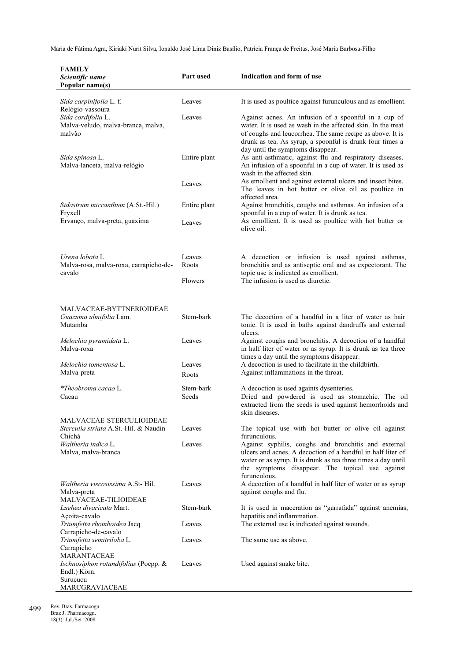| <b>FAMILY</b><br>Scientific name<br>Popular name(s)                                   | Part used          | Indication and form of use                                                                                                                                                                                                                                                         |
|---------------------------------------------------------------------------------------|--------------------|------------------------------------------------------------------------------------------------------------------------------------------------------------------------------------------------------------------------------------------------------------------------------------|
| Sida carpinifolia L. f.<br>Relógio-vassoura                                           | Leaves             | It is used as poultice against furunculous and as emollient.                                                                                                                                                                                                                       |
| Sida cordifolia L.<br>Malva-veludo, malva-branca, malva,<br>malvão                    | Leaves             | Against acnes. An infusion of a spoonful in a cup of<br>water. It is used as wash in the affected skin. In the treat<br>of coughs and leucorrhea. The same recipe as above. It is<br>drunk as tea. As syrup, a spoonful is drunk four times a<br>day until the symptoms disappear. |
| Sida spinosa L.<br>Malva-lanceta, malva-relógio                                       | Entire plant       | As anti-asthmatic, against flu and respiratory diseases.<br>An infusion of a spoonful in a cup of water. It is used as<br>wash in the affected skin.                                                                                                                               |
|                                                                                       | Leaves             | As emollient and against external ulcers and insect bites.<br>The leaves in hot butter or olive oil as poultice in<br>affected area.                                                                                                                                               |
| Sidastrum micranthum (A.St.-Hil.)<br>Fryxell                                          | Entire plant       | Against bronchitis, coughs and asthmas. An infusion of a<br>spoonful in a cup of water. It is drunk as tea.                                                                                                                                                                        |
| Ervanço, malva-preta, guaxima                                                         | Leaves             | As emollient. It is used as poultice with hot butter or<br>olive oil.                                                                                                                                                                                                              |
| Urena lobata L.<br>Malva-rosa, malva-roxa, carrapicho-de-<br>cavalo                   | Leaves<br>Roots    | A decoction or infusion is used against asthmas,<br>bronchitis and as antiseptic oral and as expectorant. The<br>topic use is indicated as emollient.                                                                                                                              |
|                                                                                       | Flowers            | The infusion is used as diuretic.                                                                                                                                                                                                                                                  |
| MALVACEAE-BYTTNERIOIDEAE<br>Guazuma ulmifolia Lam.                                    | Stem-bark          | The decoction of a handful in a liter of water as hair                                                                                                                                                                                                                             |
| Mutamba<br>Melochia pyramidata L.                                                     | Leaves             | tonic. It is used in baths against dandruffs and external<br>ulcers.<br>Against coughs and bronchitis. A decoction of a handful                                                                                                                                                    |
| Malva-roxa                                                                            |                    | in half liter of water or as syrup. It is drunk as tea three<br>times a day until the symptoms disappear.                                                                                                                                                                          |
| Melochia tomentosa L.<br>Malva-preta                                                  | Leaves<br>Roots    | A decoction is used to facilitate in the childbirth.<br>Against inflammations in the throat.                                                                                                                                                                                       |
| *Theobroma cacao L.<br>Cacau                                                          | Stem-bark<br>Seeds | A decoction is used againts dysenteries.<br>Dried and powdered is used as stomachic. The oil<br>extracted from the seeds is used against hemorrhoids and<br>skin diseases.                                                                                                         |
| MALVACEAE-STERCULIOIDEAE<br><i>Sterculia striata</i> A.St.-Hil. & Naudin<br>Chichá    | Leaves             | The topical use with hot butter or olive oil against<br>furunculous.                                                                                                                                                                                                               |
| Waltheria indica L.<br>Malva, malva-branca                                            | Leaves             | Against syphilis, coughs and bronchitis and external<br>ulcers and acnes. A decoction of a handful in half liter of<br>water or as syrup. It is drunk as tea three times a day until<br>the symptoms disappear. The topical use against<br>furunculous.                            |
| <i>Waltheria viscosissima</i> A.St-Hil.<br>Malva-preta<br><b>MALVACEAE-TILIOIDEAE</b> | Leaves             | A decoction of a handful in half liter of water or as syrup<br>against coughs and flu.                                                                                                                                                                                             |
| Luehea divaricata Mart.<br>Açoita-cavalo                                              | Stem-bark          | It is used in maceration as "garrafada" against anemias,<br>hepatitis and inflammation.                                                                                                                                                                                            |
| Triumfetta rhomboidea Jacq<br>Carrapicho-de-cavalo<br>Triumfetta semitriloba L.       | Leaves<br>Leaves   | The external use is indicated against wounds.<br>The same use as above.                                                                                                                                                                                                            |
| Carrapicho<br>MARANTACEAE                                                             |                    |                                                                                                                                                                                                                                                                                    |
| Ischnosiphon rotundifolius (Poepp. &<br>Endl.) Körn.<br>Surucucu<br>MARCGRAVIACEAE    | Leaves             | Used against snake bite.                                                                                                                                                                                                                                                           |

499 Rev. Bras. Farmacogn. Braz J. Pharmacogn.

18(3): Jul./Set. 2008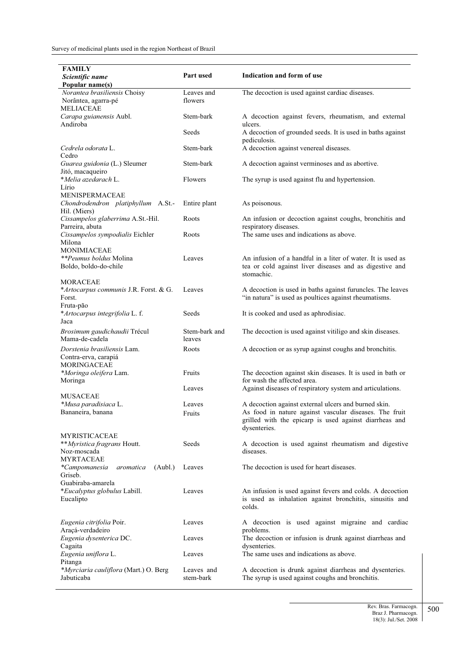| <b>FAMILY</b>                                                                                  |                         | Indication and form of use                                                                                                                                                               |
|------------------------------------------------------------------------------------------------|-------------------------|------------------------------------------------------------------------------------------------------------------------------------------------------------------------------------------|
| Scientific name<br>Popular name(s)                                                             | Part used               |                                                                                                                                                                                          |
| Norantea brasiliensis Choisy<br>Norântea, agarra-pé<br><b>MELIACEAE</b>                        | Leaves and<br>flowers   | The decoction is used against cardiac diseases.                                                                                                                                          |
| Carapa guianensis Aubl.<br>Andiroba                                                            | Stem-bark               | A decoction against fevers, rheumatism, and external<br>ulcers.                                                                                                                          |
|                                                                                                | Seeds                   | A decoction of grounded seeds. It is used in baths against<br>pediculosis.                                                                                                               |
| Cedrela odorata L.<br>Cedro                                                                    | Stem-bark               | A decoction against venereal diseases.                                                                                                                                                   |
| Guarea guidonia (L.) Sleumer<br>Jitó, macaqueiro                                               | Stem-bark               | A decoction against verminoses and as abortive.                                                                                                                                          |
| *Melia azedarach L.<br>Lírio                                                                   | Flowers                 | The syrup is used against flu and hypertension.                                                                                                                                          |
| MENISPERMACEAE<br>Chondrodendron platiphyllum A.St.-<br>Hil. (Miers)                           | Entire plant            | As poisonous.                                                                                                                                                                            |
| Cissampelos glaberrima A.St.-Hil.<br>Parreira, abuta                                           | Roots                   | An infusion or decoction against coughs, bronchitis and<br>respiratory diseases.                                                                                                         |
| Cissampelos sympodialis Eichler<br>Milona                                                      | Roots                   | The same uses and indications as above.                                                                                                                                                  |
| MONIMIACEAE<br><i>**Peumus boldus</i> Molina<br>Boldo, boldo-do-chile                          | Leaves                  | An infusion of a handful in a liter of water. It is used as<br>tea or cold against liver diseases and as digestive and<br>stomachic.                                                     |
| <b>MORACEAE</b><br>*Artocarpus communis J.R. Forst. & G.<br>Forst.<br>Fruta-pão                | Leaves                  | A decoction is used in baths against furuncles. The leaves<br>"in natura" is used as poultices against rheumatisms.                                                                      |
| *Artocarpus integrifolia L. f.<br>Jaca                                                         | Seeds                   | It is cooked and used as aphrodisiac.                                                                                                                                                    |
| Brosimum gaudichaudii Trécul<br>Mama-de-cadela                                                 | Stem-bark and<br>leaves | The decoction is used against vitiligo and skin diseases.                                                                                                                                |
| Dorstenia brasiliensis Lam.<br>Contra-erva, carapiá                                            | Roots                   | A decoction or as syrup against coughs and bronchitis.                                                                                                                                   |
| <b>MORINGACEAE</b><br>*Moringa oleifera Lam.<br>Moringa                                        | Fruits                  | The decoction against skin diseases. It is used in bath or<br>for wash the affected area.                                                                                                |
| MUSACEAE                                                                                       | Leaves                  | Against diseases of respiratory system and articulations.                                                                                                                                |
| *Musa paradisiaca L.<br>Bananeira, banana                                                      | Leaves<br>Fruits        | A decoction against external ulcers and burned skin.<br>As food in nature against vascular diseases. The fruit<br>grilled with the epicarp is used against diarrheas and<br>dysenteries. |
| <b>MYRISTICACEAE</b><br>** <i>Myristica fragrans</i> Houtt.<br>Noz-moscada<br><b>MYRTACEAE</b> | Seeds                   | A decoction is used against rheumatism and digestive<br>diseases.                                                                                                                        |
| *Campomanesia<br>aromatica<br>(Aubl.)<br>Griseb.                                               | Leaves                  | The decoction is used for heart diseases.                                                                                                                                                |
| Guabiraba-amarela<br>*Eucalyptus globulus Labill.<br>Eucalipto                                 | Leaves                  | An infusion is used against fevers and colds. A decoction<br>is used as inhalation against bronchitis, sinusitis and<br>colds.                                                           |
| Eugenia citrifolia Poir.<br>Araçá-verdadeiro                                                   | Leaves                  | A decoction is used against migraine and cardiac<br>problems.                                                                                                                            |
| Eugenia dysenterica DC.<br>Cagaita                                                             | Leaves                  | The decoction or infusion is drunk against diarrheas and<br>dysenteries.                                                                                                                 |
| Eugenia uniflora L.<br>Pitanga                                                                 | Leaves                  | The same uses and indications as above.                                                                                                                                                  |
| *Myrciaria cauliflora (Mart.) O. Berg<br>Jabuticaba                                            | Leaves and<br>stem-bark | A decoction is drunk against diarrheas and dysenteries.<br>The syrup is used against coughs and bronchitis.                                                                              |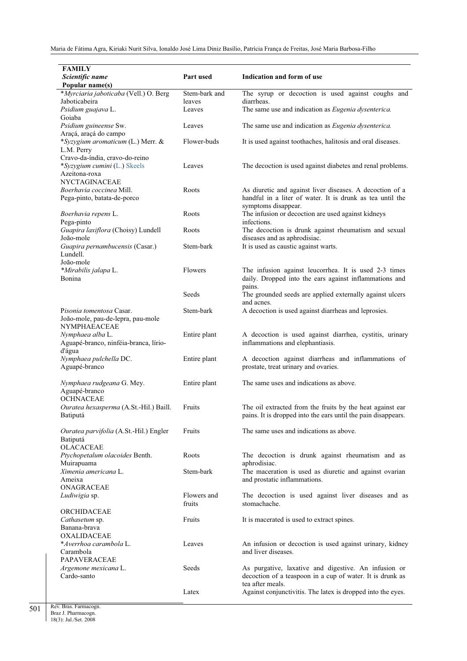| <b>FAMILY</b>                                                  |                         |                                                                                            |
|----------------------------------------------------------------|-------------------------|--------------------------------------------------------------------------------------------|
| Scientific name                                                | Part used               | Indication and form of use                                                                 |
| Popular name(s)                                                |                         | The syrup or decoction is used against coughs and                                          |
| *Myrciaria jaboticaba (Vell.) O. Berg<br>Jaboticabeira         | Stem-bark and<br>leaves | diarrheas.                                                                                 |
| Psidium guajava L.                                             | Leaves                  | The same use and indication as Eugenia dysenterica.                                        |
| Goiaba                                                         |                         |                                                                                            |
| Psidium guineense Sw.                                          | Leaves                  | The same use and indication as <i>Eugenia dysenterica</i> .                                |
| Araçá, araçá do campo                                          |                         |                                                                                            |
| *Syzygium aromaticum (L.) Merr. &<br>L.M. Perry                | Flower-buds             | It is used against toothaches, halitosis and oral diseases.                                |
| Cravo-da-índia, cravo-do-reino<br>*Syzygium cumini (L.) Skeels | Leaves                  | The decoction is used against diabetes and renal problems.                                 |
| Azeitona-roxa                                                  |                         |                                                                                            |
| NYCTAGINACEAE                                                  |                         |                                                                                            |
| Boerhavia coccinea Mill.                                       | Roots                   | As diuretic and against liver diseases. A decoction of a                                   |
| Pega-pinto, batata-de-porco                                    |                         | handful in a liter of water. It is drunk as tea until the                                  |
|                                                                | Roots                   | symptoms disappear.<br>The infusion or decoction are used against kidneys                  |
| Boerhavia repens L.<br>Pega-pinto                              |                         | infections.                                                                                |
| Guapira laxiflora (Choisy) Lundell                             | Roots                   | The decoction is drunk against rheumatism and sexual                                       |
| João-mole                                                      |                         | diseases and as aphrodisiac.                                                               |
| Guapira pernambucensis (Casar.)                                | Stem-bark               | It is used as caustic against warts.                                                       |
| Lundell.                                                       |                         |                                                                                            |
| João-mole                                                      |                         |                                                                                            |
| *Mirabilis jalapa L.                                           | Flowers                 | The infusion against leucorrhea. It is used 2-3 times                                      |
| <b>Bonina</b>                                                  |                         | daily. Dropped into the ears against inflammations and<br>pains.                           |
|                                                                | Seeds                   | The grounded seeds are applied externally against ulcers                                   |
| Pisonia tomentosa Casar.                                       | Stem-bark               | and acnes.<br>A decoction is used against diarrheas and leprosies.                         |
| João-mole, pau-de-lepra, pau-mole                              |                         |                                                                                            |
| <b>NYMPHAEACEAE</b>                                            |                         |                                                                                            |
| Nymphaea alba L.                                               | Entire plant            | A decoction is used against diarrhea, cystitis, urinary                                    |
| Aguapé-branco, ninféia-branca, lírio-                          |                         | inflammations and elephantiasis.                                                           |
| d'água                                                         |                         |                                                                                            |
| Nymphaea pulchella DC.<br>Aguapé-branco                        | Entire plant            | A decoction against diarrheas and inflammations of<br>prostate, treat urinary and ovaries. |
|                                                                |                         |                                                                                            |
| Nymphaea rudgeana G. Mey.                                      | Entire plant            | The same uses and indications as above.                                                    |
| Aguapé-branco                                                  |                         |                                                                                            |
| <b>OCHNACEAE</b>                                               |                         |                                                                                            |
| Ouratea hexasperma (A.St.-Hil.) Baill.                         | Fruits                  | The oil extracted from the fruits by the heat against ear                                  |
| Batiputá                                                       |                         | pains. It is dropped into the ears until the pain disappears.                              |
| Ouratea parvifolia (A.St.-Hil.) Engler                         | Fruits                  | The same uses and indications as above.                                                    |
| Batiputá                                                       |                         |                                                                                            |
| <b>OLACACEAE</b>                                               |                         |                                                                                            |
| Ptychopetalum olacoides Benth.                                 | Roots                   | The decoction is drunk against rheumatism and as                                           |
| Muirapuama                                                     |                         | aphrodisiac.                                                                               |
| Ximenia americana L.<br>Ameixa                                 | Stem-bark               | The maceration is used as diuretic and against ovarian<br>and prostatic inflammations.     |
| ONAGRACEAE                                                     |                         |                                                                                            |
| Ludiwigia sp.                                                  | Flowers and             | The decoction is used against liver diseases and as                                        |
|                                                                | fruits                  | stomachache.                                                                               |
| ORCHIDACEAE                                                    |                         |                                                                                            |
| Cathasetum sp.                                                 | Fruits                  | It is macerated is used to extract spines.                                                 |
| Banana-brava                                                   |                         |                                                                                            |
| <b>OXALIDACEAE</b><br>*Averrhoa carambola L.                   | Leaves                  |                                                                                            |
| Carambola                                                      |                         | An infusion or decoction is used against urinary, kidney<br>and liver diseases.            |
| <b>PAPAVERACEAE</b>                                            |                         |                                                                                            |
| Argemone mexicana L.                                           | Seeds                   | As purgative, laxative and digestive. An infusion or                                       |
| Cardo-santo                                                    |                         | decoction of a teaspoon in a cup of water. It is drunk as                                  |
|                                                                |                         | tea after meals.                                                                           |
|                                                                | Latex                   | Against conjunctivitis. The latex is dropped into the eyes.                                |
|                                                                |                         |                                                                                            |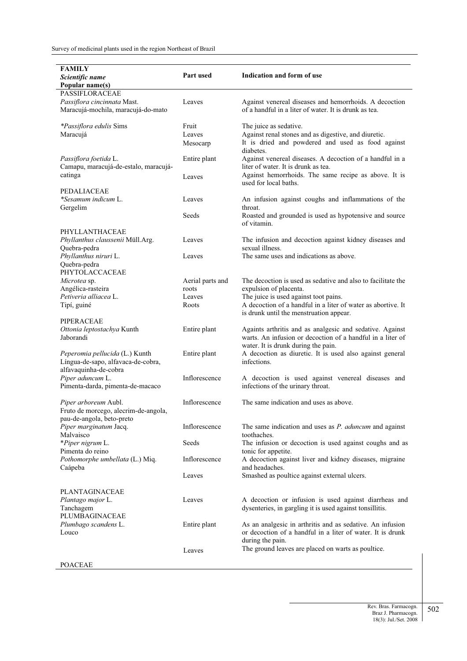| <b>FAMILY</b>                                       |                  |                                                                                                   |
|-----------------------------------------------------|------------------|---------------------------------------------------------------------------------------------------|
| Scientific name                                     | Part used        | Indication and form of use                                                                        |
| Popular name(s)                                     |                  |                                                                                                   |
| <b>PASSIFLORACEAE</b>                               |                  |                                                                                                   |
| Passiflora cincinnata Mast.                         | Leaves           | Against venereal diseases and hemorrhoids. A decoction                                            |
| Maracujá-mochila, maracujá-do-mato                  |                  | of a handful in a liter of water. It is drunk as tea.                                             |
| *Passiflora edulis Sims                             | Fruit            | The juice as sedative.                                                                            |
| Maracujá                                            | Leaves           | Against renal stones and as digestive, and diuretic.                                              |
|                                                     | Mesocarp         | It is dried and powdered and used as food against                                                 |
|                                                     |                  | diabetes.                                                                                         |
| Passiflora foetida L.                               | Entire plant     | Against venereal diseases. A decoction of a handful in a                                          |
| Camapu, maracujá-de-estalo, maracujá-               |                  | liter of water. It is drunk as tea.                                                               |
| catinga                                             | Leaves           | Against hemorrhoids. The same recipe as above. It is                                              |
|                                                     |                  | used for local baths.                                                                             |
| <b>PEDALIACEAE</b>                                  |                  |                                                                                                   |
| *Sesamum indicum L.                                 | Leaves           | An infusion against coughs and inflammations of the                                               |
| Gergelim                                            |                  | throat.                                                                                           |
|                                                     | Seeds            | Roasted and grounded is used as hypotensive and source<br>of vitamin.                             |
| PHYLLANTHACEAE                                      |                  |                                                                                                   |
| Phyllanthus claussenii Müll.Arg.                    | Leaves           | The infusion and decoction against kidney diseases and                                            |
| Quebra-pedra                                        |                  | sexual illness.                                                                                   |
| Phyllanthus niruri L.                               | Leaves           | The same uses and indications as above.                                                           |
| Quebra-pedra                                        |                  |                                                                                                   |
| PHYTOLACCACEAE                                      |                  |                                                                                                   |
| Microtea sp.                                        | Aerial parts and | The decoction is used as sedative and also to facilitate the                                      |
| Angélica-rasteira                                   | roots            | expulsion of placenta.                                                                            |
| Petiveria alliacea L.                               | Leaves           | The juice is used against toot pains.                                                             |
| Tipí, guiné                                         | Roots            | A decoction of a handful in a liter of water as abortive. It                                      |
|                                                     |                  | is drunk until the menstruation appear.                                                           |
| <b>PIPERACEAE</b>                                   |                  |                                                                                                   |
| Ottonia leptostachya Kunth<br>Jaborandi             | Entire plant     | Againts arthritis and as analgesic and sedative. Against                                          |
|                                                     |                  | warts. An infusion or decoction of a handful in a liter of<br>water. It is drunk during the pain. |
| Peperomia pellucida (L.) Kunth                      | Entire plant     | A decoction as diuretic. It is used also against general                                          |
| Língua-de-sapo, alfavaca-de-cobra,                  |                  | infections.                                                                                       |
| alfavaquinha-de-cobra                               |                  |                                                                                                   |
| Piper aduncum L.                                    | Inflorescence    | A decoction is used against venereal diseases and                                                 |
| Pimenta-darda, pimenta-de-macaco                    |                  | infections of the urinary throat.                                                                 |
|                                                     |                  |                                                                                                   |
| Piper arboreum Aubl.                                | Inflorescence    | The same indication and uses as above.                                                            |
| Fruto de morcego, alecrim-de-angola,                |                  |                                                                                                   |
| pau-de-angola, beto-preto<br>Piper marginatum Jacq. | Inflorescence    | The same indication and uses as $P$ . <i>aduncum</i> and against                                  |
| Malvaisco                                           |                  | toothaches.                                                                                       |
| *Piper nigrum L.                                    | Seeds            | The infusion or decoction is used against coughs and as                                           |
| Pimenta do reino                                    |                  | tonic for appetite.                                                                               |
| Pothomorphe umbellata (L.) Miq.                     | Inflorescence    | A decoction against liver and kidney diseases, migraine                                           |
| Caápeba                                             |                  | and headaches.                                                                                    |
|                                                     | Leaves           | Smashed as poultice against external ulcers.                                                      |
|                                                     |                  |                                                                                                   |
| <b>PLANTAGINACEAE</b>                               |                  |                                                                                                   |
| Plantago major L.                                   | Leaves           | A decoction or infusion is used against diarrheas and                                             |
| Tanchagem<br>PLUMBAGINACEAE                         |                  | dysenteries, in gargling it is used against tonsillitis.                                          |
| Plumbago scandens L.                                | Entire plant     | As an analgesic in arthritis and as sedative. An infusion                                         |
| Louco                                               |                  | or decoction of a handful in a liter of water. It is drunk                                        |
|                                                     |                  | during the pain.                                                                                  |
|                                                     | Leaves           | The ground leaves are placed on warts as poultice.                                                |
|                                                     |                  |                                                                                                   |
| POACEAE                                             |                  |                                                                                                   |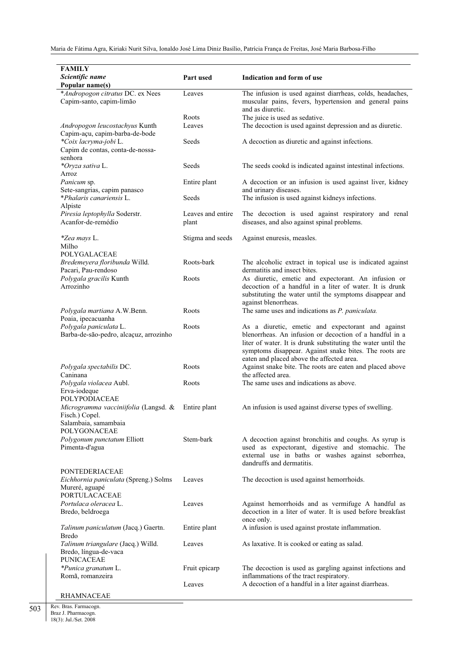| <b>FAMILY</b>                                        |                   |                                                                                                         |
|------------------------------------------------------|-------------------|---------------------------------------------------------------------------------------------------------|
| Scientific name                                      | <b>Part used</b>  | Indication and form of use                                                                              |
| Popular name(s)                                      |                   |                                                                                                         |
| *Andropogon citratus DC. ex Nees                     | Leaves            | The infusion is used against diarrheas, colds, headaches,                                               |
| Capim-santo, capim-limão                             |                   | muscular pains, fevers, hypertension and general pains                                                  |
|                                                      |                   | and as diuretic.                                                                                        |
|                                                      | Roots             | The juice is used as sedative.                                                                          |
| Andropogon leucostachyus Kunth                       | Leaves            | The decoction is used against depression and as diuretic.                                               |
| Capim-açu, capim-barba-de-bode                       |                   |                                                                                                         |
| *Coix lacryma-jobi L.                                | Seeds             | A decoction as diuretic and against infections.                                                         |
| Capim de contas, conta-de-nossa-                     |                   |                                                                                                         |
| senhora<br>*Oryza sativa L.                          | Seeds             |                                                                                                         |
| Arroz                                                |                   | The seeds cookd is indicated against intestinal infections.                                             |
| Panicum sp.                                          | Entire plant      | A decoction or an infusion is used against liver, kidney                                                |
| Sete-sangrias, capim panasco                         |                   | and urinary diseases.                                                                                   |
| *Phalaris canariensis L.                             | Seeds             | The infusion is used against kidneys infections.                                                        |
| Alpiste                                              |                   |                                                                                                         |
| Piresia leptophylla Soderstr.                        | Leaves and entire | The decoction is used against respiratory and renal                                                     |
| Acanfor-de-remédio                                   | plant             | diseases, and also against spinal problems.                                                             |
|                                                      |                   |                                                                                                         |
| <i>*Zea mays L.</i>                                  | Stigma and seeds  | Against enuresis, measles.                                                                              |
| Milho                                                |                   |                                                                                                         |
| POLYGALACEAE                                         | Roots-bark        |                                                                                                         |
| Bredemeyera floribunda Willd.<br>Pacari, Pau-rendoso |                   | The alcoholic extract in topical use is indicated against<br>dermatitis and insect bites.               |
| Polygala gracilis Kunth                              | Roots             | As diuretic, emetic and expectorant. An infusion or                                                     |
| Arrozinho                                            |                   | decoction of a handful in a liter of water. It is drunk                                                 |
|                                                      |                   | substituting the water until the symptoms disappear and                                                 |
|                                                      |                   | against blenorrheas.                                                                                    |
| Polygala martiana A.W.Benn.                          | Roots             | The same uses and indications as <i>P. paniculata</i> .                                                 |
| Poaia, ipecacuanha                                   |                   |                                                                                                         |
| Polygala paniculata L.                               | Roots             | As a diuretic, emetic and expectorant and against                                                       |
| Barba-de-são-pedro, alcaçuz, arrozinho               |                   | blenorrheas. An infusion or decoction of a handful in a                                                 |
|                                                      |                   | liter of water. It is drunk substituting the water until the                                            |
|                                                      |                   | symptoms disappear. Against snake bites. The roots are<br>eaten and placed above the affected area.     |
| Polygala spectabilis DC.                             | Roots             | Against snake bite. The roots are eaten and placed above                                                |
| Caninana                                             |                   | the affected area.                                                                                      |
| Polygala violacea Aubl.                              | Roots             | The same uses and indications as above.                                                                 |
| Erva-iodeque                                         |                   |                                                                                                         |
| <b>POLYPODIACEAE</b>                                 |                   |                                                                                                         |
| Microgramma vacciniifolia (Langsd. &                 | Entire plant      | An infusion is used against diverse types of swelling.                                                  |
| Fisch.) Copel.                                       |                   |                                                                                                         |
| Salambaia, samambaia                                 |                   |                                                                                                         |
| POLYGONACEAE                                         |                   |                                                                                                         |
| Polygonum punctatum Elliott                          | Stem-bark         | A decoction against bronchitis and coughs. As syrup is                                                  |
| Pimenta-d'agua                                       |                   | used as expectorant, digestive and stomachic. The<br>external use in baths or washes against seborrhea, |
|                                                      |                   | dandruffs and dermatitis.                                                                               |
| <b>PONTEDERIACEAE</b>                                |                   |                                                                                                         |
| Eichhornia paniculata (Spreng.) Solms                | Leaves            | The decoction is used against hemorrhoids.                                                              |
| Mureré, aguapé                                       |                   |                                                                                                         |
| PORTULACACEAE                                        |                   |                                                                                                         |
| Portulaca oleracea L.                                | Leaves            | Against hemorrhoids and as vermifuge A handful as                                                       |
| Bredo, beldroega                                     |                   | decoction in a liter of water. It is used before breakfast                                              |
|                                                      |                   | once only.                                                                                              |
| Talinum paniculatum (Jacq.) Gaertn.                  | Entire plant      | A infusion is used against prostate inflammation.                                                       |
| Bredo                                                |                   |                                                                                                         |
| Talinum triangulare (Jacq.) Willd.                   | Leaves            | As laxative. It is cooked or eating as salad.                                                           |
| Bredo, língua-de-vaca<br><b>PUNICACEAE</b>           |                   |                                                                                                         |
| *Punica granatum L.                                  | Fruit epicarp     | The decoction is used as gargling against infections and                                                |
| Romã, romanzeira                                     |                   | inflammations of the tract respiratory.                                                                 |
|                                                      | Leaves            | A decoction of a handful in a liter against diarrheas.                                                  |
| <b>RHAMNACEAE</b>                                    |                   |                                                                                                         |
|                                                      |                   |                                                                                                         |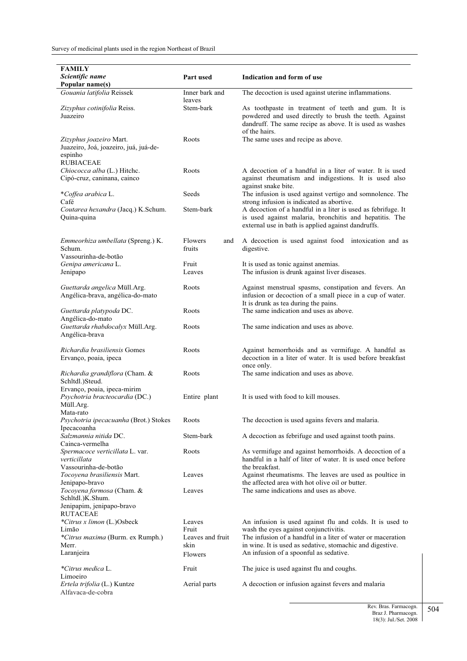| <b>FAMILY</b>                                     |                  |                                                                                                           |
|---------------------------------------------------|------------------|-----------------------------------------------------------------------------------------------------------|
| Scientific name                                   | Part used        | Indication and form of use                                                                                |
| Popular name(s)                                   |                  |                                                                                                           |
| Gouania latifolia Reissek                         | Inner bark and   | The decoction is used against uterine inflammations.                                                      |
|                                                   | leaves           |                                                                                                           |
| Zizyphus cotinifolia Reiss.                       | Stem-bark        | As toothpaste in treatment of teeth and gum. It is                                                        |
| Juazeiro                                          |                  | powdered and used directly to brush the teeth. Against                                                    |
|                                                   |                  | dandruff. The same recipe as above. It is used as washes                                                  |
|                                                   |                  | of the hairs.                                                                                             |
| Zizyphus joazeiro Mart.                           | Roots            | The same uses and recipe as above.                                                                        |
| Juazeiro, Joá, joazeiro, juá, juá-de-             |                  |                                                                                                           |
| espinho                                           |                  |                                                                                                           |
| <b>RUBIACEAE</b>                                  |                  |                                                                                                           |
| Chiococca alba (L.) Hitchc.                       | Roots            | A decoction of a handful in a liter of water. It is used                                                  |
| Cipó-cruz, caninana, cainco                       |                  | against rheumatism and indigestions. It is used also                                                      |
|                                                   |                  | against snake bite.                                                                                       |
| *Coffea arabica L.                                | Seeds            | The infusion is used against vertigo and somnolence. The                                                  |
| Café                                              | Stem-bark        | strong infusion is indicated as abortive.<br>A decoction of a handful in a liter is used as febrifuge. It |
| Coutarea hexandra (Jacq.) K.Schum.<br>Quina-quina |                  | is used against malaria, bronchitis and hepatitis. The                                                    |
|                                                   |                  | external use in bath is applied against dandruffs.                                                        |
|                                                   |                  |                                                                                                           |
| Emmeorhiza umbellata (Spreng.) K.                 | Flowers<br>and   | A decoction is used against food intoxication and as                                                      |
| Schum.                                            | fruits           | digestive.                                                                                                |
| Vassourinha-de-botão                              |                  |                                                                                                           |
| Genipa americana L.                               | Fruit            | It is used as tonic against anemias.                                                                      |
| Jenipapo                                          | Leaves           | The infusion is drunk against liver diseases.                                                             |
|                                                   |                  |                                                                                                           |
| Guettarda angelica Müll.Arg.                      | Roots            | Against menstrual spasms, constipation and fevers. An                                                     |
| Angélica-brava, angélica-do-mato                  |                  | infusion or decoction of a small piece in a cup of water.                                                 |
|                                                   |                  | It is drunk as tea during the pains.                                                                      |
| Guettarda platypoda DC.                           | Roots            | The same indication and uses as above.                                                                    |
| Angélica-do-mato                                  |                  |                                                                                                           |
| Guettarda rhabdocalyx Müll.Arg.                   | Roots            | The same indication and uses as above.                                                                    |
| Angélica-brava                                    |                  |                                                                                                           |
|                                                   |                  |                                                                                                           |
| Richardia brasiliensis Gomes                      | Roots            | Against hemorrhoids and as vermifuge. A handful as                                                        |
| Ervanço, poaia, ipeca                             |                  | decoction in a liter of water. It is used before breakfast                                                |
|                                                   | Roots            | once only.<br>The same indication and uses as above.                                                      |
| Richardia grandiflora (Cham. &<br>Schltdl.)Steud. |                  |                                                                                                           |
| Ervanço, poaia, ipeca-mirim                       |                  |                                                                                                           |
| Psychotria bracteocardia (DC.)                    | Entire plant     | It is used with food to kill mouses.                                                                      |
| Müll.Arg.                                         |                  |                                                                                                           |
| Mata-rato                                         |                  |                                                                                                           |
| Psychotria ipecacuanha (Brot.) Stokes             | Roots            | The decoction is used agains fevers and malaria.                                                          |
| Ipecacoanha                                       |                  |                                                                                                           |
| Salzmannia nitida DC.                             | Stem-bark        | A decoction as febrifuge and used against tooth pains.                                                    |
| Cainca-vermelha                                   |                  |                                                                                                           |
| Spermacoce verticillata L. var.                   | Roots            | As vermifuge and against hemorrhoids. A decoction of a                                                    |
| verticillata                                      |                  | handful in a half of liter of water. It is used once before                                               |
| Vassourinha-de-botão                              |                  | the breakfast.                                                                                            |
| Tocoyena brasiliensis Mart.                       | Leaves           | Against rheumatisms. The leaves are used as poultice in                                                   |
| Jenipapo-bravo                                    |                  | the affected area with hot olive oil or butter.                                                           |
| Tocoyena formosa (Cham. &                         | Leaves           | The same indications and uses as above.                                                                   |
| Schltdl.)K.Shum.                                  |                  |                                                                                                           |
| Jenipapim, jenipapo-bravo                         |                  |                                                                                                           |
| <b>RUTACEAE</b>                                   |                  |                                                                                                           |
| *Citrus x limon (L.)Osbeck<br>Limão               | Leaves<br>Fruit  | An infusion is used against flu and colds. It is used to<br>wash the eyes against conjunctivitis.         |
| *Citrus maxima (Burm. ex Rumph.)                  | Leaves and fruit | The infusion of a handful in a liter of water or maceration                                               |
| Merr.                                             | skin             | in wine. It is used as sedative, stomachic and digestive.                                                 |
| Laranjeira                                        | Flowers          | An infusion of a spoonful as sedative.                                                                    |
|                                                   |                  |                                                                                                           |
| *Citrus medica L.                                 | Fruit            | The juice is used against flu and coughs.                                                                 |
| Limoeiro                                          |                  |                                                                                                           |
| Ertela trifolia (L.) Kuntze                       | Aerial parts     | A decoction or infusion against fevers and malaria                                                        |
| Alfavaca-de-cobra                                 |                  |                                                                                                           |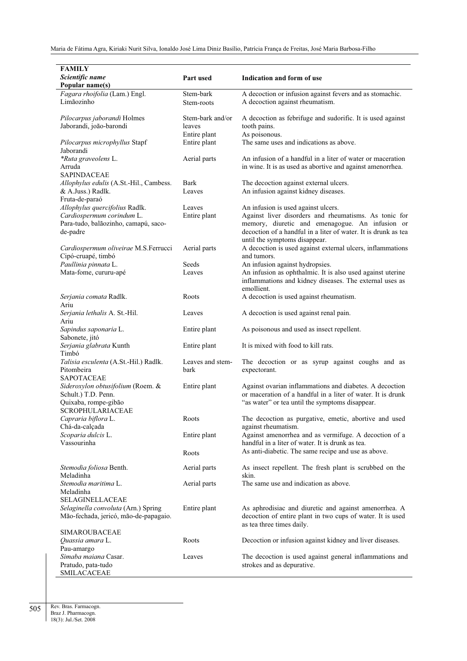| <b>FAMILY</b>                           |                  |                                                                |
|-----------------------------------------|------------------|----------------------------------------------------------------|
| Scientific name                         | Part used        | Indication and form of use                                     |
| Popular name(s)                         |                  |                                                                |
| Fagara rhoifolia (Lam.) Engl.           | Stem-bark        | A decoction or infusion against fevers and as stomachic.       |
| Limãozinho                              | Stem-roots       | A decoction against rheumatism.                                |
|                                         |                  |                                                                |
| Pilocarpus jaborandi Holmes             | Stem-bark and/or | A decoction as febrifuge and sudorific. It is used against     |
| Jaborandi, joão-barondi                 | leaves           | tooth pains.                                                   |
|                                         | Entire plant     | As poisonous.                                                  |
| Pilocarpus microphyllus Stapf           | Entire plant     | The same uses and indications as above.                        |
| Jaborandi                               |                  |                                                                |
| *Ruta graveolens L.                     | Aerial parts     | An infusion of a handful in a liter of water or maceration     |
| Arruda                                  |                  | in wine. It is as used as abortive and against amenorrhea.     |
| <b>SAPINDACEAE</b>                      |                  |                                                                |
| Allophylus edulis (A.St.-Hil., Cambess. | Bark             | The decoction against external ulcers.                         |
| & A.Juss.) Radlk.<br>Fruta-de-paraó     | Leaves           | An infusion against kidney diseases.                           |
| Allophylus quercifolius Radlk.          | Leaves           | An infusion is used against ulcers.                            |
| Cardiospermum corindum L.               | Entire plant     | Against liver disorders and rheumatisms. As tonic for          |
| Para-tudo, balãozinho, camapú, saco-    |                  | memory, diuretic and emenagogue. An infusion or                |
| de-padre                                |                  | decoction of a handful in a liter of water. It is drunk as tea |
|                                         |                  | until the symptoms disappear.                                  |
| Cardiospermum oliveirae M.S.Ferrucci    | Aerial parts     | A decoction is used against external ulcers, inflammations     |
| Cipó-cruapé, timbó                      |                  | and tumors.                                                    |
| Paullinia pinnata L.                    | Seeds            | An infusion against hydropsies.                                |
| Mata-fome, cururu-apé                   | Leaves           | An infusion as ophthalmic. It is also used against uterine     |
|                                         |                  | inflammations and kidney diseases. The external uses as        |
|                                         |                  | emollient.                                                     |
| Serjania comata Radlk.                  | Roots            | A decoction is used against rheumatism.                        |
| Ariu                                    |                  |                                                                |
| Serjania lethalis A. St.-Hil.           | Leaves           | A decoction is used against renal pain.                        |
| Ariu                                    |                  |                                                                |
| Sapindus saponaria L.                   | Entire plant     | As poisonous and used as insect repellent.                     |
| Sabonete, jitó                          |                  | It is mixed with food to kill rats.                            |
| Serjania glabrata Kunth<br>Timbó        | Entire plant     |                                                                |
| Talisia esculenta (A.St.-Hil.) Radlk.   | Leaves and stem- | The decoction or as syrup against coughs and as                |
| Pitombeira                              | bark             | expectorant.                                                   |
| <b>SAPOTACEAE</b>                       |                  |                                                                |
| Sideroxylon obtusifolium (Roem. &       | Entire plant     | Against ovarian inflammations and diabetes. A decoction        |
| Schult.) T.D. Penn.                     |                  | or maceration of a handful in a liter of water. It is drunk    |
| Quixaba, rompe-gibão                    |                  | "as water" or tea until the symptoms disappear.                |
| SCROPHULARIACEAE                        |                  |                                                                |
| Capraria biflora L.                     | Roots            | The decoction as purgative, emetic, abortive and used          |
| Chá-da-calçada                          |                  | against rheumatism.                                            |
| Scoparia dulcis L.                      | Entire plant     | Against amenorrhea and as vermifuge. A decoction of a          |
| Vassourinha                             |                  | handful in a liter of water. It is drunk as tea.               |
|                                         | Roots            | As anti-diabetic. The same recipe and use as above.            |
| Stemodia foliosa Benth.                 | Aerial parts     | As insect repellent. The fresh plant is scrubbed on the        |
| Meladinha                               |                  | skin.                                                          |
| Stemodia maritima L.                    | Aerial parts     | The same use and indication as above.                          |
| Meladinha                               |                  |                                                                |
| <b>SELAGINELLACEAE</b>                  |                  |                                                                |
| Selaginella convoluta (Arn.) Spring     | Entire plant     | As aphrodisiac and diuretic and against amenorrhea. A          |
| Mão-fechada, jericó, mão-de-papagaio.   |                  | decoction of entire plant in two cups of water. It is used     |
|                                         |                  | as tea three times daily.                                      |
| <b>SIMAROUBACEAE</b>                    |                  |                                                                |
| Quassia amara L.                        | Roots            | Decoction or infusion against kidney and liver diseases.       |
| Pau-amargo<br>Simaba maiana Casar.      | Leaves           | The decoction is used against general inflammations and        |
| Pratudo, pata-tudo                      |                  | strokes and as depurative.                                     |
| SMILACACEAE                             |                  |                                                                |

Rev. Bras. Farmacogn. Braz J. Pharmacogn. 18(3): Jul./Set. 2008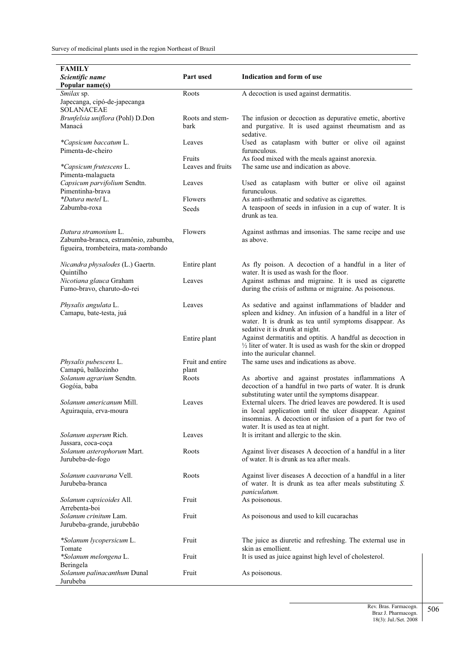| FAMILY                                                |                   |                                                                                                                 |
|-------------------------------------------------------|-------------------|-----------------------------------------------------------------------------------------------------------------|
| Scientific name                                       | Part used         | Indication and form of use                                                                                      |
| Popular name(s)                                       |                   |                                                                                                                 |
| Smilax sp.                                            | Roots             | A decoction is used against dermatitis.                                                                         |
| Japecanga, cipó-de-japecanga                          |                   |                                                                                                                 |
| <b>SOLANACEAE</b>                                     |                   |                                                                                                                 |
| Brunfelsia uniflora (Pohl) D.Don                      | Roots and stem-   | The infusion or decoction as depurative emetic, abortive                                                        |
| Manacá                                                | bark              | and purgative. It is used against rheumatism and as                                                             |
|                                                       |                   | sedative.                                                                                                       |
| *Capsicum baccatum L.                                 | Leaves            | Used as cataplasm with butter or olive oil against                                                              |
| Pimenta-de-cheiro                                     | Fruits            | furunculous.                                                                                                    |
|                                                       | Leaves and fruits | As food mixed with the meals against anorexia.<br>The same use and indication as above.                         |
| *Capsicum frutescens L.<br>Pimenta-malagueta          |                   |                                                                                                                 |
| Capsicum parvifolium Sendtn.                          | Leaves            | Used as cataplasm with butter or olive oil against                                                              |
| Pimentinha-brava                                      |                   | furunculous.                                                                                                    |
| *Datura metel L.                                      | Flowers           | As anti-asthmatic and sedative as cigarettes.                                                                   |
| Zabumba-roxa                                          | Seeds             | A teaspoon of seeds in infusion in a cup of water. It is                                                        |
|                                                       |                   | drunk as tea.                                                                                                   |
| Datura stramonium L.                                  | Flowers           | Against asthmas and imsonias. The same recipe and use                                                           |
| Zabumba-branca, estramônio, zabumba,                  |                   | as above.                                                                                                       |
| figueira, trombeteira, mata-zombando                  |                   |                                                                                                                 |
|                                                       |                   |                                                                                                                 |
| Nicandra physalodes (L.) Gaertn.                      | Entire plant      | As fly poison. A decoction of a handful in a liter of                                                           |
| Quintilho                                             | Leaves            | water. It is used as wash for the floor.                                                                        |
| Nicotiana glauca Graham<br>Fumo-bravo, charuto-do-rei |                   | Against asthmas and migraine. It is used as cigarette<br>during the crisis of asthma or migraine. As poisonous. |
|                                                       |                   |                                                                                                                 |
| Physalis angulata L.                                  | Leaves            | As sedative and against inflammations of bladder and                                                            |
| Camapu, bate-testa, juá                               |                   | spleen and kidney. An infusion of a handful in a liter of                                                       |
|                                                       |                   | water. It is drunk as tea until symptoms disappear. As                                                          |
|                                                       |                   | sedative it is drunk at night.                                                                                  |
|                                                       | Entire plant      | Against dermatitis and optitis. A handful as decoction in                                                       |
|                                                       |                   | $\frac{1}{2}$ liter of water. It is used as wash for the skin or dropped                                        |
|                                                       |                   | into the auricular channel.                                                                                     |
| Physalis pubescens L.                                 | Fruit and entire  | The same uses and indications as above.                                                                         |
| Camapú, balãozinho                                    | plant             |                                                                                                                 |
| Solanum agrarium Sendtn.<br>Gogóia, baba              | Roots             | As abortive and against prostates inflammations A<br>decoction of a handful in two parts of water. It is drunk  |
|                                                       |                   | substituting water until the symptoms disappear.                                                                |
| Solanum americanum Mill.                              | Leaves            | External ulcers. The dried leaves are powdered. It is used                                                      |
| Aguiraquia, erva-moura                                |                   | in local application until the ulcer disappear. Against                                                         |
|                                                       |                   | insomnias. A decoction or infusion of a part for two of                                                         |
|                                                       |                   | water. It is used as tea at night.                                                                              |
| Solanum asperum Rich.                                 | Leaves            | It is irritant and allergic to the skin.                                                                        |
| Jussara, coca-coça                                    |                   |                                                                                                                 |
| Solanum asterophorum Mart.                            | Roots             | Against liver diseases A decoction of a handful in a liter                                                      |
| Jurubeba-de-fogo                                      |                   | of water. It is drunk as tea after meals.                                                                       |
| <i>Solanum caavurana</i> Vell.                        | Roots             | Against liver diseases A decoction of a handful in a liter                                                      |
| Jurubeba-branca                                       |                   | of water. It is drunk as tea after meals substituting S.                                                        |
|                                                       |                   | paniculatum.                                                                                                    |
| Solanum capsicoides All.                              | Fruit             | As poisonous.                                                                                                   |
| Arrebenta-boi                                         |                   |                                                                                                                 |
| <i>Solanum crinitum</i> Lam.                          | Fruit             | As poisonous and used to kill cucarachas                                                                        |
| Jurubeba-grande, jurubebão                            |                   |                                                                                                                 |
|                                                       |                   |                                                                                                                 |
| *Solanum lycopersicum L.<br>Tomate                    | Fruit             | The juice as diuretic and refreshing. The external use in<br>skin as emollient.                                 |
| *Solanum melongena L.                                 | Fruit             | It is used as juice against high level of cholesterol.                                                          |
| Beringela                                             |                   |                                                                                                                 |
| Solanum palinacanthum Dunal                           | Fruit             | As poisonous.                                                                                                   |
| Jurubeba                                              |                   |                                                                                                                 |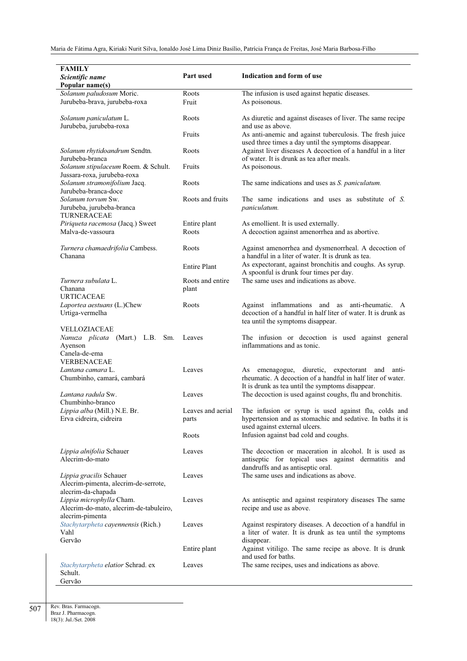| FAMILY<br>Scientific name<br>Popular name(s)                                          | Part used                  | Indication and form of use                                                                                                                                              |
|---------------------------------------------------------------------------------------|----------------------------|-------------------------------------------------------------------------------------------------------------------------------------------------------------------------|
| Solanum paludosum Moric.                                                              | Roots                      | The infusion is used against hepatic diseases.                                                                                                                          |
| Jurubeba-brava, jurubeba-roxa                                                         | Fruit                      | As poisonous.                                                                                                                                                           |
| Solanum paniculatum L.<br>Jurubeba, jurubeba-roxa                                     | Roots                      | As diuretic and against diseases of liver. The same recipe<br>and use as above.                                                                                         |
|                                                                                       | Fruits                     | As anti-anemic and against tuberculosis. The fresh juice<br>used three times a day until the symptoms disappear.                                                        |
| Solanum rhytidoandrum Sendtn.<br>Jurubeba-branca                                      | Roots                      | Against liver diseases A decoction of a handful in a liter<br>of water. It is drunk as tea after meals.                                                                 |
| Solanum stipulaceum Roem. & Schult.<br>Jussara-roxa, jurubeba-roxa                    | Fruits                     | As poisonous.                                                                                                                                                           |
| Solanum stramonifolium Jacq.<br>Jurubeba-branca-doce                                  | Roots                      | The same indications and uses as <i>S. paniculatum</i> .                                                                                                                |
| Solanum torvum Sw.<br>Jurubeba, jurubeba-branca<br>TURNERACEAE                        | Roots and fruits           | The same indications and uses as substitute of S.<br>paniculatum.                                                                                                       |
| Piriqueta racemosa (Jacq.) Sweet<br>Malva-de-vassoura                                 | Entire plant<br>Roots      | As emollient. It is used externally.<br>A decoction against amenorrhea and as abortive.                                                                                 |
| Turnera chamaedrifolia Cambess.<br>Chanana                                            | Roots                      | Against amenorrhea and dysmenorrheal. A decoction of<br>a handful in a liter of water. It is drunk as tea.                                                              |
|                                                                                       | <b>Entire Plant</b>        | As expectorant, against bronchitis and coughs. As syrup.<br>A spoonful is drunk four times per day.                                                                     |
| Turnera subulata L.<br>Chanana                                                        | Roots and entire<br>plant  | The same uses and indications as above.                                                                                                                                 |
| <b>URTICACEAE</b><br>Laportea aestuans (L.)Chew<br>Urtiga-vermelha                    | Roots                      | Against inflammations and as anti-rheumatic. A<br>decoction of a handful in half liter of water. It is drunk as<br>tea until the symptoms disappear.                    |
| VELLOZIACEAE<br><i>Nanuza plicata</i> (Mart.) L.B.<br>Sm.<br>Ayenson<br>Canela-de-ema | Leaves                     | The infusion or decoction is used against general<br>inflammations and as tonic.                                                                                        |
| <b>VERBENACEAE</b>                                                                    |                            |                                                                                                                                                                         |
| Lantana camara L.<br>Chumbinho, camará, cambará                                       | Leaves                     | diuretic, expectorant and anti-<br>emenagogue,<br>As<br>rheumatic. A decoction of a handful in half liter of water.<br>It is drunk as tea until the symptoms disappear. |
| Lantana radula Sw.<br>Chumbinho-branco                                                | Leaves                     | The decoction is used against coughs, flu and bronchitis.                                                                                                               |
| Lippia alba (Mill.) N.E. Br.<br>Erva cidreira, cidreira                               | Leaves and aerial<br>parts | The infusion or syrup is used against flu, colds and<br>hypertension and as stomachic and sedative. In baths it is<br>used against external ulcers.                     |
|                                                                                       | Roots                      | Infusion against bad cold and coughs.                                                                                                                                   |
| Lippia alnifolia Schauer<br>Alecrim-do-mato                                           | Leaves                     | The decoction or maceration in alcohol. It is used as<br>antiseptic for topical uses against dermatitis and<br>dandruffs and as antiseptic oral.                        |
| Lippia gracilis Schauer<br>Alecrim-pimenta, alecrim-de-serrote,<br>alecrim-da-chapada | Leaves                     | The same uses and indications as above.                                                                                                                                 |
| Lippia microphylla Cham.<br>Alecrim-do-mato, alecrim-de-tabuleiro,<br>alecrim-pimenta | Leaves                     | As antiseptic and against respiratory diseases The same<br>recipe and use as above.                                                                                     |
| Stachytarpheta cayennensis (Rich.)<br>Vahl<br>Gervão                                  | Leaves                     | Against respiratory diseases. A decoction of a handful in<br>a liter of water. It is drunk as tea until the symptoms<br>disappear.                                      |
|                                                                                       | Entire plant               | Against vitiligo. The same recipe as above. It is drunk<br>and used for baths.                                                                                          |
| Stachytarpheta elatior Schrad. ex<br>Schult.<br>Gervão                                | Leaves                     | The same recipes, uses and indications as above.                                                                                                                        |